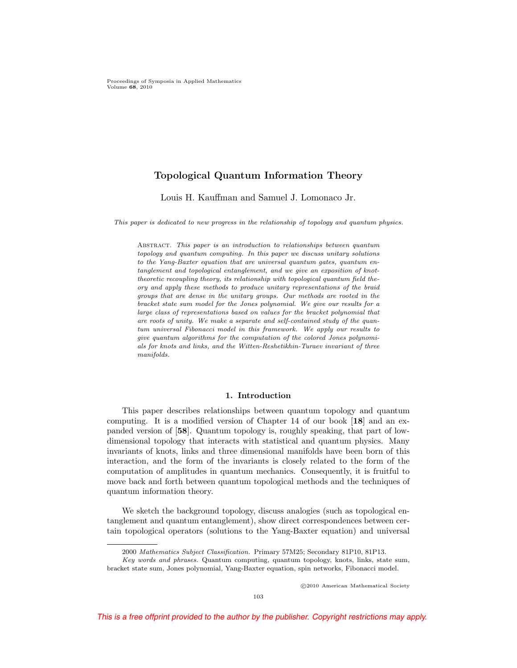Proceedings of Symposia in Applied Mathematics Volume **68**, 2010

# **Topological Quantum Information Theory**

Louis H. Kauffman and Samuel J. Lomonaco Jr.

This paper is dedicated to new progress in the relationship of topology and quantum physics.

Abstract. This paper is an introduction to relationships between quantum topology and quantum computing. In this paper we discuss unitary solutions to the Yang-Baxter equation that are universal quantum gates, quantum entanglement and topological entanglement, and we give an exposition of knottheoretic recoupling theory, its relationship with topological quantum field theory and apply these methods to produce unitary representations of the braid groups that are dense in the unitary groups. Our methods are rooted in the bracket state sum model for the Jones polynomial. We give our results for a large class of representations based on values for the bracket polynomial that are roots of unity. We make a separate and self-contained study of the quantum universal Fibonacci model in this framework. We apply our results to give quantum algorithms for the computation of the colored Jones polynomials for knots and links, and the Witten-Reshetikhin-Turaev invariant of three manifolds.

### **1. Introduction**

This paper describes relationships between quantum topology and quantum computing. It is a modified version of Chapter 14 of our book [**18**] and an expanded version of [**58**]. Quantum topology is, roughly speaking, that part of lowdimensional topology that interacts with statistical and quantum physics. Many invariants of knots, links and three dimensional manifolds have been born of this interaction, and the form of the invariants is closely related to the form of the computation of amplitudes in quantum mechanics. Consequently, it is fruitful to move back and forth between quantum topological methods and the techniques of quantum information theory.

We sketch the background topology, discuss analogies (such as topological entanglement and quantum entanglement), show direct correspondences between certain topological operators (solutions to the Yang-Baxter equation) and universal

©2010 American Mathematical Society

<sup>2000</sup> Mathematics Subject Classification. Primary 57M25; Secondary 81P10, 81P13.

Key words and phrases. Quantum computing, quantum topology, knots, links, state sum, bracket state sum, Jones polynomial, Yang-Baxter equation, spin networks, Fibonacci model.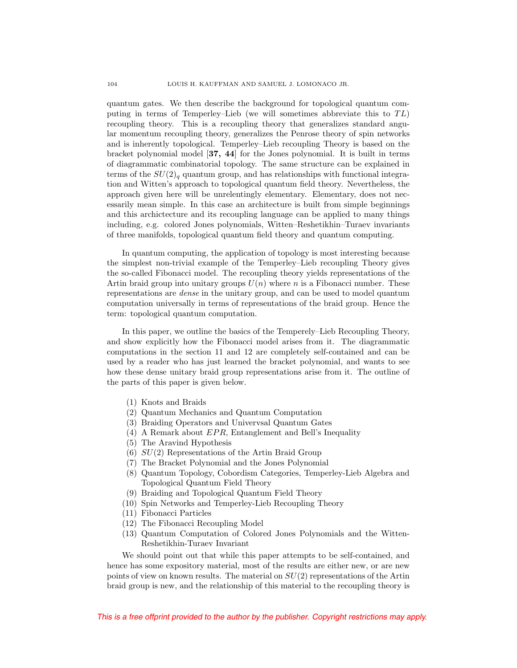quantum gates. We then describe the background for topological quantum computing in terms of Temperley–Lieb (we will sometimes abbreviate this to  $TL$ ) recoupling theory. This is a recoupling theory that generalizes standard angular momentum recoupling theory, generalizes the Penrose theory of spin networks and is inherently topological. Temperley–Lieb recoupling Theory is based on the bracket polynomial model [**37, 44**] for the Jones polynomial. It is built in terms of diagrammatic combinatorial topology. The same structure can be explained in terms of the  $SU(2)<sub>q</sub>$  quantum group, and has relationships with functional integration and Witten's approach to topological quantum field theory. Nevertheless, the approach given here will be unrelentingly elementary. Elementary, does not necessarily mean simple. In this case an architecture is built from simple beginnings and this archictecture and its recoupling language can be applied to many things including, e.g. colored Jones polynomials, Witten–Reshetikhin–Turaev invariants of three manifolds, topological quantum field theory and quantum computing.

In quantum computing, the application of topology is most interesting because the simplest non-trivial example of the Temperley–Lieb recoupling Theory gives the so-called Fibonacci model. The recoupling theory yields representations of the Artin braid group into unitary groups  $U(n)$  where n is a Fibonacci number. These representations are dense in the unitary group, and can be used to model quantum computation universally in terms of representations of the braid group. Hence the term: topological quantum computation.

In this paper, we outline the basics of the Temperely–Lieb Recoupling Theory, and show explicitly how the Fibonacci model arises from it. The diagrammatic computations in the section 11 and 12 are completely self-contained and can be used by a reader who has just learned the bracket polynomial, and wants to see how these dense unitary braid group representations arise from it. The outline of the parts of this paper is given below.

- (1) Knots and Braids
- (2) Quantum Mechanics and Quantum Computation
- (3) Braiding Operators and Univervsal Quantum Gates
- (4) A Remark about  $EPR$ , Entanglement and Bell's Inequality
- (5) The Aravind Hypothesis
- $(6)$   $SU(2)$  Representations of the Artin Braid Group
- (7) The Bracket Polynomial and the Jones Polynomial
- (8) Quantum Topology, Cobordism Categories, Temperley-Lieb Algebra and Topological Quantum Field Theory
- (9) Braiding and Topological Quantum Field Theory
- (10) Spin Networks and Temperley-Lieb Recoupling Theory
- (11) Fibonacci Particles
- (12) The Fibonacci Recoupling Model
- (13) Quantum Computation of Colored Jones Polynomials and the Witten-Reshetikhin-Turaev Invariant

We should point out that while this paper attempts to be self-contained, and hence has some expository material, most of the results are either new, or are new points of view on known results. The material on  $SU(2)$  representations of the Artin braid group is new, and the relationship of this material to the recoupling theory is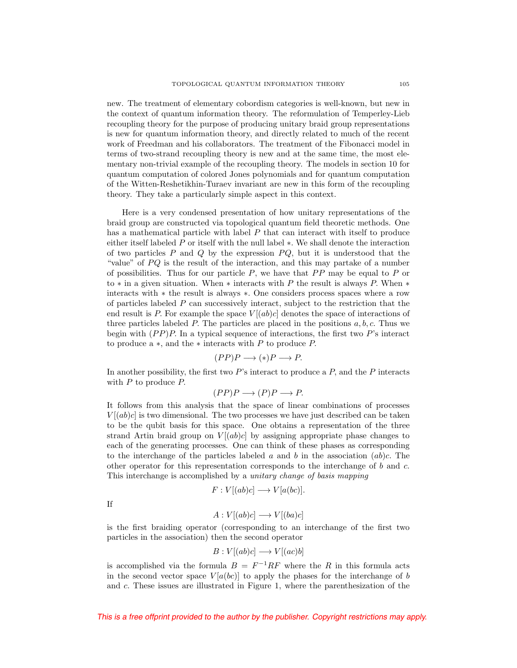new. The treatment of elementary cobordism categories is well-known, but new in the context of quantum information theory. The reformulation of Temperley-Lieb recoupling theory for the purpose of producing unitary braid group representations is new for quantum information theory, and directly related to much of the recent work of Freedman and his collaborators. The treatment of the Fibonacci model in terms of two-strand recoupling theory is new and at the same time, the most elementary non-trivial example of the recoupling theory. The models in section 10 for quantum computation of colored Jones polynomials and for quantum computation of the Witten-Reshetikhin-Turaev invariant are new in this form of the recoupling theory. They take a particularly simple aspect in this context.

Here is a very condensed presentation of how unitary representations of the braid group are constructed via topological quantum field theoretic methods. One has a mathematical particle with label  $P$  that can interact with itself to produce either itself labeled P or itself with the null label ∗. We shall denote the interaction of two particles  $P$  and  $Q$  by the expression  $PQ$ , but it is understood that the "value" of  $PQ$  is the result of the interaction, and this may partake of a number of possibilities. Thus for our particle  $P$ , we have that  $PP$  may be equal to  $P$  or to  $*$  in a given situation. When  $*$  interacts with P the result is always P. When  $*$ interacts with ∗ the result is always ∗. One considers process spaces where a row of particles labeled  $P$  can successively interact, subject to the restriction that the end result is P. For example the space  $V[(ab)c]$  denotes the space of interactions of three particles labeled  $P$ . The particles are placed in the positions  $a, b, c$ . Thus we begin with  $(PP)P$ . In a typical sequence of interactions, the first two P's interact to produce a  $*$ , and the  $*$  interacts with  $P$  to produce  $P$ .

$$
(PP)P \longrightarrow (*)P \longrightarrow P.
$$

In another possibility, the first two  $P$ 's interact to produce a  $P$ , and the  $P$  interacts with  $P$  to produce  $P$ .

$$
(PP)P \longrightarrow (P)P \longrightarrow P.
$$

It follows from this analysis that the space of linear combinations of processes  $V[(ab)c]$  is two dimensional. The two processes we have just described can be taken to be the qubit basis for this space. One obtains a representation of the three strand Artin braid group on  $V[(ab)c]$  by assigning appropriate phase changes to each of the generating processes. One can think of these phases as corresponding to the interchange of the particles labeled a and b in the association  $(ab)c$ . The other operator for this representation corresponds to the interchange of  $b$  and  $c$ . This interchange is accomplished by a *unitary change of basis mapping* 

$$
F: V[(ab)c] \longrightarrow V[a(bc)].
$$

If

$$
A: V[(ab)c] \longrightarrow V[(ba)c]
$$

is the first braiding operator (corresponding to an interchange of the first two particles in the association) then the second operator

$$
B: V[(ab)c] \longrightarrow V[(ac)b]
$$

is accomplished via the formula  $B = F^{-1}RF$  where the R in this formula acts in the second vector space  $V[a(bc)]$  to apply the phases for the interchange of b and c. These issues are illustrated in Figure 1, where the parenthesization of the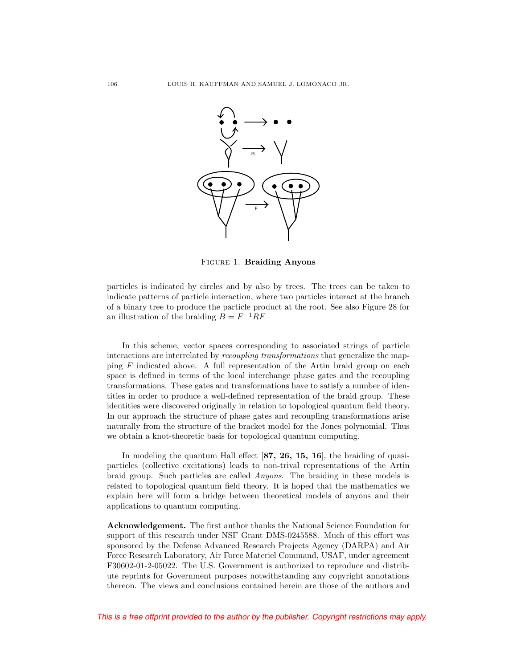

Figure 1. **Braiding Anyons**

particles is indicated by circles and by also by trees. The trees can be taken to indicate patterns of particle interaction, where two particles interact at the branch of a binary tree to produce the particle product at the root. See also Figure 28 for an illustration of the braiding  $B = F^{-1}RF$ 

In this scheme, vector spaces corresponding to associated strings of particle interactions are interrelated by *recoupling transformations* that generalize the mapping  $F$  indicated above. A full representation of the Artin braid group on each space is defined in terms of the local interchange phase gates and the recoupling transformations. These gates and transformations have to satisfy a number of identities in order to produce a well-defined representation of the braid group. These identities were discovered originally in relation to topological quantum field theory. In our approach the structure of phase gates and recoupling transformations arise naturally from the structure of the bracket model for the Jones polynomial. Thus we obtain a knot-theoretic basis for topological quantum computing.

In modeling the quantum Hall effect [**87, 26, 15, 16**], the braiding of quasiparticles (collective excitations) leads to non-trival representations of the Artin braid group. Such particles are called Anyons. The braiding in these models is related to topological quantum field theory. It is hoped that the mathematics we explain here will form a bridge between theoretical models of anyons and their applications to quantum computing.

**Acknowledgement.** The first author thanks the National Science Foundation for support of this research under NSF Grant DMS-0245588. Much of this effort was sponsored by the Defense Advanced Research Projects Agency (DARPA) and Air Force Research Laboratory, Air Force Materiel Command, USAF, under agreement F30602-01-2-05022. The U.S. Government is authorized to reproduce and distribute reprints for Government purposes notwithstanding any copyright annotations thereon. The views and conclusions contained herein are those of the authors and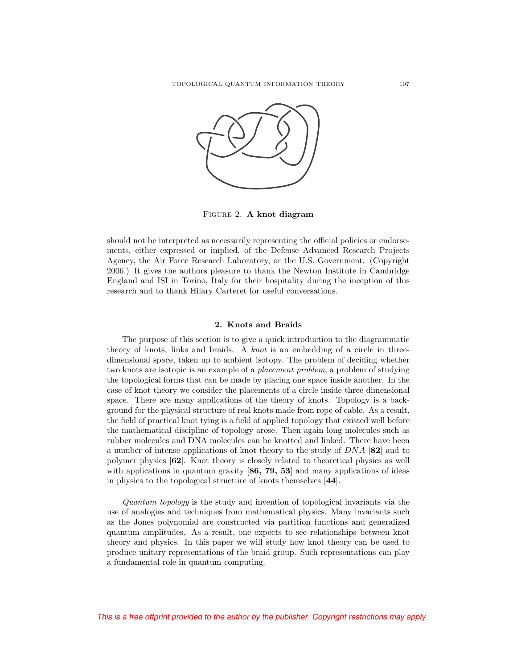

Figure 2. **A knot diagram**

should not be interpreted as necessarily representing the official policies or endorsements, either expressed or implied, of the Defense Advanced Research Projects Agency, the Air Force Research Laboratory, or the U.S. Government. (Copyright 2006.) It gives the authors pleasure to thank the Newton Institute in Cambridge England and ISI in Torino, Italy for their hospitality during the inception of this research and to thank Hilary Carteret for useful conversations.

#### **2. Knots and Braids**

The purpose of this section is to give a quick introduction to the diagrammatic theory of knots, links and braids. A knot is an embedding of a circle in threedimensional space, taken up to ambient isotopy. The problem of deciding whether two knots are isotopic is an example of a placement problem, a problem of studying the topological forms that can be made by placing one space inside another. In the case of knot theory we consider the placements of a circle inside three dimensional space. There are many applications of the theory of knots. Topology is a background for the physical structure of real knots made from rope of cable. As a result, the field of practical knot tying is a field of applied topology that existed well before the mathematical discipline of topology arose. Then again long molecules such as rubber molecules and DNA molecules can be knotted and linked. There have been a number of intense applications of knot theory to the study of DNA [**82**] and to polymer physics [**62**]. Knot theory is closely related to theoretical physics as well with applications in quantum gravity [**86, 79, 53**] and many applications of ideas in physics to the topological structure of knots themselves [**44**].

Quantum topology is the study and invention of topological invariants via the use of analogies and techniques from mathematical physics. Many invariants such as the Jones polynomial are constructed via partition functions and generalized quantum amplitudes. As a result, one expects to see relationships between knot theory and physics. In this paper we will study how knot theory can be used to produce unitary representations of the braid group. Such representations can play a fundamental role in quantum computing.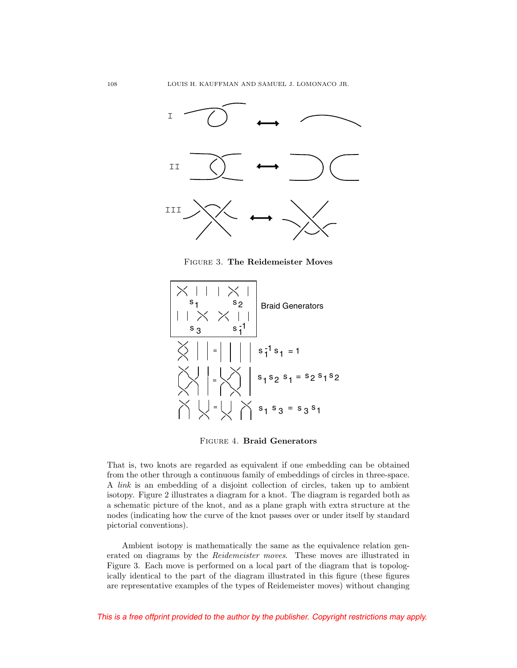

Figure 3. **The Reidemeister Moves**



Figure 4. **Braid Generators**

That is, two knots are regarded as equivalent if one embedding can be obtained from the other through a continuous family of embeddings of circles in three-space. A link is an embedding of a disjoint collection of circles, taken up to ambient isotopy. Figure 2 illustrates a diagram for a knot. The diagram is regarded both as a schematic picture of the knot, and as a plane graph with extra structure at the nodes (indicating how the curve of the knot passes over or under itself by standard pictorial conventions).

Ambient isotopy is mathematically the same as the equivalence relation generated on diagrams by the Reidemeister moves. These moves are illustrated in Figure 3. Each move is performed on a local part of the diagram that is topologically identical to the part of the diagram illustrated in this figure (these figures are representative examples of the types of Reidemeister moves) without changing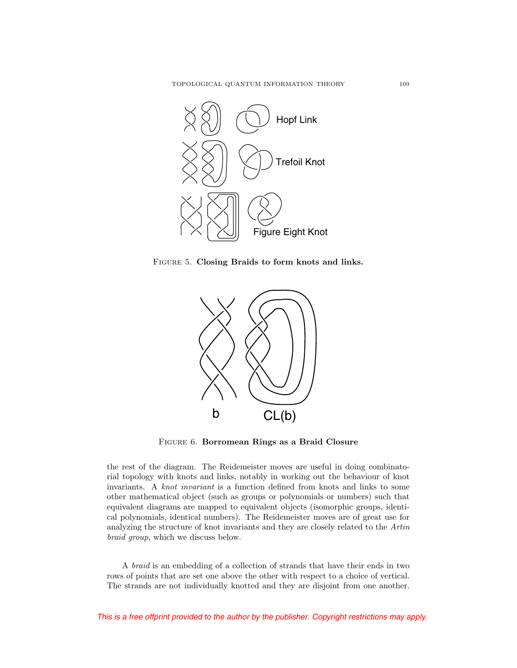

Figure 5. **Closing Braids to form knots and links.**



Figure 6. **Borromean Rings as a Braid Closure**

the rest of the diagram. The Reidemeister moves are useful in doing combinatorial topology with knots and links, notably in working out the behaviour of knot invariants. A knot invariant is a function defined from knots and links to some other mathematical object (such as groups or polynomials or numbers) such that equivalent diagrams are mapped to equivalent objects (isomorphic groups, identical polynomials, identical numbers). The Reidemeister moves are of great use for analyzing the structure of knot invariants and they are closely related to the Artin braid group, which we discuss below.

A braid is an embedding of a collection of strands that have their ends in two rows of points that are set one above the other with respect to a choice of vertical. The strands are not individually knotted and they are disjoint from one another.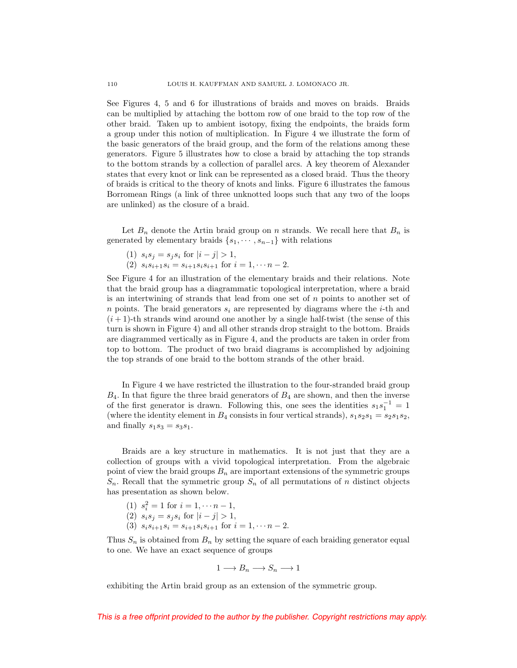See Figures 4, 5 and 6 for illustrations of braids and moves on braids. Braids can be multiplied by attaching the bottom row of one braid to the top row of the other braid. Taken up to ambient isotopy, fixing the endpoints, the braids form a group under this notion of multiplication. In Figure 4 we illustrate the form of the basic generators of the braid group, and the form of the relations among these generators. Figure 5 illustrates how to close a braid by attaching the top strands to the bottom strands by a collection of parallel arcs. A key theorem of Alexander states that every knot or link can be represented as a closed braid. Thus the theory of braids is critical to the theory of knots and links. Figure 6 illustrates the famous Borromean Rings (a link of three unknotted loops such that any two of the loops are unlinked) as the closure of a braid.

Let  $B_n$  denote the Artin braid group on n strands. We recall here that  $B_n$  is generated by elementary braids  $\{s_1, \dots, s_{n-1}\}\$  with relations

- (1)  $s_i s_j = s_j s_i$  for  $|i j| > 1$ ,
- (2)  $s_i s_{i+1} s_i = s_{i+1} s_i s_{i+1}$  for  $i = 1, \dots, n-2$ .

See Figure 4 for an illustration of the elementary braids and their relations. Note that the braid group has a diagrammatic topological interpretation, where a braid is an intertwining of strands that lead from one set of  $n$  points to another set of n points. The braid generators  $s_i$  are represented by diagrams where the *i*-th and  $(i+1)$ -th strands wind around one another by a single half-twist (the sense of this turn is shown in Figure 4) and all other strands drop straight to the bottom. Braids are diagrammed vertically as in Figure 4, and the products are taken in order from top to bottom. The product of two braid diagrams is accomplished by adjoining the top strands of one braid to the bottom strands of the other braid.

In Figure 4 we have restricted the illustration to the four-stranded braid group  $B_4$ . In that figure the three braid generators of  $B_4$  are shown, and then the inverse of the first generator is drawn. Following this, one sees the identities  $s_1s_1^{-1} = 1$ (where the identity element in  $B_4$  consists in four vertical strands),  $s_1s_2s_1 = s_2s_1s_2$ , and finally  $s_1s_3 = s_3s_1$ .

Braids are a key structure in mathematics. It is not just that they are a collection of groups with a vivid topological interpretation. From the algebraic point of view the braid groups  $B_n$  are important extensions of the symmetric groups  $S_n$ . Recall that the symmetric group  $S_n$  of all permutations of n distinct objects has presentation as shown below.

- (1)  $s_i^2 = 1$  for  $i = 1, \dots n 1$ ,
- (2)  $s_i s_j = s_j s_i$  for  $|i j| > 1$ ,
- (3)  $s_i s_{i+1} s_i = s_{i+1} s_i s_{i+1}$  for  $i = 1, \dots, n-2$ .

Thus  $S_n$  is obtained from  $B_n$  by setting the square of each braiding generator equal to one. We have an exact sequence of groups

$$
1 \longrightarrow B_n \longrightarrow S_n \longrightarrow 1
$$

exhibiting the Artin braid group as an extension of the symmetric group.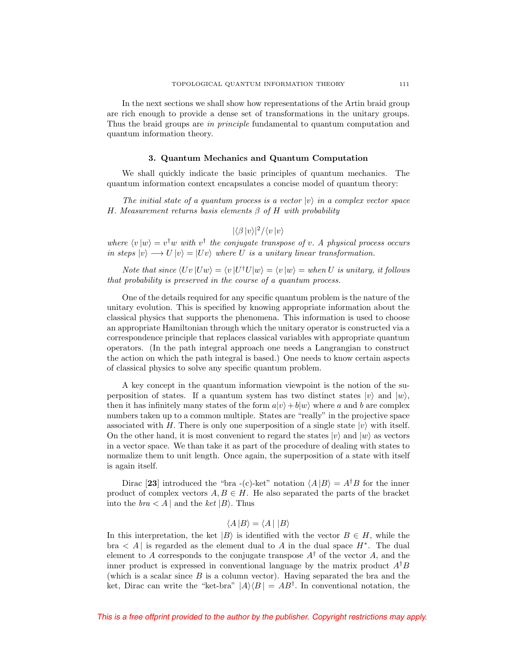In the next sections we shall show how representations of the Artin braid group are rich enough to provide a dense set of transformations in the unitary groups. Thus the braid groups are in principle fundamental to quantum computation and quantum information theory.

### **3. Quantum Mechanics and Quantum Computation**

We shall quickly indicate the basic principles of quantum mechanics. The quantum information context encapsulates a concise model of quantum theory:

The initial state of a quantum process is a vector  $|v\rangle$  in a complex vector space H. Measurement returns basis elements  $\beta$  of H with probability

$$
|\langle \beta \left| v \right\rangle|^2/\langle v \left| v \right\rangle
$$

where  $\langle v | w \rangle = v^{\dagger} w$  with  $v^{\dagger}$  the conjugate transpose of v. A physical process occurs in steps  $|v\rangle \longrightarrow U |v\rangle = |Uv\rangle$  where U is a unitary linear transformation.

Note that since  $\langle Uv | Uw \rangle = \langle v | U^{\dagger}U | w \rangle = \langle v | w \rangle =$  when U is unitary, it follows that probability is preserved in the course of a quantum process.

One of the details required for any specific quantum problem is the nature of the unitary evolution. This is specified by knowing appropriate information about the classical physics that supports the phenomena. This information is used to choose an appropriate Hamiltonian through which the unitary operator is constructed via a correspondence principle that replaces classical variables with appropriate quantum operators. (In the path integral approach one needs a Langrangian to construct the action on which the path integral is based.) One needs to know certain aspects of classical physics to solve any specific quantum problem.

A key concept in the quantum information viewpoint is the notion of the superposition of states. If a quantum system has two distinct states  $|v\rangle$  and  $|w\rangle$ , then it has infinitely many states of the form  $a|v\rangle + b|w\rangle$  where a and b are complex numbers taken up to a common multiple. States are "really" in the projective space associated with H. There is only one superposition of a single state  $|v\rangle$  with itself. On the other hand, it is most convenient to regard the states  $|v\rangle$  and  $|w\rangle$  as vectors in a vector space. We than take it as part of the procedure of dealing with states to normalize them to unit length. Once again, the superposition of a state with itself is again itself.

Dirac [23] introduced the "bra -(c)-ket" notation  $\langle A | B \rangle = A^{\dagger} B$  for the inner product of complex vectors  $A, B \in H$ . He also separated the parts of the bracket into the  $bra < A$  and the ket  $|B\rangle$ . Thus

$$
\langle A|B\rangle = \langle A| |B\rangle
$$

In this interpretation, the ket  $|B\rangle$  is identified with the vector  $B \in H$ , while the bra  $\lt A$  | is regarded as the element dual to A in the dual space  $H^*$ . The dual element to A corresponds to the conjugate transpose  $A^{\dagger}$  of the vector A, and the inner product is expressed in conventional language by the matrix product  $A^{\dagger}B$ (which is a scalar since  $B$  is a column vector). Having separated the bra and the ket, Dirac can write the "ket-bra"  $|A\rangle\langle B| = AB^{\dagger}$ . In conventional notation, the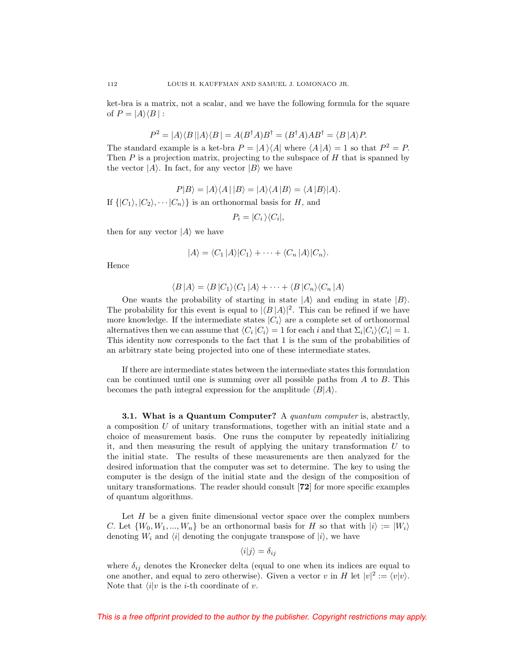ket-bra is a matrix, not a scalar, and we have the following formula for the square of  $P = |A\rangle\langle B|$ :

$$
P^2 = |A\rangle\langle B||A\rangle\langle B| = A(B^{\dagger}A)B^{\dagger} = (B^{\dagger}A)AB^{\dagger} = \langle B|A\rangle P.
$$

The standard example is a ket-bra  $P = |A\rangle\langle A|$  where  $\langle A | A \rangle = 1$  so that  $P^2 = P$ . Then  $P$  is a projection matrix, projecting to the subspace of  $H$  that is spanned by the vector  $|A\rangle$ . In fact, for any vector  $|B\rangle$  we have

 $P|B\rangle = |A\rangle\langle A| |B\rangle = |A\rangle\langle A| B\rangle = \langle A|B\rangle|A\rangle.$ 

If  $\{|C_1\rangle, |C_2\rangle, \cdots, |C_n\rangle\}$  is an orthonormal basis for H, and

$$
P_i = |C_i\rangle\langle C_i|,
$$

then for any vector  $|A\rangle$  we have

$$
|A\rangle = \langle C_1 | A \rangle | C_1 \rangle + \cdots + \langle C_n | A \rangle | C_n \rangle.
$$

Hence

$$
\langle B | A \rangle = \langle B | C_1 \rangle \langle C_1 | A \rangle + \dots + \langle B | C_n \rangle \langle C_n | A \rangle
$$

One wants the probability of starting in state  $|A\rangle$  and ending in state  $|B\rangle$ . The probability for this event is equal to  $|\langle B | A \rangle|^2$ . This can be refined if we have more knowledge. If the intermediate states  $|C_i\rangle$  are a complete set of orthonormal alternatives then we can assume that  $\langle C_i | C_i \rangle = 1$  for each i and that  $\Sigma_i | C_i \rangle \langle C_i | = 1$ . This identity now corresponds to the fact that 1 is the sum of the probabilities of an arbitrary state being projected into one of these intermediate states.

If there are intermediate states between the intermediate states this formulation can be continued until one is summing over all possible paths from A to B. This becomes the path integral expression for the amplitude  $\langle B|A \rangle$ .

**3.1. What is a Quantum Computer?** A quantum computer is, abstractly, a composition U of unitary transformations, together with an initial state and a choice of measurement basis. One runs the computer by repeatedly initializing it, and then measuring the result of applying the unitary transformation  $U$  to the initial state. The results of these measurements are then analyzed for the desired information that the computer was set to determine. The key to using the computer is the design of the initial state and the design of the composition of unitary transformations. The reader should consult [**72**] for more specific examples of quantum algorithms.

Let  $H$  be a given finite dimensional vector space over the complex numbers C. Let  $\{W_0, W_1, ..., W_n\}$  be an orthonormal basis for H so that with  $|i\rangle := |W_i\rangle$ denoting  $W_i$  and  $\langle i|$  denoting the conjugate transpose of  $|i\rangle$ , we have

$$
\langle i|j\rangle=\delta_{ij}
$$

where  $\delta_{ij}$  denotes the Kronecker delta (equal to one when its indices are equal to one another, and equal to zero otherwise). Given a vector v in H let  $|v|^2 := \langle v | v \rangle$ . Note that  $\langle i|v \rangle$  is the *i*-th coordinate of *v*.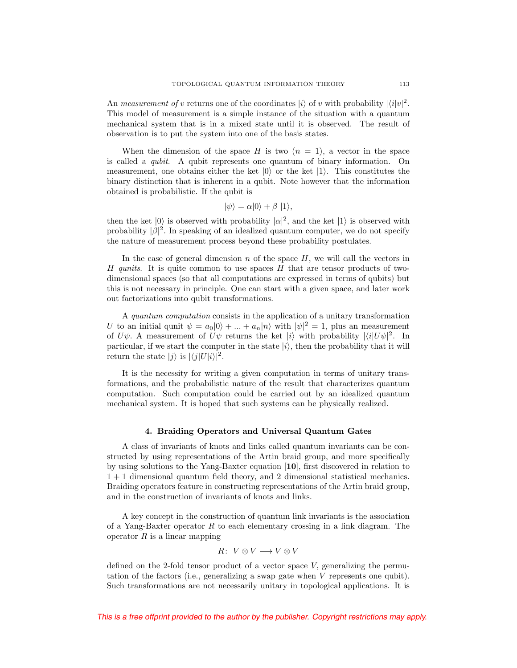An *measurement of v* returns one of the coordinates  $|i\rangle$  of v with probability  $|\langle i|v|^2$ . This model of measurement is a simple instance of the situation with a quantum mechanical system that is in a mixed state until it is observed. The result of observation is to put the system into one of the basis states.

When the dimension of the space H is two  $(n = 1)$ , a vector in the space is called a qubit. A qubit represents one quantum of binary information. On measurement, one obtains either the ket  $|0\rangle$  or the ket  $|1\rangle$ . This constitutes the binary distinction that is inherent in a qubit. Note however that the information obtained is probabilistic. If the qubit is

$$
|\psi\rangle = \alpha|0\rangle + \beta|1\rangle,
$$

then the ket  $|0\rangle$  is observed with probability  $|\alpha|^2$ , and the ket  $|1\rangle$  is observed with probability  $|\beta|^2$ . In speaking of an idealized quantum computer, we do not specify the nature of measurement process beyond these probability postulates.

In the case of general dimension  $n$  of the space  $H$ , we will call the vectors in  $H$  qunits. It is quite common to use spaces  $H$  that are tensor products of twodimensional spaces (so that all computations are expressed in terms of qubits) but this is not necessary in principle. One can start with a given space, and later work out factorizations into qubit transformations.

A quantum computation consists in the application of a unitary transformation U to an initial qunit  $\psi = a_0 |0\rangle + ... + a_n |n\rangle$  with  $|\psi|^2 = 1$ , plus an measurement of  $U\psi$ . A measurement of  $U\psi$  returns the ket  $|i\rangle$  with probability  $|\langle i|U\psi|^2$ . In particular, if we start the computer in the state  $|i\rangle$ , then the probability that it will return the state  $|j\rangle$  is  $|\langle j|U|i\rangle|^2$ .

It is the necessity for writing a given computation in terms of unitary transformations, and the probabilistic nature of the result that characterizes quantum computation. Such computation could be carried out by an idealized quantum mechanical system. It is hoped that such systems can be physically realized.

### **4. Braiding Operators and Universal Quantum Gates**

A class of invariants of knots and links called quantum invariants can be constructed by using representations of the Artin braid group, and more specifically by using solutions to the Yang-Baxter equation [**10**], first discovered in relation to 1 + 1 dimensional quantum field theory, and 2 dimensional statistical mechanics. Braiding operators feature in constructing representations of the Artin braid group, and in the construction of invariants of knots and links.

A key concept in the construction of quantum link invariants is the association of a Yang-Baxter operator  $R$  to each elementary crossing in a link diagram. The operator  $R$  is a linear mapping

$$
R\colon\ V\otimes V\longrightarrow V\otimes V
$$

defined on the 2-fold tensor product of a vector space V, generalizing the permutation of the factors (i.e., generalizing a swap gate when V represents one qubit). Such transformations are not necessarily unitary in topological applications. It is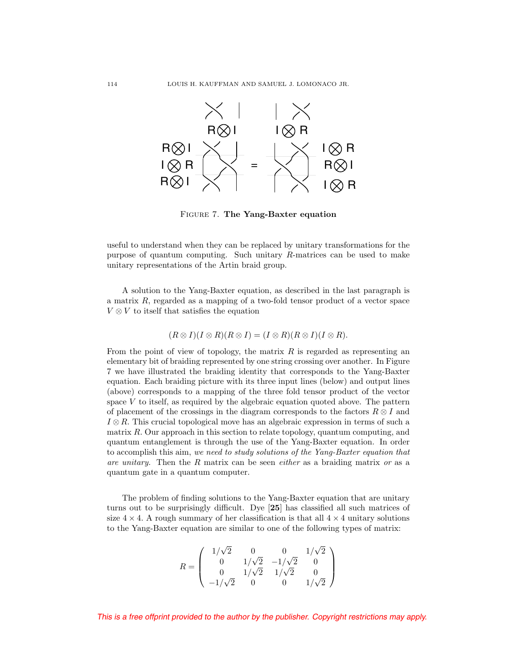

Figure 7. **The Yang-Baxter equation**

useful to understand when they can be replaced by unitary transformations for the purpose of quantum computing. Such unitary R-matrices can be used to make unitary representations of the Artin braid group.

A solution to the Yang-Baxter equation, as described in the last paragraph is a matrix R, regarded as a mapping of a two-fold tensor product of a vector space  $V \otimes V$  to itself that satisfies the equation

$$
(R \otimes I)(I \otimes R)(R \otimes I) = (I \otimes R)(R \otimes I)(I \otimes R).
$$

From the point of view of topology, the matrix  $R$  is regarded as representing an elementary bit of braiding represented by one string crossing over another. In Figure 7 we have illustrated the braiding identity that corresponds to the Yang-Baxter equation. Each braiding picture with its three input lines (below) and output lines (above) corresponds to a mapping of the three fold tensor product of the vector space  $V$  to itself, as required by the algebraic equation quoted above. The pattern of placement of the crossings in the diagram corresponds to the factors  $R \otimes I$  and  $I \otimes R$ . This crucial topological move has an algebraic expression in terms of such a matrix  $R$ . Our approach in this section to relate topology, quantum computing, and quantum entanglement is through the use of the Yang-Baxter equation. In order to accomplish this aim, we need to study solutions of the Yang-Baxter equation that are unitary. Then the R matrix can be seen *either* as a braiding matrix or as a quantum gate in a quantum computer.

The problem of finding solutions to the Yang-Baxter equation that are unitary turns out to be surprisingly difficult. Dye [**25**] has classified all such matrices of size  $4 \times 4$ . A rough summary of her classification is that all  $4 \times 4$  unitary solutions to the Yang-Baxter equation are similar to one of the following types of matrix:

$$
R = \begin{pmatrix} 1/\sqrt{2} & 0 & 0 & 1/\sqrt{2} \\ 0 & 1/\sqrt{2} & -1/\sqrt{2} & 0 \\ 0 & 1/\sqrt{2} & 1/\sqrt{2} & 0 \\ -1/\sqrt{2} & 0 & 0 & 1/\sqrt{2} \end{pmatrix}
$$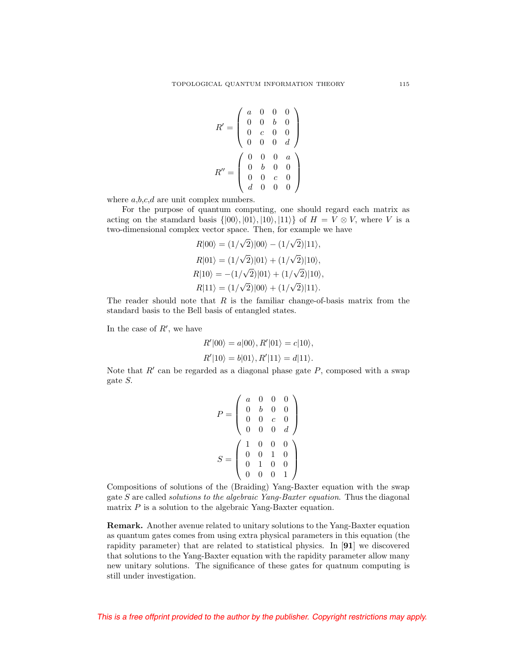$$
R' = \begin{pmatrix} a & 0 & 0 & 0 \\ 0 & 0 & b & 0 \\ 0 & c & 0 & 0 \\ 0 & 0 & 0 & d \end{pmatrix}
$$

$$
R'' = \begin{pmatrix} 0 & 0 & 0 & a \\ 0 & b & 0 & 0 \\ 0 & 0 & c & 0 \\ d & 0 & 0 & 0 \end{pmatrix}
$$

where  $a,b,c,d$  are unit complex numbers.

For the purpose of quantum computing, one should regard each matrix as acting on the stamdard basis  $\{|00\rangle, |01\rangle, |10\rangle, |11\rangle\}$  of  $H = V \otimes V$ , where V is a two-dimensional complex vector space. Then, for example we have √ √

$$
R|00\rangle = (1/\sqrt{2})|00\rangle - (1/\sqrt{2})|11\rangle,
$$
  
\n
$$
R|01\rangle = (1/\sqrt{2})|01\rangle + (1/\sqrt{2})|10\rangle,
$$
  
\n
$$
R|10\rangle = -(1/\sqrt{2})|01\rangle + (1/\sqrt{2})|10\rangle,
$$
  
\n
$$
R|11\rangle = (1/\sqrt{2})|00\rangle + (1/\sqrt{2})|11\rangle.
$$

The reader should note that  $R$  is the familiar change-of-basis matrix from the standard basis to the Bell basis of entangled states.

In the case of  $R'$ , we have

$$
R'|00\rangle = a|00\rangle, R'|01\rangle = c|10\rangle,
$$
  

$$
R'|10\rangle = b|01\rangle, R'|11\rangle = d|11\rangle.
$$

Note that  $R'$  can be regarded as a diagonal phase gate  $P$ , composed with a swap gate S.

$$
P = \left(\begin{array}{cccc} a & 0 & 0 & 0 \\ 0 & b & 0 & 0 \\ 0 & 0 & c & 0 \\ 0 & 0 & 0 & d \end{array}\right)
$$

$$
S = \left(\begin{array}{cccc} 1 & 0 & 0 & 0 \\ 0 & 0 & 1 & 0 \\ 0 & 1 & 0 & 0 \\ 0 & 0 & 0 & 1 \end{array}\right)
$$

Compositions of solutions of the (Braiding) Yang-Baxter equation with the swap gate S are called solutions to the algebraic Yang-Baxter equation. Thus the diagonal matrix  $P$  is a solution to the algebraic Yang-Baxter equation.

**Remark.** Another avenue related to unitary solutions to the Yang-Baxter equation as quantum gates comes from using extra physical parameters in this equation (the rapidity parameter) that are related to statistical physics. In [**91**] we discovered that solutions to the Yang-Baxter equation with the rapidity parameter allow many new unitary solutions. The significance of these gates for quatnum computing is still under investigation.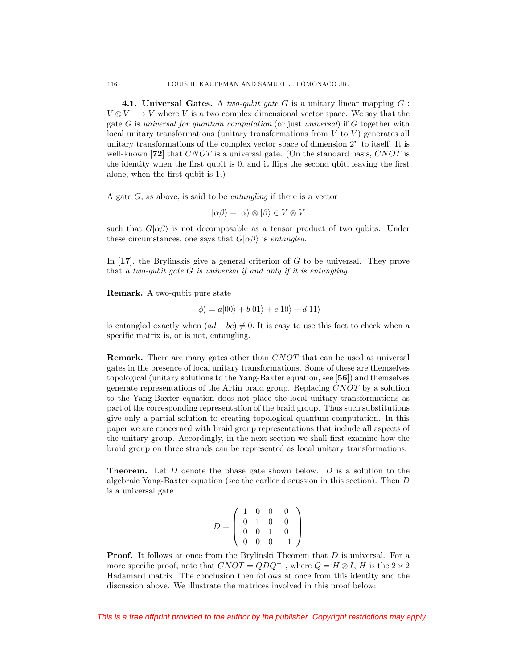**4.1. Universal Gates.** A two-qubit gate G is a unitary linear mapping G :  $V \otimes V \longrightarrow V$  where V is a two complex dimensional vector space. We say that the gate  $G$  is universal for quantum computation (or just universal) if  $G$  together with local unitary transformations (unitary transformations from  $V$  to  $V$ ) generates all unitary transformations of the complex vector space of dimension  $2<sup>n</sup>$  to itself. It is well-known [**72**] that CNOT is a universal gate. (On the standard basis, CNOT is the identity when the first qubit is 0, and it flips the second qbit, leaving the first alone, when the first qubit is 1.)

A gate  $G$ , as above, is said to be *entangling* if there is a vector

$$
|\alpha\beta\rangle=|\alpha\rangle\otimes|\beta\rangle\in V\otimes V
$$

such that  $G|\alpha\beta\rangle$  is not decomposable as a tensor product of two qubits. Under these circumstances, one says that  $G|\alpha\beta\rangle$  is entangled.

In [**17**], the Brylinskis give a general criterion of G to be universal. They prove that a two-qubit gate  $G$  is universal if and only if it is entangling.

**Remark.** A two-qubit pure state

$$
|\phi\rangle = a|00\rangle + b|01\rangle + c|10\rangle + d|11\rangle
$$

is entangled exactly when  $(ad - bc) \neq 0$ . It is easy to use this fact to check when a specific matrix is, or is not, entangling.

**Remark.** There are many gates other than CNOT that can be used as universal gates in the presence of local unitary transformations. Some of these are themselves topological (unitary solutions to the Yang-Baxter equation, see [**56**]) and themselves generate representations of the Artin braid group. Replacing CNOT by a solution to the Yang-Baxter equation does not place the local unitary transformations as part of the corresponding representation of the braid group. Thus such substitutions give only a partial solution to creating topological quantum computation. In this paper we are concerned with braid group representations that include all aspects of the unitary group. Accordingly, in the next section we shall first examine how the braid group on three strands can be represented as local unitary transformations.

**Theorem.** Let D denote the phase gate shown below. D is a solution to the algebraic Yang-Baxter equation (see the earlier discussion in this section). Then D is a universal gate.

$$
D = \left(\begin{array}{cccc} 1 & 0 & 0 & 0 \\ 0 & 1 & 0 & 0 \\ 0 & 0 & 1 & 0 \\ 0 & 0 & 0 & -1 \end{array}\right)
$$

**Proof.** It follows at once from the Brylinski Theorem that D is universal. For a more specific proof, note that  $CNOT = QDQ^{-1}$ , where  $Q = H \otimes I$ , H is the 2 × 2 Hadamard matrix. The conclusion then follows at once from this identity and the discussion above. We illustrate the matrices involved in this proof below: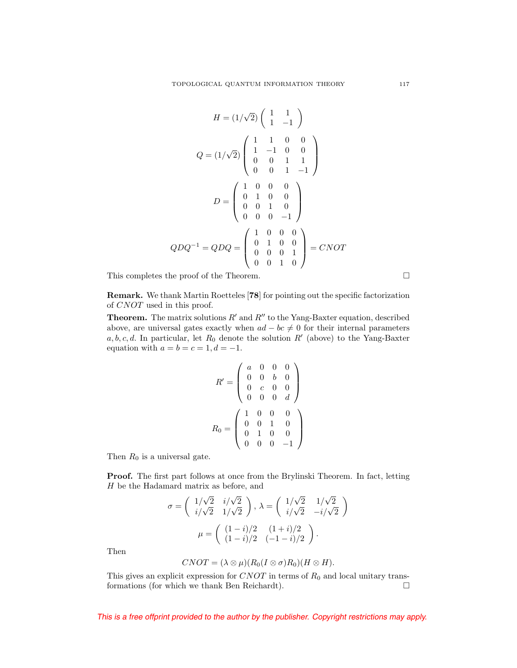$$
H = (1/\sqrt{2}) \begin{pmatrix} 1 & 1 \\ 1 & -1 \end{pmatrix}
$$
  
\n
$$
Q = (1/\sqrt{2}) \begin{pmatrix} 1 & 1 & 0 & 0 \\ 1 & -1 & 0 & 0 \\ 0 & 0 & 1 & 1 \\ 0 & 0 & 1 & -1 \end{pmatrix}
$$
  
\n
$$
D = \begin{pmatrix} 1 & 0 & 0 & 0 \\ 0 & 1 & 0 & 0 \\ 0 & 0 & 1 & 0 \\ 0 & 0 & 0 & -1 \end{pmatrix}
$$
  
\n
$$
QDQ^{-1} = QDQ = \begin{pmatrix} 1 & 0 & 0 & 0 \\ 0 & 1 & 0 & 0 \\ 0 & 0 & 0 & 1 \\ 0 & 0 & 1 & 0 \end{pmatrix} = CNOT
$$

This completes the proof of the Theorem.

**Remark.** We thank Martin Roetteles [**78**] for pointing out the specific factorization of CNOT used in this proof.

**Theorem.** The matrix solutions  $R'$  and  $R''$  to the Yang-Baxter equation, described above, are universal gates exactly when  $ad - bc \neq 0$  for their internal parameters  $a,b,c,d.$  In particular, let  $R_0$  denote the solution  $R^\prime$  (above) to the Yang-Baxter equation with  $a = b = c = 1, d = -1$ .

$$
R' = \begin{pmatrix} a & 0 & 0 & 0 \\ 0 & 0 & b & 0 \\ 0 & c & 0 & 0 \\ 0 & 0 & 0 & d \end{pmatrix}
$$

$$
R_0 = \begin{pmatrix} 1 & 0 & 0 & 0 \\ 0 & 0 & 1 & 0 \\ 0 & 1 & 0 & 0 \\ 0 & 0 & 0 & -1 \end{pmatrix}
$$

Then  $R_0$  is a universal gate.

**Proof.** The first part follows at once from the Brylinski Theorem. In fact, letting H be the Hadamard matrix as before, and

$$
\sigma = \begin{pmatrix} 1/\sqrt{2} & i/\sqrt{2} \\ i/\sqrt{2} & 1/\sqrt{2} \end{pmatrix}, \lambda = \begin{pmatrix} 1/\sqrt{2} & 1/\sqrt{2} \\ i/\sqrt{2} & -i/\sqrt{2} \end{pmatrix}
$$

$$
\mu = \begin{pmatrix} (1-i)/2 & (1+i)/2 \\ (1-i)/2 & (-1-i)/2 \end{pmatrix}.
$$

Then

$$
CNOT = (\lambda \otimes \mu)(R_0(I \otimes \sigma)R_0)(H \otimes H).
$$

This gives an explicit expression for  $CNOT$  in terms of  $R_0$  and local unitary transformations (for which we thank Ben Reichardt).  $\Box$ 

This is a free offprint provided to the author by the publisher. Copyright restrictions may apply.

 $\Box$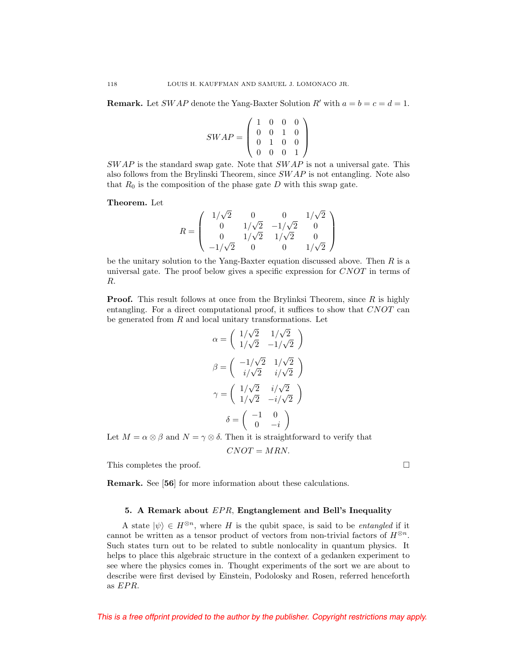**Remark.** Let SWAP denote the Yang-Baxter Solution R' with  $a = b = c = d = 1$ .

$$
SWAP = \left(\begin{array}{cccc} 1 & 0 & 0 & 0 \\ 0 & 0 & 1 & 0 \\ 0 & 1 & 0 & 0 \\ 0 & 0 & 0 & 1 \end{array}\right)
$$

 $SWAP$  is the standard swap gate. Note that  $SWAP$  is not a universal gate. This also follows from the Brylinski Theorem, since SW AP is not entangling. Note also that  $R_0$  is the composition of the phase gate D with this swap gate.

**Theorem.** Let

$$
R = \begin{pmatrix} 1/\sqrt{2} & 0 & 0 & 1/\sqrt{2} \\ 0 & 1/\sqrt{2} & -1/\sqrt{2} & 0 \\ 0 & 1/\sqrt{2} & 1/\sqrt{2} & 0 \\ -1/\sqrt{2} & 0 & 0 & 1/\sqrt{2} \end{pmatrix}
$$

be the unitary solution to the Yang-Baxter equation discussed above. Then  $R$  is a universal gate. The proof below gives a specific expression for CNOT in terms of R.

**Proof.** This result follows at once from the Brylinksi Theorem, since R is highly entangling. For a direct computational proof, it suffices to show that CNOT can be generated from  $R$  and local unitary transformations. Let

$$
\alpha = \begin{pmatrix} 1/\sqrt{2} & 1/\sqrt{2} \\ 1/\sqrt{2} & -1/\sqrt{2} \end{pmatrix}
$$

$$
\beta = \begin{pmatrix} -1/\sqrt{2} & 1/\sqrt{2} \\ i/\sqrt{2} & i/\sqrt{2} \end{pmatrix}
$$

$$
\gamma = \begin{pmatrix} 1/\sqrt{2} & i/\sqrt{2} \\ 1/\sqrt{2} & -i/\sqrt{2} \end{pmatrix}
$$

$$
\delta = \begin{pmatrix} -1 & 0 \\ 0 & -i \end{pmatrix}
$$

Let  $M = \alpha \otimes \beta$  and  $N = \gamma \otimes \delta$ . Then it is straightforward to verify that

$$
CNOT = MRN.
$$

 $\Box$ 

This completes the proof.

**Remark.** See [**56**] for more information about these calculations.

## **5. A Remark about** EP R, **Engtanglement and Bell's Inequality**

A state  $|\psi\rangle \in H^{\otimes n}$ , where H is the qubit space, is said to be *entangled* if it cannot be written as a tensor product of vectors from non-trivial factors of  $H^{\otimes n}$ . Such states turn out to be related to subtle nonlocality in quantum physics. It helps to place this algebraic structure in the context of a gedanken experiment to see where the physics comes in. Thought experiments of the sort we are about to describe were first devised by Einstein, Podolosky and Rosen, referred henceforth as  $EPR$ .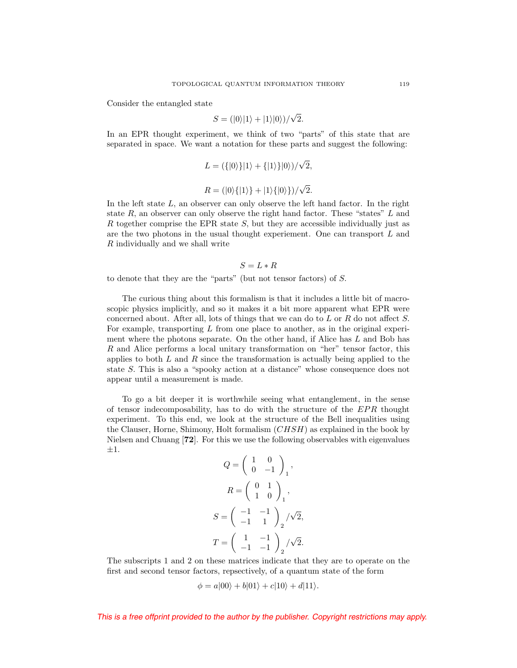Consider the entangled state

$$
S = (|0\rangle|1\rangle + |1\rangle|0\rangle)/\sqrt{2}.
$$

In an EPR thought experiment, we think of two "parts" of this state that are separated in space. We want a notation for these parts and suggest the following:

$$
L = (\{|0\rangle\}|1\rangle + \{|1\rangle\}|0\rangle)/\sqrt{2},
$$
  

$$
R = (|0\rangle\{|1\rangle\} + |1\rangle\{|0\rangle\})/\sqrt{2}.
$$

In the left state  $L$ , an observer can only observe the left hand factor. In the right state  $R$ , an observer can only observe the right hand factor. These "states"  $L$  and R together comprise the EPR state S, but they are accessible individually just as are the two photons in the usual thought experiement. One can transport  $L$  and R individually and we shall write

$$
S = L * R
$$

to denote that they are the "parts" (but not tensor factors) of S.

The curious thing about this formalism is that it includes a little bit of macroscopic physics implicitly, and so it makes it a bit more apparent what EPR were concerned about. After all, lots of things that we can do to  $L$  or  $R$  do not affect  $S$ . For example, transporting  $L$  from one place to another, as in the original experiment where the photons separate. On the other hand, if Alice has  $L$  and Bob has R and Alice performs a local unitary transformation on "her" tensor factor, this applies to both  $L$  and  $R$  since the transformation is actually being applied to the state S. This is also a "spooky action at a distance" whose consequence does not appear until a measurement is made.

To go a bit deeper it is worthwhile seeing what entanglement, in the sense of tensor indecomposability, has to do with the structure of the EPR thought experiment. To this end, we look at the structure of the Bell inequalities using the Clauser, Horne, Shimony, Holt formalism (CHSH) as explained in the book by Nielsen and Chuang [**72**]. For this we use the following observables with eigenvalues ±1.

$$
Q = \begin{pmatrix} 1 & 0 \\ 0 & -1 \end{pmatrix}_1,
$$
  
\n
$$
R = \begin{pmatrix} 0 & 1 \\ 1 & 0 \end{pmatrix}_1,
$$
  
\n
$$
S = \begin{pmatrix} -1 & -1 \\ -1 & 1 \end{pmatrix}_2 / \sqrt{2},
$$
  
\n
$$
T = \begin{pmatrix} 1 & -1 \\ -1 & -1 \end{pmatrix}_2 / \sqrt{2}.
$$

The subscripts 1 and 2 on these matrices indicate that they are to operate on the first and second tensor factors, repsectively, of a quantum state of the form

$$
\phi = a|00\rangle + b|01\rangle + c|10\rangle + d|11\rangle.
$$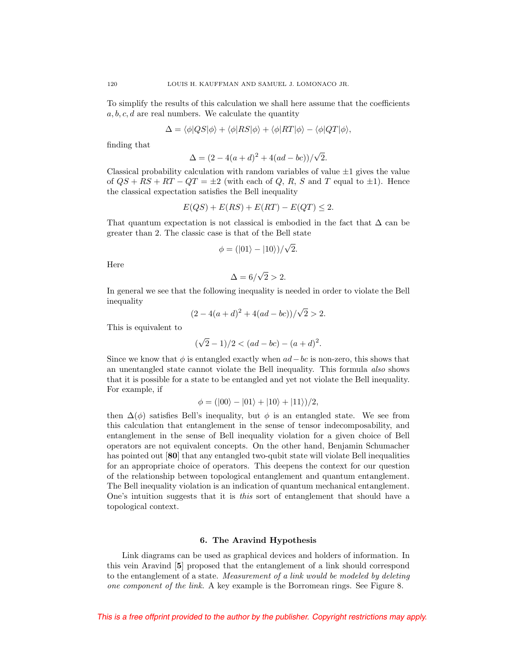To simplify the results of this calculation we shall here assume that the coefficients  $a, b, c, d$  are real numbers. We calculate the quantity

$$
\Delta = \langle \phi | QS|\phi\rangle + \langle \phi |RS|\phi\rangle + \langle \phi |RT|\phi\rangle - \langle \phi |QT|\phi\rangle,
$$

finding that

$$
\Delta = (2 - 4(a + d)^2 + 4(ad - bc))/\sqrt{2}.
$$

Classical probability calculation with random variables of value  $\pm 1$  gives the value of  $QS + RS + RT - QT = \pm 2$  (with each of Q, R, S and T equal to  $\pm 1$ ). Hence the classical expectation satisfies the Bell inequality

$$
E(QS) + E(RS) + E(RT) - E(QT) \le 2.
$$

That quantum expectation is not classical is embodied in the fact that  $\Delta$  can be greater than 2. The classic case is that of the Bell state

$$
\phi = (|01\rangle - |10\rangle)/\sqrt{2}.
$$

Here

$$
\Delta = 6/\sqrt{2} > 2.
$$

In general we see that the following inequality is needed in order to violate the Bell inequality √

$$
(2 - 4(a + d)^{2} + 4(ad - bc)) / \sqrt{2} > 2.
$$

This is equivalent to

$$
(\sqrt{2} - 1)/2 < (ad - bc) - (a + d)^2.
$$

Since we know that  $\phi$  is entangled exactly when  $ad-bc$  is non-zero, this shows that an unentangled state cannot violate the Bell inequality. This formula also shows that it is possible for a state to be entangled and yet not violate the Bell inequality. For example, if

$$
\phi = (|00\rangle - |01\rangle + |10\rangle + |11\rangle)/2,
$$

then  $\Delta(\phi)$  satisfies Bell's inequality, but  $\phi$  is an entangled state. We see from this calculation that entanglement in the sense of tensor indecomposability, and entanglement in the sense of Bell inequality violation for a given choice of Bell operators are not equivalent concepts. On the other hand, Benjamin Schumacher has pointed out [**80**] that any entangled two-qubit state will violate Bell inequalities for an appropriate choice of operators. This deepens the context for our question of the relationship between topological entanglement and quantum entanglement. The Bell inequality violation is an indication of quantum mechanical entanglement. One's intuition suggests that it is this sort of entanglement that should have a topological context.

#### **6. The Aravind Hypothesis**

Link diagrams can be used as graphical devices and holders of information. In this vein Aravind [**5**] proposed that the entanglement of a link should correspond to the entanglement of a state. Measurement of a link would be modeled by deleting one component of the link. A key example is the Borromean rings. See Figure 8.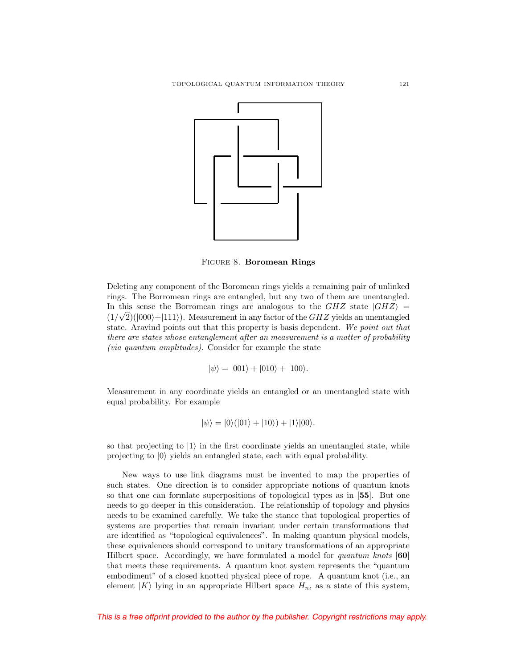

Figure 8. **Boromean Rings**

Deleting any component of the Boromean rings yields a remaining pair of unlinked rings. The Borromean rings are entangled, but any two of them are unentangled. In this sense the Borromean rings are analogous to the  $GHZ$  state  $|GHZ\rangle$  = In this sense the Borromean rings are analogous to the GHZ state  $|GHZ| = (1/\sqrt{2})(|000\rangle + |111\rangle)$ . Measurement in any factor of the GHZ yields an unentangled state. Aravind points out that this property is basis dependent. We point out that there are states whose entanglement after an measurement is a matter of probability (via quantum amplitudes). Consider for example the state

 $|\psi\rangle = |001\rangle + |010\rangle + |100\rangle.$ 

Measurement in any coordinate yields an entangled or an unentangled state with equal probability. For example

$$
|\psi\rangle = |0\rangle (|01\rangle + |10\rangle) + |1\rangle |00\rangle.
$$

so that projecting to  $|1\rangle$  in the first coordinate yields an unentangled state, while projecting to  $|0\rangle$  yields an entangled state, each with equal probability.

New ways to use link diagrams must be invented to map the properties of such states. One direction is to consider appropriate notions of quantum knots so that one can formlate superpositions of topological types as in [**55**]. But one needs to go deeper in this consideration. The relationship of topology and physics needs to be examined carefully. We take the stance that topological properties of systems are properties that remain invariant under certain transformations that are identified as "topological equivalences". In making quantum physical models, these equivalences should correspond to unitary transformations of an appropriate Hilbert space. Accordingly, we have formulated a model for quantum knots [**60**] that meets these requirements. A quantum knot system represents the "quantum embodiment" of a closed knotted physical piece of rope. A quantum knot (i.e., an element  $|K\rangle$  lying in an appropriate Hilbert space  $H_n$ , as a state of this system,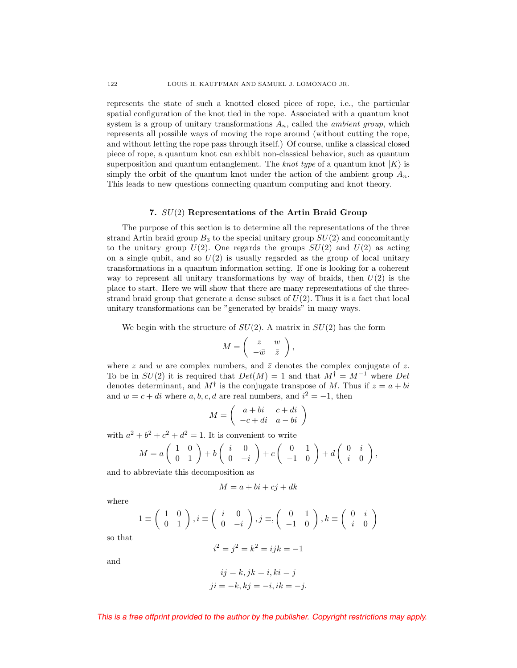represents the state of such a knotted closed piece of rope, i.e., the particular spatial configuration of the knot tied in the rope. Associated with a quantum knot system is a group of unitary transformations  $A_n$ , called the *ambient group*, which represents all possible ways of moving the rope around (without cutting the rope, and without letting the rope pass through itself.) Of course, unlike a classical closed piece of rope, a quantum knot can exhibit non-classical behavior, such as quantum superposition and quantum entanglement. The knot type of a quantum knot  $|K\rangle$  is simply the orbit of the quantum knot under the action of the ambient group  $A_n$ . This leads to new questions connecting quantum computing and knot theory.

### **7.** SU(2) **Representations of the Artin Braid Group**

The purpose of this section is to determine all the representations of the three strand Artin braid group  $B_3$  to the special unitary group  $SU(2)$  and concomitantly to the unitary group  $U(2)$ . One regards the groups  $SU(2)$  and  $U(2)$  as acting on a single qubit, and so  $U(2)$  is usually regarded as the group of local unitary transformations in a quantum information setting. If one is looking for a coherent way to represent all unitary transformations by way of braids, then  $U(2)$  is the place to start. Here we will show that there are many representations of the threestrand braid group that generate a dense subset of  $U(2)$ . Thus it is a fact that local unitary transformations can be "generated by braids" in many ways.

We begin with the structure of  $SU(2)$ . A matrix in  $SU(2)$  has the form

$$
M = \left( \begin{array}{cc} z & w \\ -\bar{w} & \bar{z} \end{array} \right),
$$

where z and w are complex numbers, and  $\bar{z}$  denotes the complex conjugate of z. To be in  $SU(2)$  it is required that  $Det(M) = 1$  and that  $M^{\dagger} = M^{-1}$  where  $Det$ denotes determinant, and  $M^{\dagger}$  is the conjugate transpose of M. Thus if  $z = a + bi$ and  $w = c + di$  where  $a, b, c, d$  are real numbers, and  $i^2 = -1$ , then

$$
M = \left( \begin{array}{cc} a+bi & c+di \\ -c+di & a-bi \end{array} \right)
$$

with  $a^2 + b^2 + c^2 + d^2 = 1$ . It is convenient to write

$$
M = a \begin{pmatrix} 1 & 0 \\ 0 & 1 \end{pmatrix} + b \begin{pmatrix} i & 0 \\ 0 & -i \end{pmatrix} + c \begin{pmatrix} 0 & 1 \\ -1 & 0 \end{pmatrix} + d \begin{pmatrix} 0 & i \\ i & 0 \end{pmatrix},
$$

and to abbreviate this decomposition as

$$
M = a + bi + cj + dk
$$

where

$$
1 \equiv \left( \begin{array}{cc} 1 & 0 \\ 0 & 1 \end{array} \right), i \equiv \left( \begin{array}{cc} i & 0 \\ 0 & -i \end{array} \right), j \equiv, \left( \begin{array}{cc} 0 & 1 \\ -1 & 0 \end{array} \right), k \equiv \left( \begin{array}{cc} 0 & i \\ i & 0 \end{array} \right)
$$

so that

$$
i^2 = j^2 = k^2 = ijk = -1
$$

and

$$
ij = k, jk = i, ki = j
$$
  

$$
ji = -k, kj = -i, ik = -j.
$$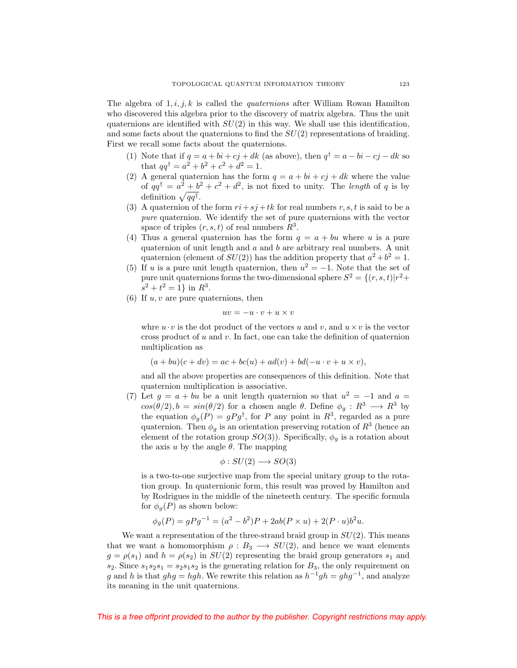The algebra of  $1, i, j, k$  is called the *quaternions* after William Rowan Hamilton who discovered this algebra prior to the discovery of matrix algebra. Thus the unit quaternions are identified with  $SU(2)$  in this way. We shall use this identification, and some facts about the quaternions to find the  $SU(2)$  representations of braiding. First we recall some facts about the quaternions.

- (1) Note that if  $q = a + bi + cj + dk$  (as above), then  $q^{\dagger} = a bi cj dk$  so that  $qq^{\dagger} = a^2 + b^2 + c^2 + d^2 = 1$ .
- (2) A general quaternion has the form  $q = a + bi + cj + dk$  where the value of  $qq^{\dagger} = a^2 + b^2 + c^2 + d^2$ , is not fixed to unity. The length of q is by definition  $\sqrt{qq^{\dagger}}$ .
- (3) A quaternion of the form  $ri + sj + tk$  for real numbers r, s, t is said to be a pure quaternion. We identify the set of pure quaternions with the vector space of triples  $(r, s, t)$  of real numbers  $R<sup>3</sup>$ .
- (4) Thus a general quaternion has the form  $q = a + bu$  where u is a pure quaternion of unit length and  $a$  and  $b$  are arbitrary real numbers. A unit quaternion (element of  $SU(2)$ ) has the addition property that  $a^2 + b^2 = 1$ .
- (5) If u is a pure unit length quaternion, then  $u^2 = -1$ . Note that the set of pure unit quaternions forms the two-dimensional sphere  $S^2 = \{(r, s, t)|r^2+\}$  $s^2 + t^2 = 1$ } in  $R^3$ .
- (6) If  $u, v$  are pure quaternions, then

$$
uv=-u\cdot v+u\times v
$$

whre  $u \cdot v$  is the dot product of the vectors u and v, and  $u \times v$  is the vector cross product of  $u$  and  $v$ . In fact, one can take the definition of quaternion multiplication as

$$
(a+bu)(c+dv) = ac + bc(u) + ad(v) + bd(-u \cdot v + u \times v),
$$

and all the above properties are consequences of this definition. Note that quaternion multiplication is associative.

(7) Let  $g = a + bu$  be a unit length quaternion so that  $u^2 = -1$  and  $a =$  $cos(\theta/2), b = sin(\theta/2)$  for a chosen angle  $\theta$ . Define  $\phi_g : R^3 \longrightarrow R^3$  by the equation  $\phi_g(P) = gPg^{\dagger}$ , for P any point in  $R^3$ , regarded as a pure quaternion. Then  $\phi_g$  is an orientation preserving rotation of  $R^3$  (hence an element of the rotation group  $SO(3)$ ). Specifically,  $\phi_g$  is a rotation about the axis u by the angle  $\theta$ . The mapping

$$
\phi: SU(2) \longrightarrow SO(3)
$$

is a two-to-one surjective map from the special unitary group to the rotation group. In quaternionic form, this result was proved by Hamilton and by Rodrigues in the middle of the nineteeth century. The specific formula for  $\phi_a(P)$  as shown below:

$$
\phi_g(P) = gPg^{-1} = (a^2 - b^2)P + 2ab(P \times u) + 2(P \cdot u)b^2u.
$$

We want a representation of the three-strand braid group in  $SU(2)$ . This means that we want a homomorphism  $\rho : B_3 \longrightarrow SU(2)$ , and hence we want elements  $g = \rho(s_1)$  and  $h = \rho(s_2)$  in  $SU(2)$  representing the braid group generators  $s_1$  and  $s_2$ . Since  $s_1s_2s_1 = s_2s_1s_2$  is the generating relation for  $B_3$ , the only requirement on g and h is that  $ghg = hgh$ . We rewrite this relation as  $h^{-1}gh = ghg^{-1}$ , and analyze its meaning in the unit quaternions.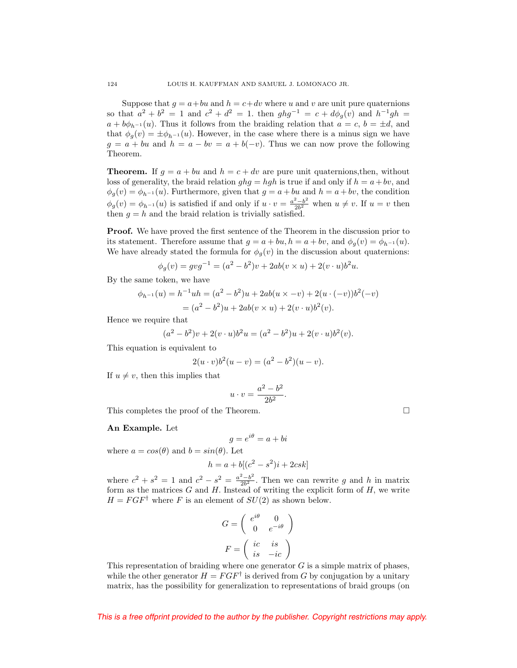Suppose that  $g = a + bu$  and  $h = c + dv$  where u and v are unit pure quaternions so that  $a^2 + b^2 = 1$  and  $c^2 + d^2 = 1$ . then  $ghg^{-1} = c + d\phi_g(v)$  and  $h^{-1}gh =$  $a + b\phi_{h^{-1}}(u)$ . Thus it follows from the braiding relation that  $a = c, b = \pm d$ , and that  $\phi_q(v) = \pm \phi_{h^{-1}}(u)$ . However, in the case where there is a minus sign we have  $g = a + bu$  and  $h = a - bv = a + b(-v)$ . Thus we can now prove the following Theorem.

**Theorem.** If  $g = a + bu$  and  $h = c + dv$  are pure unit quaternions, then, without loss of generality, the braid relation  $ghq = hqh$  is true if and only if  $h = a + bv$ , and  $\phi_g(v) = \phi_{h^{-1}}(u)$ . Furthermore, given that  $g = a + bu$  and  $h = a + bv$ , the condition  $\phi_g(v) = \phi_{h^{-1}}(u)$  is satisfied if and only if  $u \cdot v = \frac{a^2 - b^2}{2b^2}$  when  $u \neq v$ . If  $u = v$  then then  $g = h$  and the braid relation is trivially satisfied.

**Proof.** We have proved the first sentence of the Theorem in the discussion prior to its statement. Therefore assume that  $g = a + bu, h = a + bv$ , and  $\phi_q(v) = \phi_{h^{-1}}(u)$ . We have already stated the formula for  $\phi_q(v)$  in the discussion about quaternions:

$$
\phi_g(v) = gyg^{-1} = (a^2 - b^2)v + 2ab(v \times u) + 2(v \cdot u)b^2u.
$$

By the same token, we have

$$
\phi_{h^{-1}}(u) = h^{-1}uh = (a^2 - b^2)u + 2ab(u \times -v) + 2(u \cdot (-v))b^2(-v)
$$
  
=  $(a^2 - b^2)u + 2ab(v \times u) + 2(v \cdot u)b^2(v).$ 

Hence we require that

$$
(a2 – b2)v + 2(v · u)b2u = (a2 – b2)u + 2(v · u)b2(v).
$$

This equation is equivalent to

$$
2(u \cdot v)b^{2}(u - v) = (a^{2} - b^{2})(u - v).
$$

If  $u \neq v$ , then this implies that

$$
u \cdot v = \frac{a^2 - b^2}{2b^2}.
$$

This completes the proof of the Theorem.  $\Box$ 

#### **An Example.** Let

$$
g = e^{i\theta} = a + bi
$$

where  $a = cos(\theta)$  and  $b = sin(\theta)$ . Let

$$
h = a + b[(c^2 - s^2)i + 2csk]
$$

where  $c^2 + s^2 = 1$  and  $c^2 - s^2 = \frac{a^2 - b^2}{2b^2}$ . Then we can rewrite g and h in matrix form as the matrices  $G$  and  $H$ . Instead of writing the explicit form of  $H$ , we write  $H = F G F^{\dagger}$  where F is an element of  $SU(2)$  as shown below.

$$
G = \begin{pmatrix} e^{i\theta} & 0 \\ 0 & e^{-i\theta} \end{pmatrix}
$$

$$
F = \begin{pmatrix} ic & is \\ is & -ic \end{pmatrix}
$$

This representation of braiding where one generator  $G$  is a simple matrix of phases, while the other generator  $H = F G F^{\dagger}$  is derived from G by conjugation by a unitary matrix, has the possibility for generalization to representations of braid groups (on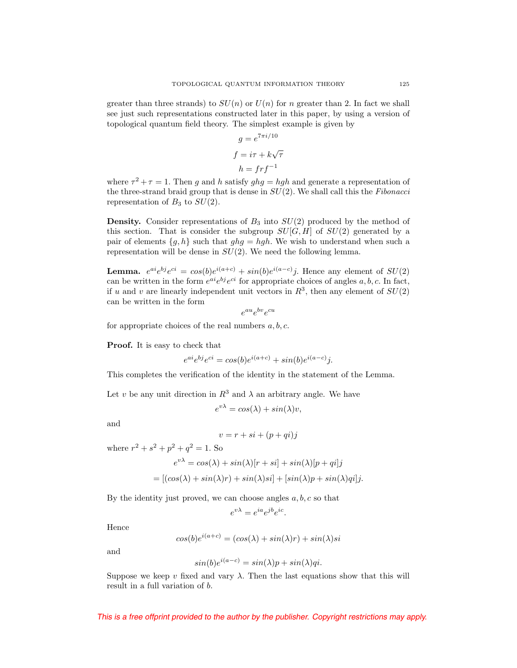greater than three strands) to  $SU(n)$  or  $U(n)$  for n greater than 2. In fact we shall see just such representations constructed later in this paper, by using a version of topological quantum field theory. The simplest example is given by

$$
g = e^{7\pi i/10}
$$

$$
f = i\tau + k\sqrt{\tau}
$$

$$
h = frf^{-1}
$$

where  $\tau^2 + \tau = 1$ . Then g and h satisfy  $ghg = hgh$  and generate a representation of the three-strand braid group that is dense in  $SU(2)$ . We shall call this the Fibonacci representation of  $B_3$  to  $SU(2)$ .

**Density.** Consider representations of  $B_3$  into  $SU(2)$  produced by the method of this section. That is consider the subgroup  $SU(G, H]$  of  $SU(2)$  generated by a pair of elements  $\{g, h\}$  such that  $ghg = hgh$ . We wish to understand when such a representation will be dense in  $SU(2)$ . We need the following lemma.

**Lemma.**  $e^{ai}e^{bj}e^{ci} = cos(b)e^{i(a+c)} + sin(b)e^{i(a-c)}j$ . Hence any element of  $SU(2)$ can be written in the form  $e^{ai}e^{bj}e^{ci}$  for appropriate choices of angles a, b, c. In fact, if u and v are linearly independent unit vectors in  $R<sup>3</sup>$ , then any element of  $SU(2)$ can be written in the form

$$
e^{au}e^{bv}e^{cu}
$$

for appropriate choices of the real numbers  $a, b, c$ .

**Proof.** It is easy to check that

$$
e^{ai}e^{bj}e^{ci} = \cos(b)e^{i(a+c)} + \sin(b)e^{i(a-c)}j.
$$

This completes the verification of the identity in the statement of the Lemma.

Let v be any unit direction in  $R^3$  and  $\lambda$  an arbitrary angle. We have

 $e^{v\lambda} = cos(\lambda) + sin(\lambda)v,$ 

and

$$
v = r + si + (p + qi)j
$$

where  $r^2 + s^2 + p^2 + q^2 = 1$ . So

$$
e^{v\lambda} = \cos(\lambda) + \sin(\lambda)[r + si] + \sin(\lambda)[p + qi]j
$$
  
= 
$$
[(\cos(\lambda) + \sin(\lambda)r) + \sin(\lambda)si] + [\sin(\lambda)p + \sin(\lambda)qi]j.
$$

By the identity just proved, we can choose angles  $a, b, c$  so that

$$
e^{v\lambda} = e^{ia}e^{jb}e^{ic}.
$$

Hence

$$
cos(b)e^{i(a+c)} = (cos(\lambda) + sin(\lambda)r) + sin(\lambda)si
$$

and

$$
sin(b)e^{i(a-c)} = sin(\lambda)p + sin(\lambda)qi.
$$

Suppose we keep v fixed and vary  $\lambda$ . Then the last equations show that this will result in a full variation of b.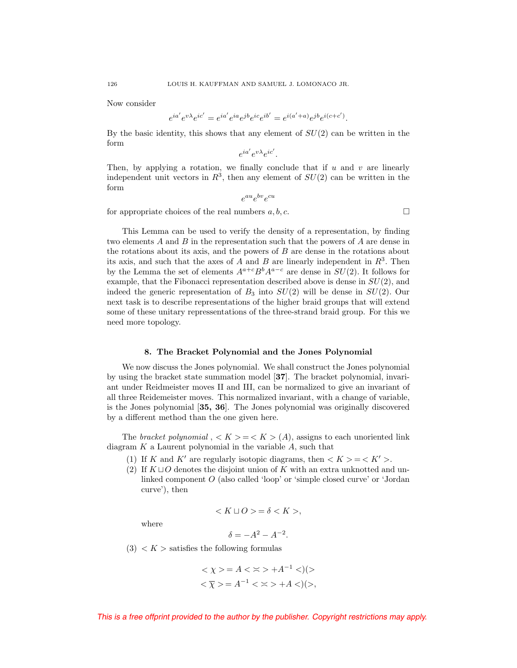Now consider

$$
e^{ia'}e^{v\lambda}e^{ic'} = e^{ia'}e^{ia}e^{jb}e^{ic}e^{ib'} = e^{i(a'+a)}e^{jb}e^{i(c+c')}.
$$

By the basic identity, this shows that any element of  $SU(2)$  can be written in the form

$$
e^{ia'}e^{v\lambda}e^{ic'}.
$$

Then, by applying a rotation, we finally conclude that if  $u$  and  $v$  are linearly independent unit vectors in  $R^3$ , then any element of  $SU(2)$  can be written in the form

$$
e^{au}e^{bv}e^{cu}
$$

for appropriate choices of the real numbers  $a, b, c$ .  $\Box$ 

This Lemma can be used to verify the density of a representation, by finding two elements A and B in the representation such that the powers of A are dense in the rotations about its axis, and the powers of  $B$  are dense in the rotations about its axis, and such that the axes of A and B are linearly independent in  $R<sup>3</sup>$ . Then by the Lemma the set of elements  $A^{a+c}B^bA^{a-c}$  are dense in  $SU(2)$ . It follows for example, that the Fibonacci representation described above is dense in  $SU(2)$ , and indeed the generic representation of  $B_3$  into  $SU(2)$  will be dense in  $SU(2)$ . Our next task is to describe representations of the higher braid groups that will extend some of these unitary repressentations of the three-strand braid group. For this we need more topology.

### **8. The Bracket Polynomial and the Jones Polynomial**

We now discuss the Jones polynomial. We shall construct the Jones polynomial by using the bracket state summation model [**37**]. The bracket polynomial, invariant under Reidmeister moves II and III, can be normalized to give an invariant of all three Reidemeister moves. This normalized invariant, with a change of variable, is the Jones polynomial [**35, 36**]. The Jones polynomial was originally discovered by a different method than the one given here.

The bracket polynomial,  $\langle K \rangle = \langle K \rangle$  (A), assigns to each unoriented link diagram  $K$  a Laurent polynomial in the variable  $A$ , such that

- (1) If K and K' are regularly isotopic diagrams, then  $\langle K \rangle = \langle K' \rangle$ .
- (2) If  $K \sqcup O$  denotes the disjoint union of K with an extra unknotted and unlinked component O (also called 'loop' or 'simple closed curve' or 'Jordan curve'), then

$$
\langle K \sqcup O \rangle = \delta \langle K \rangle,
$$

where

$$
\delta = -A^2 - A^{-2}.
$$

 $(3)$  < K > satisfies the following formulas

$$
\langle \chi \rangle = A \langle \chi \rangle + A^{-1} \langle \chi \rangle
$$
  

$$
\langle \overline{\chi} \rangle = A^{-1} \langle \chi \rangle + A \langle \chi \rangle
$$

This is a free offprint provided to the author by the publisher. Copyright restrictions may apply.

126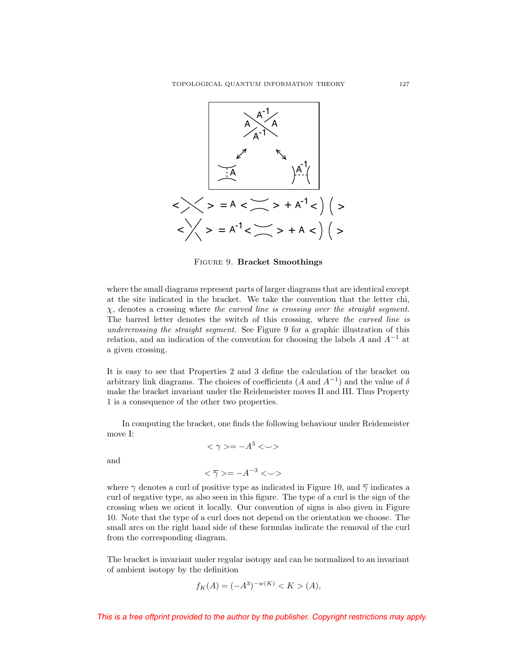

Figure 9. **Bracket Smoothings**

where the small diagrams represent parts of larger diagrams that are identical except at the site indicated in the bracket. We take the convention that the letter chi,  $\chi$ , denotes a crossing where the curved line is crossing over the straight segment. The barred letter denotes the switch of this crossing, where the curved line is undercrossing the straight segment. See Figure 9 for a graphic illustration of this relation, and an indication of the convention for choosing the labels A and  $A^{-1}$  at a given crossing.

It is easy to see that Properties 2 and 3 define the calculation of the bracket on arbitrary link diagrams. The choices of coefficients (A and  $A^{-1}$ ) and the value of  $\delta$ make the bracket invariant under the Reidemeister moves II and III. Thus Property 1 is a consequence of the other two properties.

In computing the bracket, one finds the following behaviour under Reidemeister move I:

$$
<\gamma>=-A^3<\cdots>
$$

and

$$
<\overline{\gamma}>=-A^{-3} < \cdots >
$$

where  $\gamma$  denotes a curl of positive type as indicated in Figure 10, and  $\overline{\gamma}$  indicates a curl of negative type, as also seen in this figure. The type of a curl is the sign of the crossing when we orient it locally. Our convention of signs is also given in Figure 10. Note that the type of a curl does not depend on the orientation we choose. The small arcs on the right hand side of these formulas indicate the removal of the curl from the corresponding diagram.

The bracket is invariant under regular isotopy and can be normalized to an invariant of ambient isotopy by the definition

$$
f_K(A) = (-A^3)^{-w(K)} < K > (A),
$$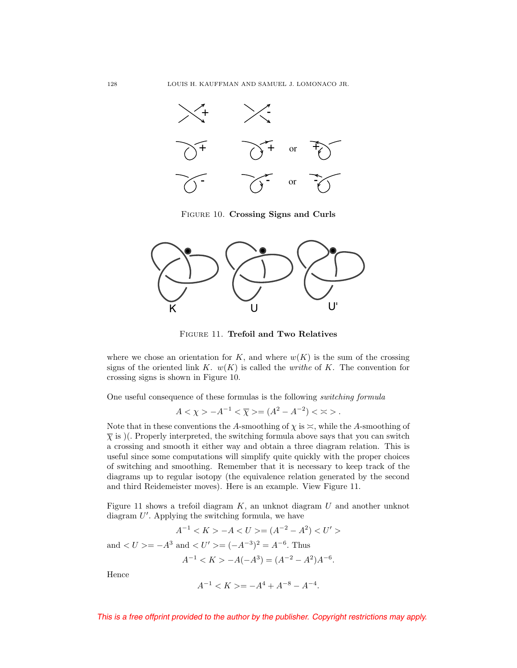

Figure 10. **Crossing Signs and Curls**



Figure 11. **Trefoil and Two Relatives**

where we chose an orientation for  $K$ , and where  $w(K)$  is the sum of the crossing signs of the oriented link K.  $w(K)$  is called the *writhe* of K. The convention for crossing signs is shown in Figure 10.

One useful consequence of these formulas is the following switching formula

$$
A < \chi > -A^{-1} < \overline{\chi} > = (A^2 - A^{-2}) < \frac{1}{2} > .
$$

Note that in these conventions the A-smoothing of  $\chi$  is  $\asymp$ , while the A-smoothing of  $\bar{\chi}$  is )(. Properly interpreted, the switching formula above says that you can switch a crossing and smooth it either way and obtain a three diagram relation. This is useful since some computations will simplify quite quickly with the proper choices of switching and smoothing. Remember that it is necessary to keep track of the diagrams up to regular isotopy (the equivalence relation generated by the second and third Reidemeister moves). Here is an example. View Figure 11.

Figure 11 shows a trefoil diagram  $K$ , an unknot diagram  $U$  and another unknot diagram  $U'$ . Applying the switching formula, we have

$$
A^{-1} < K > -A < U > = (A^{-2} - A^2) < U' > 0
$$

and  $\langle U \rangle = -A^3$  and  $\langle U' \rangle = (-A^{-3})^2 = A^{-6}$ . Thus

$$
A^{-1} < K > -A(-A^3) = (A^{-2} - A^2)A^{-6}.
$$

Hence

$$
A^{-1} < K > = -A^4 + A^{-8} - A^{-4}.
$$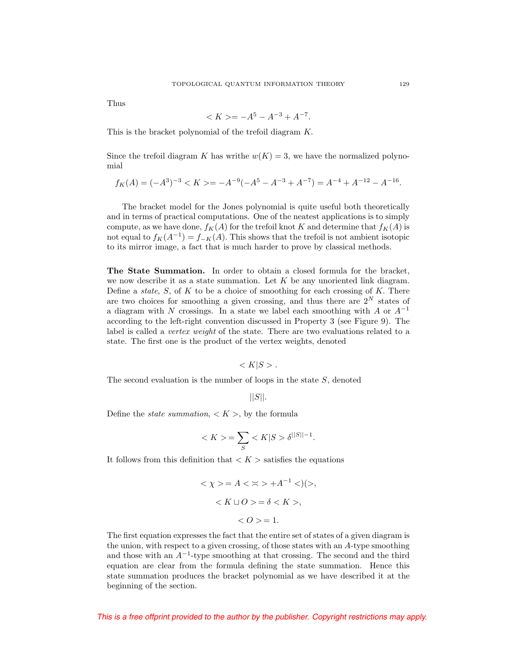Thus

$$
\langle K \rangle = -A^5 - A^{-3} + A^{-7}.
$$

This is the bracket polynomial of the trefoil diagram K.

Since the trefoil diagram K has writhe  $w(K)=3$ , we have the normalized polynomial

$$
f_K(A) = (-A^3)^{-3} < K \ge -A^{-9}(-A^5 - A^{-3} + A^{-7}) = A^{-4} + A^{-12} - A^{-16}.
$$

The bracket model for the Jones polynomial is quite useful both theoretically and in terms of practical computations. One of the neatest applications is to simply compute, as we have done,  $f_K(A)$  for the trefoil knot K and determine that  $f_K(A)$  is not equal to  $f_K(A^{-1}) = f_{-K}(A)$ . This shows that the trefoil is not ambient isotopic to its mirror image, a fact that is much harder to prove by classical methods.

**The State Summation.** In order to obtain a closed formula for the bracket, we now describe it as a state summation. Let  $K$  be any unoriented link diagram. Define a *state*,  $S$ , of  $K$  to be a choice of smoothing for each crossing of  $K$ . There are two choices for smoothing a given crossing, and thus there are  $2^N$  states of a diagram with N crossings. In a state we label each smoothing with A or  $A^{-1}$ according to the left-right convention discussed in Property 3 (see Figure 9). The label is called a vertex weight of the state. There are two evaluations related to a state. The first one is the product of the vertex weights, denoted

 $\langle K|S\rangle$ .

The second evaluation is the number of loops in the state  $S$ , denoted

 $||S||.$ 

Define the *state summation*,  $\lt K$ , by the formula

$$
=\sum_{S}\delta^{\vert |S\vert \vert-1}.
$$

It follows from this definition that  $\langle K \rangle$  satisfies the equations

$$
\langle \chi \rangle = A \langle \chi \rangle + A^{-1} \langle \chi \rangle,
$$
  

$$
\langle K \sqcup O \rangle = \delta \langle K \rangle,
$$
  

$$
\langle O \rangle = 1.
$$

The first equation expresses the fact that the entire set of states of a given diagram is the union, with respect to a given crossing, of those states with an A-type smoothing and those with an  $A^{-1}$ -type smoothing at that crossing. The second and the third equation are clear from the formula defining the state summation. Hence this state summation produces the bracket polynomial as we have described it at the beginning of the section.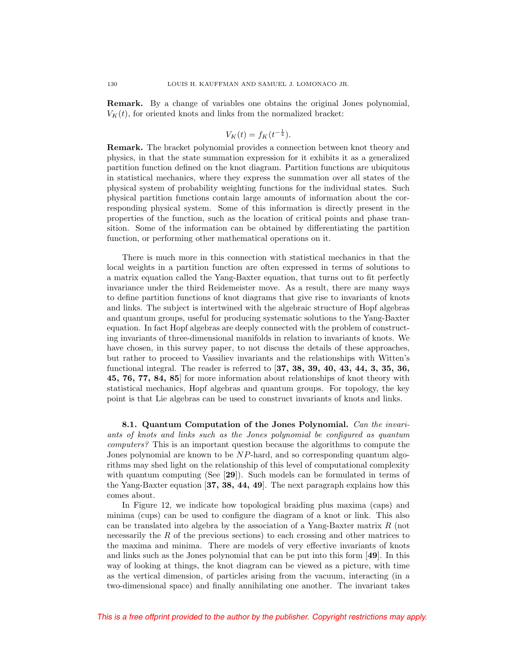**Remark.** By a change of variables one obtains the original Jones polynomial,  $V_K(t)$ , for oriented knots and links from the normalized bracket:

$$
V_K(t) = f_K(t^{-\frac{1}{4}}).
$$

**Remark.** The bracket polynomial provides a connection between knot theory and physics, in that the state summation expression for it exhibits it as a generalized partition function defined on the knot diagram. Partition functions are ubiquitous in statistical mechanics, where they express the summation over all states of the physical system of probability weighting functions for the individual states. Such physical partition functions contain large amounts of information about the corresponding physical system. Some of this information is directly present in the properties of the function, such as the location of critical points and phase transition. Some of the information can be obtained by differentiating the partition function, or performing other mathematical operations on it.

There is much more in this connection with statistical mechanics in that the local weights in a partition function are often expressed in terms of solutions to a matrix equation called the Yang-Baxter equation, that turns out to fit perfectly invariance under the third Reidemeister move. As a result, there are many ways to define partition functions of knot diagrams that give rise to invariants of knots and links. The subject is intertwined with the algebraic structure of Hopf algebras and quantum groups, useful for producing systematic solutions to the Yang-Baxter equation. In fact Hopf algebras are deeply connected with the problem of constructing invariants of three-dimensional manifolds in relation to invariants of knots. We have chosen, in this survey paper, to not discuss the details of these approaches, but rather to proceed to Vassiliev invariants and the relationships with Witten's functional integral. The reader is referred to [**37, 38, 39, 40, 43, 44, 3, 35, 36, 45, 76, 77, 84, 85**] for more information about relationships of knot theory with statistical mechanics, Hopf algebras and quantum groups. For topology, the key point is that Lie algebras can be used to construct invariants of knots and links.

**8.1. Quantum Computation of the Jones Polynomial.** Can the invariants of knots and links such as the Jones polynomial be configured as quantum computers? This is an important question because the algorithms to compute the Jones polynomial are known to be  $NP$ -hard, and so corresponding quantum algorithms may shed light on the relationship of this level of computational complexity with quantum computing (See [**29**]). Such models can be formulated in terms of the Yang-Baxter equation [**37, 38, 44, 49**]. The next paragraph explains how this comes about.

In Figure 12, we indicate how topological braiding plus maxima (caps) and minima (cups) can be used to configure the diagram of a knot or link. This also can be translated into algebra by the association of a Yang-Baxter matrix  $R$  (not necessarily the R of the previous sections) to each crossing and other matrices to the maxima and minima. There are models of very effective invariants of knots and links such as the Jones polynomial that can be put into this form [**49**]. In this way of looking at things, the knot diagram can be viewed as a picture, with time as the vertical dimension, of particles arising from the vacuum, interacting (in a two-dimensional space) and finally annihilating one another. The invariant takes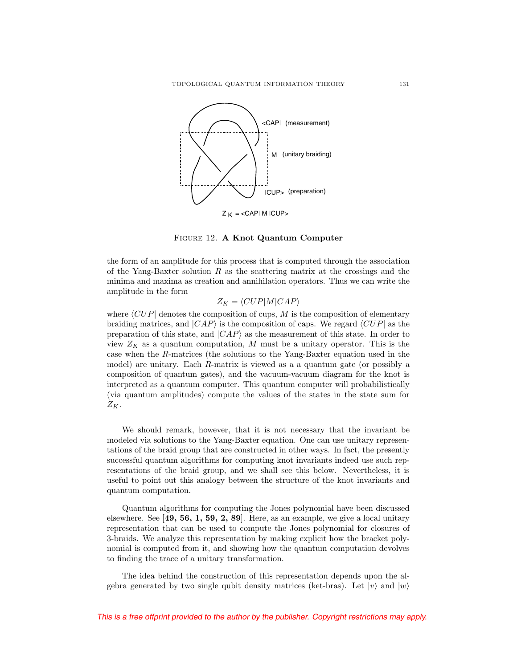

Figure 12. **A Knot Quantum Computer**

the form of an amplitude for this process that is computed through the association of the Yang-Baxter solution  $R$  as the scattering matrix at the crossings and the minima and maxima as creation and annihilation operators. Thus we can write the amplitude in the form

$$
Z_K = \langle CUP|M|CAP\rangle
$$

where  $\langle CUP|$  denotes the composition of cups, M is the composition of elementary braiding matrices, and  $|CAP\rangle$  is the composition of caps. We regard  $\langle CUP|$  as the preparation of this state, and  $|CAP\rangle$  as the measurement of this state. In order to view  $Z_K$  as a quantum computation, M must be a unitary operator. This is the case when the R-matrices (the solutions to the Yang-Baxter equation used in the model) are unitary. Each R-matrix is viewed as a a quantum gate (or possibly a composition of quantum gates), and the vacuum-vacuum diagram for the knot is interpreted as a quantum computer. This quantum computer will probabilistically (via quantum amplitudes) compute the values of the states in the state sum for  $Z_K$ .

We should remark, however, that it is not necessary that the invariant be modeled via solutions to the Yang-Baxter equation. One can use unitary representations of the braid group that are constructed in other ways. In fact, the presently successful quantum algorithms for computing knot invariants indeed use such representations of the braid group, and we shall see this below. Nevertheless, it is useful to point out this analogy between the structure of the knot invariants and quantum computation.

Quantum algorithms for computing the Jones polynomial have been discussed elsewhere. See [**49, 56, 1, 59, 2, 89**]. Here, as an example, we give a local unitary representation that can be used to compute the Jones polynomial for closures of 3-braids. We analyze this representation by making explicit how the bracket polynomial is computed from it, and showing how the quantum computation devolves to finding the trace of a unitary transformation.

The idea behind the construction of this representation depends upon the algebra generated by two single qubit density matrices (ket-bras). Let  $|v\rangle$  and  $|w\rangle$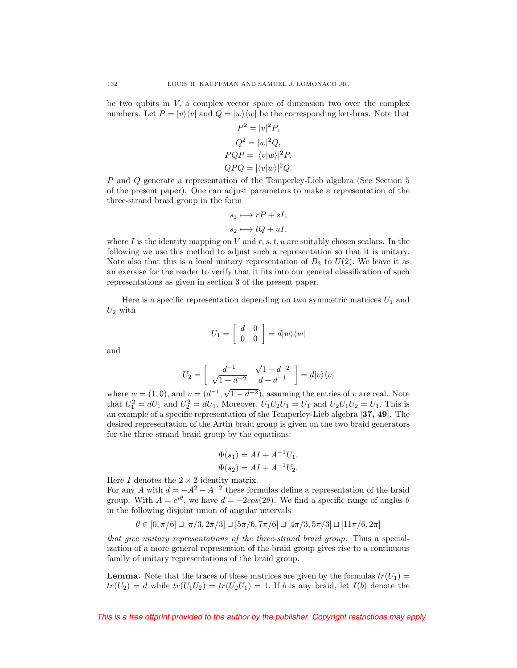be two qubits in  $V$ , a complex vector space of dimension two over the complex numbers. Let  $P = |v\rangle\langle v|$  and  $Q = |w\rangle\langle w|$  be the corresponding ket-bras. Note that

$$
P2 = |v|2P,
$$
  
\n
$$
Q2 = |w|2Q,
$$
  
\n
$$
PQP = |\langle v|w \rangle|2P,
$$
  
\n
$$
QPQ = |\langle v|w \rangle|2Q.
$$

P and Q generate a representation of the Temperley-Lieb algebra (See Section 5 of the present paper). One can adjust parameters to make a representation of the three-strand braid group in the form

$$
s_1 \longmapsto rP + sI,
$$
  

$$
s_2 \longmapsto tQ + uI,
$$

where I is the identity mapping on V and  $r, s, t, u$  are suitably chosen scalars. In the following we use this method to adjust such a representation so that it is unitary. Note also that this is a local unitary representation of  $B_3$  to  $U(2)$ . We leave it as an exersise for the reader to verify that it fits into our general classification of such representations as given in section 3 of the present paper.

Here is a specific representation depending on two symmetric matrices  $U_1$  and  $U_2$  with

$$
U_1 = \left[ \begin{array}{cc} d & 0 \\ 0 & 0 \end{array} \right] = d|w\rangle\langle w|
$$

and

$$
U_2 = \begin{bmatrix} d^{-1} & \sqrt{1 - d^{-2}} \\ \sqrt{1 - d^{-2}} & d - d^{-1} \end{bmatrix} = d|v\rangle\langle v|
$$

where  $w = (1,0)$ , and  $v = (d^{-1}, \sqrt{1-d^{-2}})$ , assuming the entries of v are real. Note that  $U_1^2 = dU_1$  and  $U_2^2 = dU_1$ . Moreover,  $U_1U_2U_1 = U_1$  and  $U_2U_1U_2 = U_1$ . This is an example of a specific representation of the Temperley-Lieb algebra [**37, 49**]. The desired representation of the Artin braid group is given on the two braid generators for the three strand braid group by the equations:

$$
\Phi(s_1) = AI + A^{-1}U_1,
$$
  

$$
\Phi(s_2) = AI + A^{-1}U_2.
$$

Here  $I$  denotes the  $2 \times 2$  identity matrix.

For any A with  $d = -A^2 - A^{-2}$  these formulas define a representation of the braid group. With  $A = e^{i\theta}$ , we have  $d = -2\cos(2\theta)$ . We find a specific range of angles  $\theta$ in the following disjoint union of angular intervals

$$
\theta \in [0, \pi/6] \sqcup [\pi/3, 2\pi/3] \sqcup [5\pi/6, 7\pi/6] \sqcup [4\pi/3, 5\pi/3] \sqcup [11\pi/6, 2\pi]
$$

that give unitary representations of the three-strand braid group. Thus a specialization of a more general represention of the braid group gives rise to a continuous family of unitary representations of the braid group.

**Lemma.** Note that the traces of these matrices are given by the formulas  $tr(U_1)$  =  $tr(U_2) = d$  while  $tr(U_1U_2) = tr(U_2U_1) = 1$ . If b is any braid, let  $I(b)$  denote the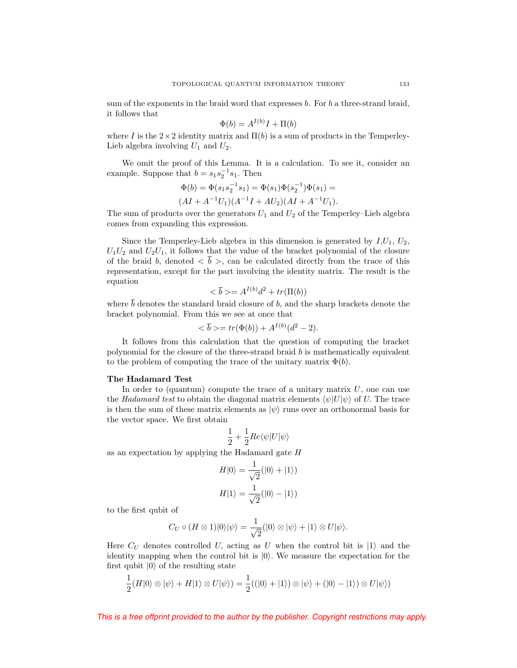sum of the exponents in the braid word that expresses  $b$ . For  $b$  a three-strand braid, it follows that

$$
\Phi(b) = A^{I(b)}I + \Pi(b)
$$

where I is the  $2\times 2$  identity matrix and  $\Pi(b)$  is a sum of products in the Temperley-Lieb algebra involving  $U_1$  and  $U_2$ .

We omit the proof of this Lemma. It is a calculation. To see it, consider an example. Suppose that  $b = s_1 s_2^{-1} s_1$ . Then

$$
\Phi(b) = \Phi(s_1 s_2^{-1} s_1) = \Phi(s_1) \Phi(s_2^{-1}) \Phi(s_1) =
$$
  

$$
(AI + A^{-1} U_1)(A^{-1} I + AU_2)(AI + A^{-1} U_1).
$$

The sum of products over the generators  $U_1$  and  $U_2$  of the Temperley–Lieb algebra comes from expanding this expression.

Since the Temperley-Lieb algebra in this dimension is generated by  $I, U_1, U_2$ ,  $U_1U_2$  and  $U_2U_1$ , it follows that the value of the bracket polynomial of the closure of the braid b, denoted  $\langle \overline{b} \rangle$ , can be calculated directly from the trace of this representation, except for the part involving the identity matrix. The result is the equation

$$
\langle \overline{b} \rangle = A^{I(b)} d^2 + tr(\Pi(b))
$$

where  $\overline{b}$  denotes the standard braid closure of b, and the sharp brackets denote the bracket polynomial. From this we see at once that

$$
\langle \bar{b} \rangle = tr(\Phi(b)) + A^{I(b)}(d^2 - 2).
$$

It follows from this calculation that the question of computing the bracket polynomial for the closure of the three-strand braid  $b$  is mathematically equivalent to the problem of computing the trace of the unitary matrix  $\Phi(b)$ .

### **The Hadamard Test**

In order to (quantum) compute the trace of a unitary matrix  $U$ , one can use the Hadamard test to obtain the diagonal matrix elements  $\langle \psi | U | \psi \rangle$  of U. The trace is then the sum of these matrix elements as  $|\psi\rangle$  runs over an orthonormal basis for the vector space. We first obtain

$$
\frac{1}{2}+\frac{1}{2}Re\langle\psi|U|\psi\rangle
$$

as an expectation by applying the Hadamard gate H

$$
H|0\rangle = \frac{1}{\sqrt{2}}(|0\rangle + |1\rangle)
$$

$$
H|1\rangle = \frac{1}{\sqrt{2}}(|0\rangle - |1\rangle)
$$

to the first qubit of

$$
C_U \circ (H \otimes 1)|0\rangle |\psi\rangle = \frac{1}{\sqrt{2}} (|0\rangle \otimes |\psi\rangle + |1\rangle \otimes U|\psi\rangle.
$$

Here  $C_U$  denotes controlled U, acting as U when the control bit is  $|1\rangle$  and the identity mapping when the control bit is  $|0\rangle$ . We measure the expectation for the first qubit  $|0\rangle$  of the resulting state

$$
\frac{1}{2}(H|0\rangle \otimes |\psi\rangle + H|1\rangle \otimes U|\psi\rangle) = \frac{1}{2}((|0\rangle + |1\rangle) \otimes |\psi\rangle + (|0\rangle - |1\rangle) \otimes U|\psi\rangle)
$$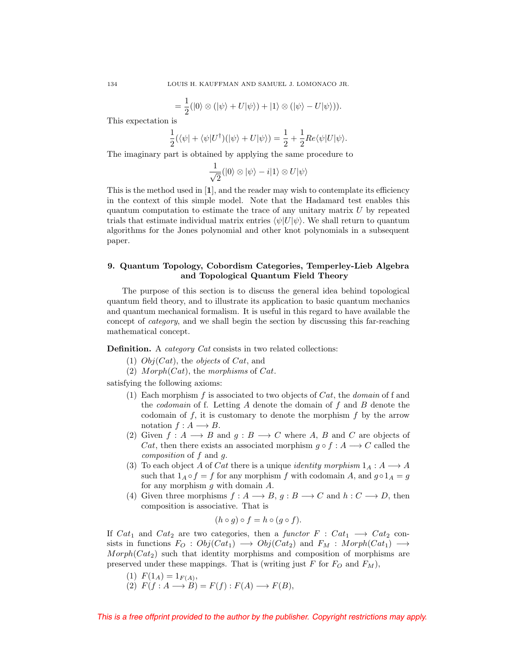$$
= \frac{1}{2} (|0\rangle \otimes (|\psi\rangle + U|\psi\rangle) + |1\rangle \otimes (|\psi\rangle - U|\psi\rangle)).
$$

This expectation is

$$
\frac{1}{2}(\langle \psi | + \langle \psi | U^{\dagger} \rangle (|\psi \rangle + U |\psi \rangle) = \frac{1}{2} + \frac{1}{2} Re \langle \psi | U | \psi \rangle.
$$

The imaginary part is obtained by applying the same procedure to

$$
\frac{1}{\sqrt{2}}(|0\rangle \otimes |\psi\rangle - i|1\rangle \otimes U|\psi\rangle
$$

This is the method used in [**1**], and the reader may wish to contemplate its efficiency in the context of this simple model. Note that the Hadamard test enables this quantum computation to estimate the trace of any unitary matrix  $U$  by repeated trials that estimate individual matrix entries  $\langle \psi | U | \psi \rangle$ . We shall return to quantum algorithms for the Jones polynomial and other knot polynomials in a subsequent paper.

# **9. Quantum Topology, Cobordism Categories, Temperley-Lieb Algebra and Topological Quantum Field Theory**

The purpose of this section is to discuss the general idea behind topological quantum field theory, and to illustrate its application to basic quantum mechanics and quantum mechanical formalism. It is useful in this regard to have available the concept of category, and we shall begin the section by discussing this far-reaching mathematical concept.

**Definition.** A *category Cat* consists in two related collections:

- (1)  $Obj(Cat)$ , the *objects* of *Cat*, and
- (2) Morph $(Cat)$ , the morphisms of  $Cat$ .

satisfying the following axioms:

- (1) Each morphism f is associated to two objects of  $Cat$ , the domain of f and the *codomain* of f. Letting  $A$  denote the domain of  $f$  and  $B$  denote the codomain of  $f$ , it is customary to denote the morphism  $f$  by the arrow notation  $f : A \longrightarrow B$ .
- (2) Given  $f: A \longrightarrow B$  and  $g: B \longrightarrow C$  where A, B and C are objects of *Cat*, then there exists an associated morphism  $g \circ f : A \longrightarrow C$  called the composition of f and g.
- (3) To each object A of Cat there is a unique *identity morphism*  $1_A : A \longrightarrow A$ such that  $1_A \circ f = f$  for any morphism f with codomain A, and  $g \circ 1_A = g$ for any morphism g with domain A.
- (4) Given three morphisms  $f : A \longrightarrow B$ ,  $g : B \longrightarrow C$  and  $h : C \longrightarrow D$ , then composition is associative. That is

$$
(h \circ g) \circ f = h \circ (g \circ f).
$$

If  $Cat_1$  and  $Cat_2$  are two categories, then a functor  $F : Cat_1 \longrightarrow Cat_2$  consists in functions  $F_O : Obj(Cat_1) \longrightarrow Obj(Cat_2)$  and  $F_M : Morph(Cat_1) \longrightarrow$  $Morph(Cat<sub>2</sub>)$  such that identity morphisms and composition of morphisms are preserved under these mappings. That is (writing just  $F$  for  $F_Q$  and  $F_M$ ),

- (1)  $F(1_A)=1_{F(A)},$
- (2)  $F(f: A \longrightarrow B) = F(f): F(A) \longrightarrow F(B),$

134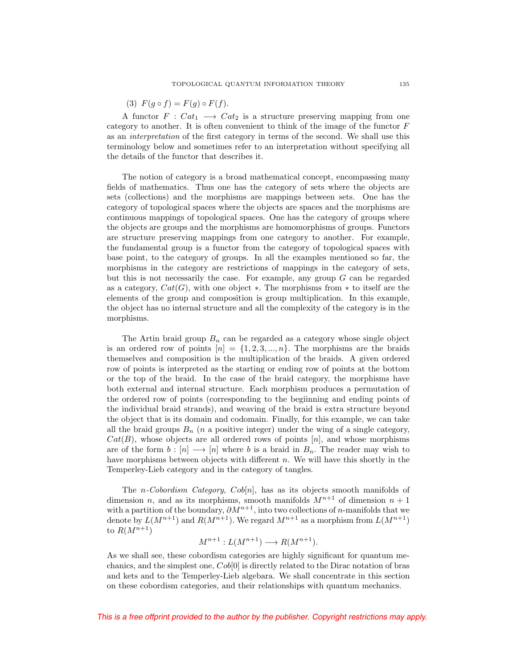(3)  $F(g \circ f) = F(g) \circ F(f)$ .

A functor  $F: Cat_1 \longrightarrow Cat_2$  is a structure preserving mapping from one category to another. It is often convenient to think of the image of the functor  $F$ as an interpretation of the first category in terms of the second. We shall use this terminology below and sometimes refer to an interpretation without specifying all the details of the functor that describes it.

The notion of category is a broad mathematical concept, encompassing many fields of mathematics. Thus one has the category of sets where the objects are sets (collections) and the morphisms are mappings between sets. One has the category of topological spaces where the objects are spaces and the morphisms are continuous mappings of topological spaces. One has the category of groups where the objects are groups and the morphisms are homomorphisms of groups. Functors are structure preserving mappings from one category to another. For example, the fundamental group is a functor from the category of topological spaces with base point, to the category of groups. In all the examples mentioned so far, the morphisms in the category are restrictions of mappings in the category of sets, but this is not necessarily the case. For example, any group  $G$  can be regarded as a category,  $Cat(G)$ , with one object  $*$ . The morphisms from  $*$  to itself are the elements of the group and composition is group multiplication. In this example, the object has no internal structure and all the complexity of the category is in the morphisms.

The Artin braid group  $B_n$  can be regarded as a category whose single object is an ordered row of points  $[n] = \{1, 2, 3, ..., n\}$ . The morphisms are the braids themselves and composition is the multiplication of the braids. A given ordered row of points is interpreted as the starting or ending row of points at the bottom or the top of the braid. In the case of the braid category, the morphisms have both external and internal structure. Each morphism produces a permutation of the ordered row of points (corresponding to the begiinning and ending points of the individual braid strands), and weaving of the braid is extra structure beyond the object that is its domain and codomain. Finally, for this example, we can take all the braid groups  $B_n$  (*n* a positive integer) under the wing of a single category,  $Cat(B)$ , whose objects are all ordered rows of points [n], and whose morphisms are of the form  $b : [n] \longrightarrow [n]$  where b is a braid in  $B_n$ . The reader may wish to have morphisms between objects with different  $n$ . We will have this shortly in the Temperley-Lieb category and in the category of tangles.

The *n*-Cobordism Category, Cob[n], has as its objects smooth manifolds of dimension n, and as its morphisms, smooth manifolds  $M^{n+1}$  of dimension  $n+1$ with a partition of the boundary,  $\partial M^{n+1}$ , into two collections of n-manifolds that we denote by  $L(M^{n+1})$  and  $R(M^{n+1})$ . We regard  $M^{n+1}$  as a morphism from  $L(M^{n+1})$ to  $R(M^{n+1})$ 

$$
M^{n+1}: L(M^{n+1}) \longrightarrow R(M^{n+1}).
$$

As we shall see, these cobordism categories are highly significant for quantum mechanics, and the simplest one, Cob[0] is directly related to the Dirac notation of bras and kets and to the Temperley-Lieb algebara. We shall concentrate in this section on these cobordism categories, and their relationships with quantum mechanics.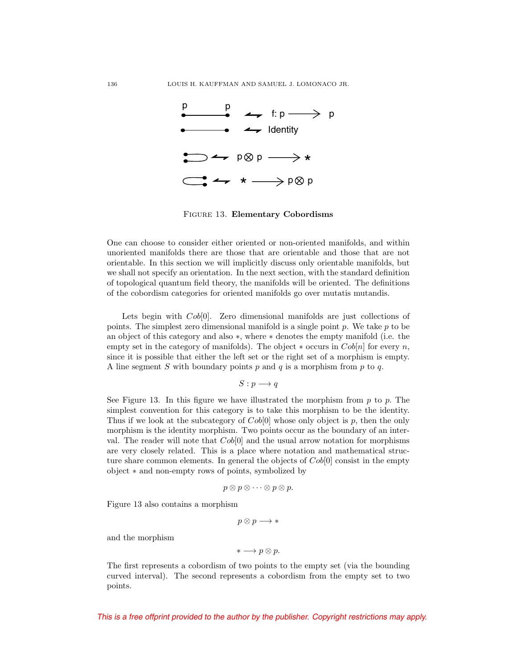

Figure 13. **Elementary Cobordisms**

One can choose to consider either oriented or non-oriented manifolds, and within unoriented manifolds there are those that are orientable and those that are not orientable. In this section we will implicitly discuss only orientable manifolds, but we shall not specify an orientation. In the next section, with the standard definition of topological quantum field theory, the manifolds will be oriented. The definitions of the cobordism categories for oriented manifolds go over mutatis mutandis.

Lets begin with *Cob*[0]. Zero dimensional manifolds are just collections of points. The simplest zero dimensional manifold is a single point  $p$ . We take  $p$  to be an object of this category and also ∗, where ∗ denotes the empty manifold (i.e. the empty set in the category of manifolds). The object  $*$  occurs in  $Cob[n]$  for every n, since it is possible that either the left set or the right set of a morphism is empty. A line segment S with boundary points  $p$  and  $q$  is a morphism from  $p$  to  $q$ .

$$
S: p \longrightarrow q
$$

See Figure 13. In this figure we have illustrated the morphism from  $p$  to  $p$ . The simplest convention for this category is to take this morphism to be the identity. Thus if we look at the subcategory of  $Cob[0]$  whose only object is p, then the only morphism is the identity morphism. Two points occur as the boundary of an interval. The reader will note that  $Cob[0]$  and the usual arrow notation for morphisms are very closely related. This is a place where notation and mathematical structure share common elements. In general the objects of  $Cob[0]$  consist in the empty object ∗ and non-empty rows of points, symbolized by

$$
p\otimes p\otimes\cdots\otimes p\otimes p.
$$

Figure 13 also contains a morphism

$$
p\otimes p\longrightarrow \ast
$$

and the morphism

$$
\ast \longrightarrow p \otimes p.
$$

The first represents a cobordism of two points to the empty set (via the bounding curved interval). The second represents a cobordism from the empty set to two points.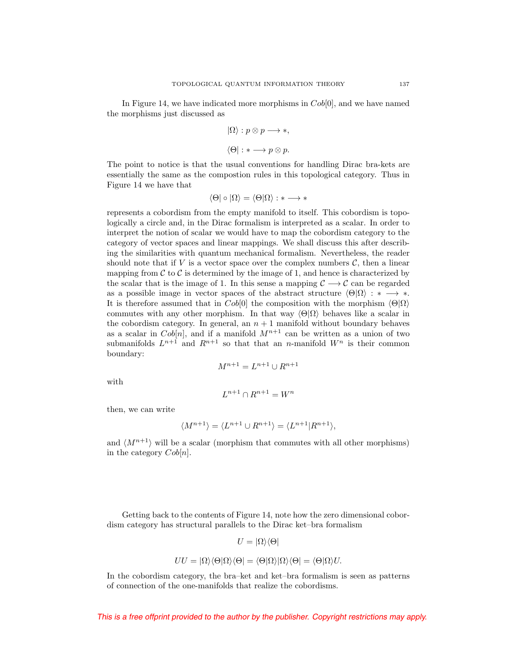In Figure 14, we have indicated more morphisms in  $Cob[0]$ , and we have named the morphisms just discussed as

$$
|\Omega\rangle : p \otimes p \longrightarrow *,
$$
  

$$
\langle \Theta | : * \longrightarrow p \otimes p.
$$

The point to notice is that the usual conventions for handling Dirac bra-kets are essentially the same as the compostion rules in this topological category. Thus in Figure 14 we have that

$$
\langle \Theta | \circ | \Omega \rangle = \langle \Theta | \Omega \rangle : * \longrightarrow *
$$

represents a cobordism from the empty manifold to itself. This cobordism is topologically a circle and, in the Dirac formalism is interpreted as a scalar. In order to interpret the notion of scalar we would have to map the cobordism category to the category of vector spaces and linear mappings. We shall discuss this after describing the similarities with quantum mechanical formalism. Nevertheless, the reader should note that if V is a vector space over the complex numbers  $\mathcal{C}$ , then a linear mapping from  $\mathcal C$  to  $\mathcal C$  is determined by the image of 1, and hence is characterized by the scalar that is the image of 1. In this sense a mapping  $C \rightarrow C$  can be regarded as a possible image in vector spaces of the abstract structure  $\langle \Theta | \Omega \rangle : * \longrightarrow *$ . It is therefore assumed that in Cob[0] the composition with the morphism  $\langle \Theta | \Omega \rangle$ commutes with any other morphism. In that way  $\langle \Theta | \Omega \rangle$  behaves like a scalar in the cobordism category. In general, an  $n + 1$  manifold without boundary behaves as a scalar in  $Cob[n]$ , and if a manifold  $M^{n+1}$  can be written as a union of two submanifolds  $L^{n+1}$  and  $R^{n+1}$  so that that an n-manifold  $W^n$  is their common boundary:

$$
M^{n+1} = L^{n+1} \cup R^{n+1}
$$

with

$$
L^{n+1} \cap R^{n+1} = W^n
$$

then, we can write

$$
\langle M^{n+1} \rangle = \langle L^{n+1} \cup R^{n+1} \rangle = \langle L^{n+1} | R^{n+1} \rangle,
$$

and  $\langle M^{n+1} \rangle$  will be a scalar (morphism that commutes with all other morphisms) in the category  $Cob[n]$ .

Getting back to the contents of Figure 14, note how the zero dimensional cobordism category has structural parallels to the Dirac ket–bra formalism

$$
U = |\Omega\rangle\langle\Theta|
$$

$$
UU = |\Omega\rangle\langle\Theta|\Omega\rangle\langle\Theta| = \langle\Theta|\Omega\rangle|\Omega\rangle\langle\Theta| = \langle\Theta|\Omega\rangle U.
$$

In the cobordism category, the bra–ket and ket–bra formalism is seen as patterns of connection of the one-manifolds that realize the cobordisms.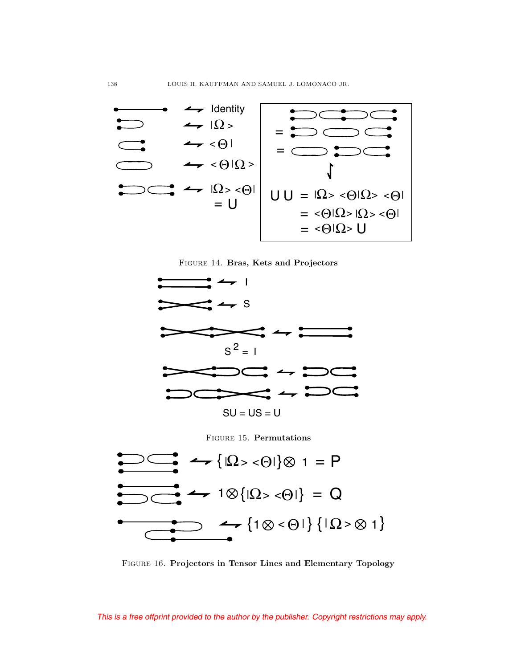

Figure 14. **Bras, Kets and Projectors**







Figure 16. **Projectors in Tensor Lines and Elementary Topology**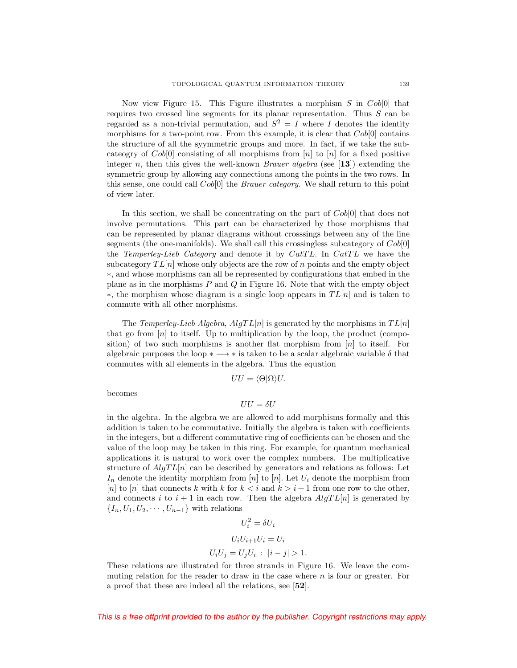Now view Figure 15. This Figure illustrates a morphism  $S$  in  $Cob[0]$  that requires two crossed line segments for its planar representation. Thus S can be regarded as a non-trivial permutation, and  $S^2 = I$  where I denotes the identity morphisms for a two-point row. From this example, it is clear that  $Cob[0]$  contains the structure of all the syymmetric groups and more. In fact, if we take the subcateogry of  $Cob[0]$  consisting of all morphisms from [n] to [n] for a fixed positive integer n, then this gives the well-known Brauer algebra (see [**13**]) extending the symmetric group by allowing any connections among the points in the two rows. In this sense, one could call Cob[0] the Brauer category. We shall return to this point of view later.

In this section, we shall be concentrating on the part of  $Cob[0]$  that does not involve permutations. This part can be characterized by those morphisms that can be represented by planar diagrams without crosssings between any of the line segments (the one-manifolds). We shall call this crossingless subcategory of  $Cob[0]$ the Temperley-Lieb Category and denote it by  $CatTL$ . In  $CatTL$  we have the subcategory  $TL[n]$  whose only objects are the row of n points and the empty object ∗, and whose morphisms can all be represented by configurations that embed in the plane as in the morphisms  $P$  and  $Q$  in Figure 16. Note that with the empty object  $*$ , the morphism whose diagram is a single loop appears in  $TL[n]$  and is taken to commute with all other morphisms.

The Temperley-Lieb Algebra,  $AlgTL[n]$  is generated by the morphisms in  $TL[n]$ that go from  $[n]$  to itself. Up to multiplication by the loop, the product (composition) of two such morphisms is another flat morphism from  $[n]$  to itself. For algebraic purposes the loop  $* \longrightarrow *$  is taken to be a scalar algebraic variable  $\delta$  that commutes with all elements in the algebra. Thus the equation

$$
UU = \langle \Theta | \Omega \rangle U.
$$

becomes

$$
UU=\delta U
$$

in the algebra. In the algebra we are allowed to add morphisms formally and this addition is taken to be commutative. Initially the algebra is taken with coefficients in the integers, but a different commutative ring of coefficients can be chosen and the value of the loop may be taken in this ring. For example, for quantum mechanical applications it is natural to work over the complex numbers. The multiplicative structure of  $AlgTL[n]$  can be described by generators and relations as follows: Let  $I_n$  denote the identity morphism from [n] to [n]. Let  $U_i$  denote the morphism from [n] to [n] that connects k with k for  $k < i$  and  $k > i + 1$  from one row to the other, and connects i to  $i + 1$  in each row. Then the algebra  $AlgTL[n]$  is generated by  $\{I_n, U_1, U_2, \cdots, U_{n-1}\}\$  with relations

$$
U_i^2 = \delta U_i
$$

$$
U_i U_{i+1} U_i = U_i
$$

$$
U_i U_j = U_j U_i : |i - j| > 1.
$$

These relations are illustrated for three strands in Figure 16. We leave the commuting relation for the reader to draw in the case where  $n$  is four or greater. For a proof that these are indeed all the relations, see [**52**].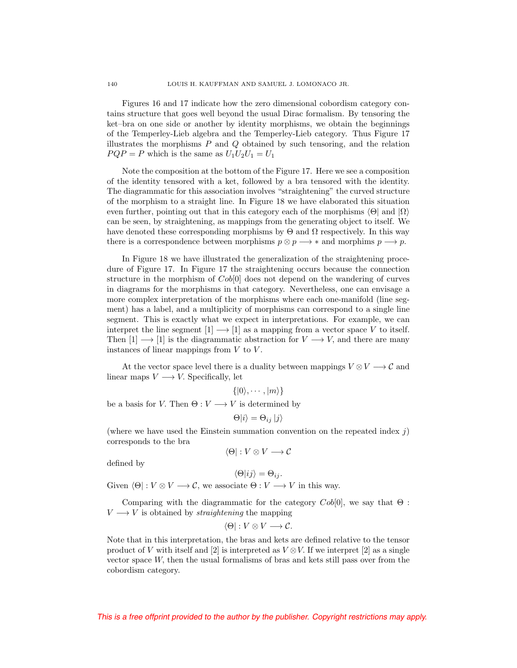Figures 16 and 17 indicate how the zero dimensional cobordism category contains structure that goes well beyond the usual Dirac formalism. By tensoring the ket–bra on one side or another by identity morphisms, we obtain the beginnings of the Temperley-Lieb algebra and the Temperley-Lieb category. Thus Figure 17 illustrates the morphisms  $P$  and  $Q$  obtained by such tensoring, and the relation  $PQP = P$  which is the same as  $U_1U_2U_1 = U_1$ 

Note the composition at the bottom of the Figure 17. Here we see a composition of the identity tensored with a ket, followed by a bra tensored with the identity. The diagrammatic for this association involves "straightening" the curved structure of the morphism to a straight line. In Figure 18 we have elaborated this situation even further, pointing out that in this category each of the morphisms  $\langle \Theta |$  and  $|\Omega \rangle$ can be seen, by straightening, as mappings from the generating object to itself. We have denoted these corresponding morphisms by  $\Theta$  and  $\Omega$  respectively. In this way there is a correspondence between morphisms  $p \otimes p \longrightarrow *$  and morphims  $p \longrightarrow p$ .

In Figure 18 we have illustrated the generalization of the straightening procedure of Figure 17. In Figure 17 the straightening occurs because the connection structure in the morphism of  $Cob[0]$  does not depend on the wandering of curves in diagrams for the morphisms in that category. Nevertheless, one can envisage a more complex interpretation of the morphisms where each one-manifold (line segment) has a label, and a multiplicity of morphisms can correspond to a single line segment. This is exactly what we expect in interpretations. For example, we can interpret the line segment  $[1] \longrightarrow [1]$  as a mapping from a vector space V to itself. Then  $[1] \longrightarrow [1]$  is the diagrammatic abstraction for  $V \longrightarrow V$ , and there are many instances of linear mappings from  $V$  to  $V$ .

At the vector space level there is a duality between mappings  $V \otimes V \longrightarrow \mathcal{C}$  and linear maps  $V \longrightarrow V$ . Specifically, let

$$
\{|0\rangle, \cdots, |m\rangle\}
$$

be a basis for V. Then  $\Theta: V \longrightarrow V$  is determined by

$$
\Theta|i\rangle = \Theta_{ij} |j\rangle
$$

(where we have used the Einstein summation convention on the repeated index  $j$ ) corresponds to the bra

$$
\langle \Theta|: V \otimes V \longrightarrow \mathcal{C}
$$

defined by

$$
\langle \Theta | ij \rangle = \Theta_{ij}.
$$

Given  $\langle \Theta | : V \otimes V \longrightarrow \mathcal{C}$ , we associate  $\Theta : V \longrightarrow V$  in this way.

Comparing with the diagrammatic for the category  $Cob[0]$ , we say that  $\Theta$ :  $V \longrightarrow V$  is obtained by *straightening* the mapping

$$
\langle \Theta | : V \otimes V \longrightarrow \mathcal{C}.
$$

Note that in this interpretation, the bras and kets are defined relative to the tensor product of V with itself and [2] is interpreted as  $V \otimes V$ . If we interpret [2] as a single vector space  $W$ , then the usual formalisms of bras and kets still pass over from the cobordism category.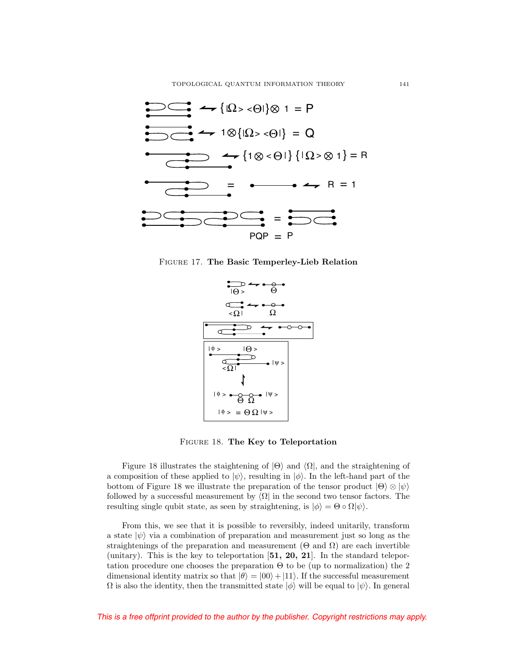

Figure 17. **The Basic Temperley-Lieb Relation**



Figure 18. **The Key to Teleportation**

Figure 18 illustrates the staightening of  $|\Theta\rangle$  and  $\langle\Omega|$ , and the straightening of a composition of these applied to  $|\psi\rangle$ , resulting in  $|\phi\rangle$ . In the left-hand part of the bottom of Figure 18 we illustrate the preparation of the tensor product  $|\Theta\rangle \otimes |\psi\rangle$ followed by a successful measurement by  $\langle \Omega |$  in the second two tensor factors. The resulting single qubit state, as seen by straightening, is  $|\phi\rangle = \Theta \circ \Omega |\psi\rangle$ .

From this, we see that it is possible to reversibly, indeed unitarily, transform a state  $|\psi\rangle$  via a combination of preparation and measurement just so long as the straightenings of the preparation and measurement  $(\Theta \text{ and } \Omega)$  are each invertible (unitary). This is the key to teleportation [**51, 20, 21**]. In the standard teleportation procedure one chooses the preparation  $\Theta$  to be (up to normalization) the 2 dimensional identity matrix so that  $|\theta\rangle = |00\rangle + |11\rangle$ . If the successful measurement  $\Omega$  is also the identity, then the transmitted state  $|\phi\rangle$  will be equal to  $|\psi\rangle$ . In general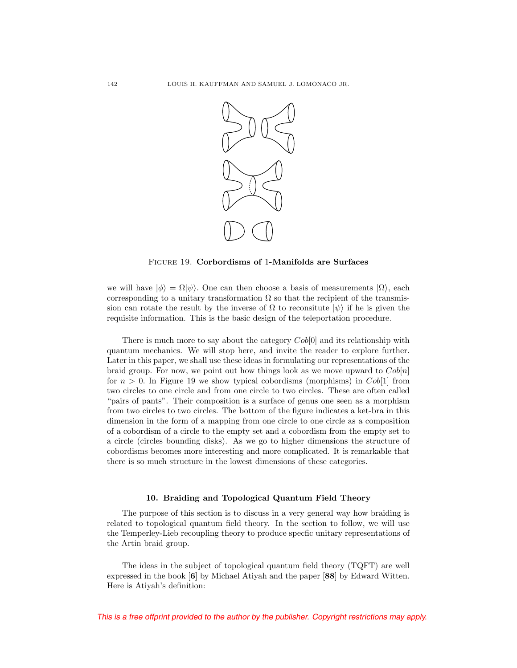

Figure 19. **Corbordisms of** 1**-Manifolds are Surfaces**

we will have  $|\phi\rangle = \Omega |\psi\rangle$ . One can then choose a basis of measurements  $|\Omega\rangle$ , each corresponding to a unitary transformation  $\Omega$  so that the recipient of the transmission can rotate the result by the inverse of  $\Omega$  to reconsitute  $|\psi\rangle$  if he is given the requisite information. This is the basic design of the teleportation procedure.

There is much more to say about the category  $Cob[0]$  and its relationship with quantum mechanics. We will stop here, and invite the reader to explore further. Later in this paper, we shall use these ideas in formulating our representations of the braid group. For now, we point out how things look as we move upward to  $Cob[n]$ for  $n > 0$ . In Figure 19 we show typical cobordisms (morphisms) in Cob[1] from two circles to one circle and from one circle to two circles. These are often called "pairs of pants". Their composition is a surface of genus one seen as a morphism from two circles to two circles. The bottom of the figure indicates a ket-bra in this dimension in the form of a mapping from one circle to one circle as a composition of a cobordism of a circle to the empty set and a cobordism from the empty set to a circle (circles bounding disks). As we go to higher dimensions the structure of cobordisms becomes more interesting and more complicated. It is remarkable that there is so much structure in the lowest dimensions of these categories.

### **10. Braiding and Topological Quantum Field Theory**

The purpose of this section is to discuss in a very general way how braiding is related to topological quantum field theory. In the section to follow, we will use the Temperley-Lieb recoupling theory to produce specfic unitary representations of the Artin braid group.

The ideas in the subject of topological quantum field theory (TQFT) are well expressed in the book [**6**] by Michael Atiyah and the paper [**88**] by Edward Witten. Here is Atiyah's definition: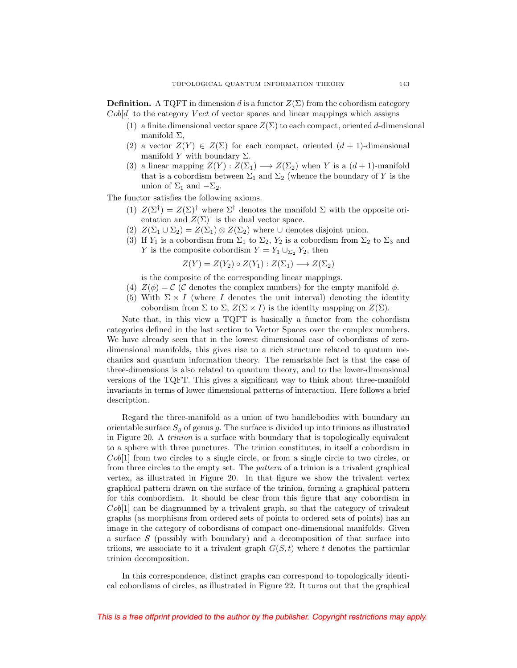**Definition.** A TQFT in dimension d is a functor  $Z(\Sigma)$  from the cobordism category  $Cob[d]$  to the category  $Vect$  of vector spaces and linear mappings which assigns

- (1) a finite dimensional vector space  $Z(\Sigma)$  to each compact, oriented d-dimensional manifold  $\Sigma$ ,
- (2) a vector  $Z(Y) \in Z(\Sigma)$  for each compact, oriented  $(d+1)$ -dimensional manifold Y with boundary  $\Sigma$ .
- (3) a linear mapping  $Z(Y) : Z(\Sigma_1) \longrightarrow Z(\Sigma_2)$  when Y is a  $(d+1)$ -manifold that is a cobordism between  $\Sigma_1$  and  $\Sigma_2$  (whence the boundary of Y is the union of  $\Sigma_1$  and  $-\Sigma_2$ .

The functor satisfies the following axioms.

- (1)  $Z(\Sigma^{\dagger}) = Z(\Sigma)^{\dagger}$  where  $\Sigma^{\dagger}$  denotes the manifold  $\Sigma$  with the opposite orientation and  $Z(\Sigma)^{\dagger}$  is the dual vector space.
- (2)  $Z(\Sigma_1 \cup \Sigma_2) = Z(\Sigma_1) \otimes Z(\Sigma_2)$  where  $\cup$  denotes disjoint union.
- (3) If  $Y_1$  is a cobordism from  $\Sigma_1$  to  $\Sigma_2$ ,  $Y_2$  is a cobordism from  $\Sigma_2$  to  $\Sigma_3$  and Y is the composite cobordism  $Y = Y_1 \cup_{\Sigma_2} Y_2$ , then

$$
Z(Y) = Z(Y_2) \circ Z(Y_1) : Z(\Sigma_1) \longrightarrow Z(\Sigma_2)
$$

is the composite of the corresponding linear mappings.

- (4)  $Z(\phi) = C$  (C denotes the complex numbers) for the empty manifold  $\phi$ .
- (5) With  $\Sigma \times I$  (where I denotes the unit interval) denoting the identity cobordism from  $\Sigma$  to  $\Sigma$ ,  $Z(\Sigma \times I)$  is the identity mapping on  $Z(\Sigma)$ .

Note that, in this view a TQFT is basically a functor from the cobordism categories defined in the last section to Vector Spaces over the complex numbers. We have already seen that in the lowest dimensional case of cobordisms of zerodimensional manifolds, this gives rise to a rich structure related to quatum mechanics and quantum information theory. The remarkable fact is that the case of three-dimensions is also related to quantum theory, and to the lower-dimensional versions of the TQFT. This gives a significant way to think about three-manifold invariants in terms of lower dimensional patterns of interaction. Here follows a brief description.

Regard the three-manifold as a union of two handlebodies with boundary an orientable surface  $S<sub>g</sub>$  of genus g. The surface is divided up into trinions as illustrated in Figure 20. A trinion is a surface with boundary that is topologically equivalent to a sphere with three punctures. The trinion constitutes, in itself a cobordism in  $Cob[1]$  from two circles to a single circle, or from a single circle to two circles, or from three circles to the empty set. The pattern of a trinion is a trivalent graphical vertex, as illustrated in Figure 20. In that figure we show the trivalent vertex graphical pattern drawn on the surface of the trinion, forming a graphical pattern for this combordism. It should be clear from this figure that any cobordism in  $Cob[1]$  can be diagrammed by a trivalent graph, so that the category of trivalent graphs (as morphisms from ordered sets of points to ordered sets of points) has an image in the category of cobordisms of compact one-dimensional manifolds. Given a surface  $S$  (possibly with boundary) and a decomposition of that surface into triions, we associate to it a trivalent graph  $G(S, t)$  where t denotes the particular trinion decomposition.

In this correspondence, distinct graphs can correspond to topologically identical cobordisms of circles, as illustrated in Figure 22. It turns out that the graphical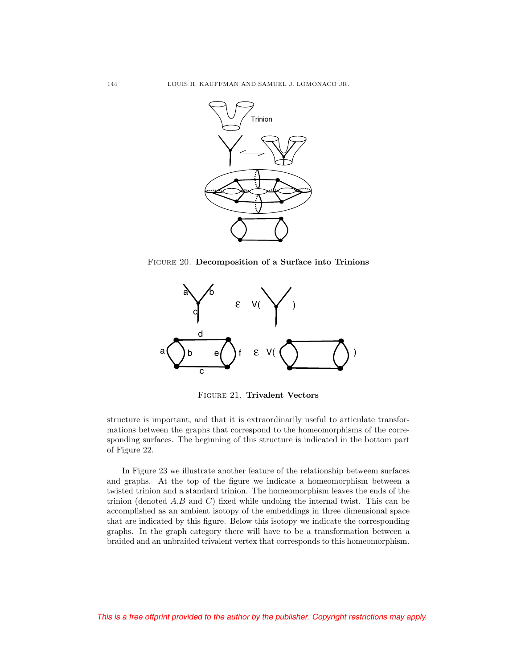

Figure 20. **Decomposition of a Surface into Trinions**



Figure 21. **Trivalent Vectors**

structure is important, and that it is extraordinarily useful to articulate transformations between the graphs that correspond to the homeomorphisms of the corresponding surfaces. The beginning of this structure is indicated in the bottom part of Figure 22.

In Figure 23 we illustrate another feature of the relationship betweem surfaces and graphs. At the top of the figure we indicate a homeomorphism between a twisted trinion and a standard trinion. The homeomorphism leaves the ends of the trinion (denoted  $A, B$  and  $C$ ) fixed while undoing the internal twist. This can be accomplished as an ambient isotopy of the embeddings in three dimensional space that are indicated by this figure. Below this isotopy we indicate the corresponding graphs. In the graph category there will have to be a transformation between a braided and an unbraided trivalent vertex that corresponds to this homeomorphism.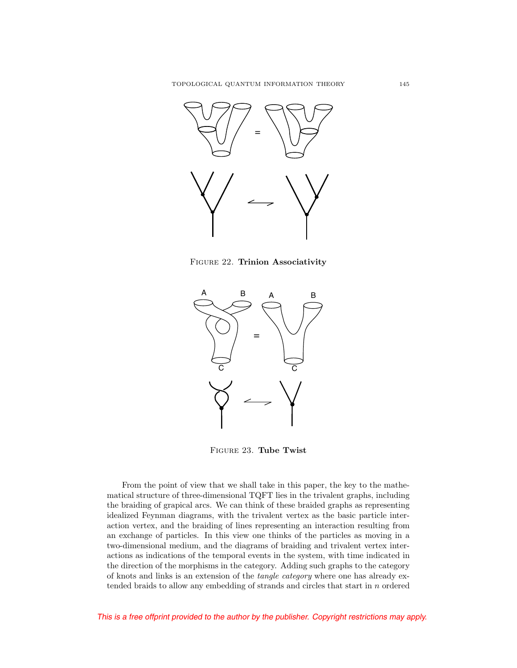

Figure 22. **Trinion Associativity**



Figure 23. **Tube Twist**

From the point of view that we shall take in this paper, the key to the mathematical structure of three-dimensional TQFT lies in the trivalent graphs, including the braiding of grapical arcs. We can think of these braided graphs as representing idealized Feynman diagrams, with the trivalent vertex as the basic particle interaction vertex, and the braiding of lines representing an interaction resulting from an exchange of particles. In this view one thinks of the particles as moving in a two-dimensional medium, and the diagrams of braiding and trivalent vertex interactions as indications of the temporal events in the system, with time indicated in the direction of the morphisms in the category. Adding such graphs to the category of knots and links is an extension of the tangle category where one has already extended braids to allow any embedding of strands and circles that start in n ordered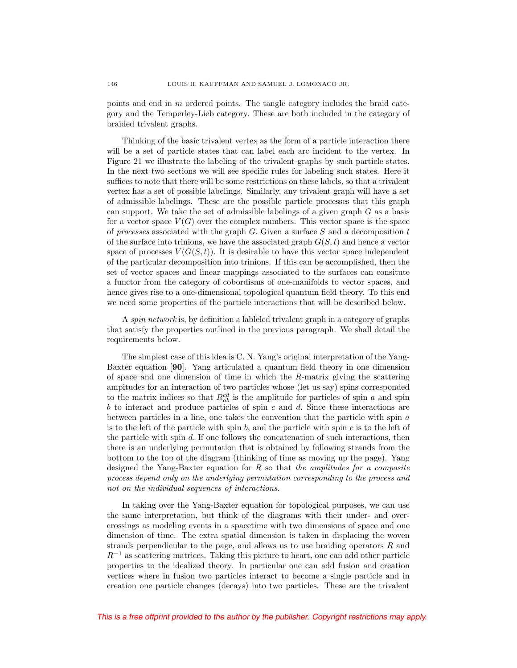points and end in m ordered points. The tangle category includes the braid category and the Temperley-Lieb category. These are both included in the category of braided trivalent graphs.

Thinking of the basic trivalent vertex as the form of a particle interaction there will be a set of particle states that can label each arc incident to the vertex. In Figure 21 we illustrate the labeling of the trivalent graphs by such particle states. In the next two sections we will see specific rules for labeling such states. Here it suffices to note that there will be some restrictions on these labels, so that a trivalent vertex has a set of possible labelings. Similarly, any trivalent graph will have a set of admissible labelings. These are the possible particle processes that this graph can support. We take the set of admissible labelings of a given graph  $G$  as a basis for a vector space  $V(G)$  over the complex numbers. This vector space is the space of processes associated with the graph  $G$ . Given a surface  $S$  and a decomposition  $t$ of the surface into trinions, we have the associated graph  $G(S, t)$  and hence a vector space of processes  $V(G(S, t))$ . It is desirable to have this vector space independent of the particular decomposition into trinions. If this can be accomplished, then the set of vector spaces and linear mappings associated to the surfaces can consitute a functor from the category of cobordisms of one-manifolds to vector spaces, and hence gives rise to a one-dimensional topological quantum field theory. To this end we need some properties of the particle interactions that will be described below.

A spin network is, by definition a lableled trivalent graph in a category of graphs that satisfy the properties outlined in the previous paragraph. We shall detail the requirements below.

The simplest case of this idea is C. N. Yang's original interpretation of the Yang-Baxter equation [**90**]. Yang articulated a quantum field theory in one dimension of space and one dimension of time in which the  $R$ -matrix giving the scattering ampitudes for an interaction of two particles whose (let us say) spins corresponded to the matrix indices so that  $R_{ab}^{cd}$  is the amplitude for particles of spin a and spin  $b$  to interact and produce particles of spin c and d. Since these interactions are between particles in a line, one takes the convention that the particle with spin a is to the left of the particle with spin b, and the particle with spin c is to the left of the particle with spin  $d$ . If one follows the concatenation of such interactions, then there is an underlying permutation that is obtained by following strands from the bottom to the top of the diagram (thinking of time as moving up the page). Yang designed the Yang-Baxter equation for  $R$  so that the amplitudes for a composite process depend only on the underlying permutation corresponding to the process and not on the individual sequences of interactions.

In taking over the Yang-Baxter equation for topological purposes, we can use the same interpretation, but think of the diagrams with their under- and overcrossings as modeling events in a spacetime with two dimensions of space and one dimension of time. The extra spatial dimension is taken in displacing the woven strands perpendicular to the page, and allows us to use braiding operators  $R$  and  $R^{-1}$  as scattering matrices. Taking this picture to heart, one can add other particle properties to the idealized theory. In particular one can add fusion and creation vertices where in fusion two particles interact to become a single particle and in creation one particle changes (decays) into two particles. These are the trivalent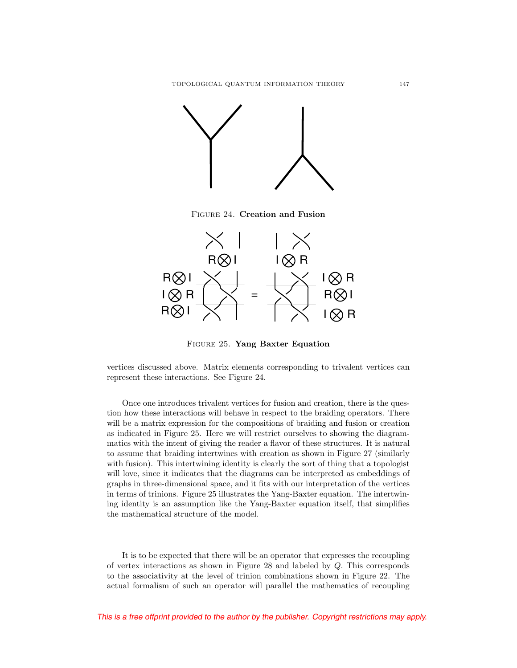

Figure 24. **Creation and Fusion**



Figure 25. **Yang Baxter Equation**

vertices discussed above. Matrix elements corresponding to trivalent vertices can represent these interactions. See Figure 24.

Once one introduces trivalent vertices for fusion and creation, there is the question how these interactions will behave in respect to the braiding operators. There will be a matrix expression for the compositions of braiding and fusion or creation as indicated in Figure 25. Here we will restrict ourselves to showing the diagrammatics with the intent of giving the reader a flavor of these structures. It is natural to assume that braiding intertwines with creation as shown in Figure 27 (similarly with fusion). This intertwining identity is clearly the sort of thing that a topologist will love, since it indicates that the diagrams can be interpreted as embeddings of graphs in three-dimensional space, and it fits with our interpretation of the vertices in terms of trinions. Figure 25 illustrates the Yang-Baxter equation. The intertwining identity is an assumption like the Yang-Baxter equation itself, that simplifies the mathematical structure of the model.

It is to be expected that there will be an operator that expresses the recoupling of vertex interactions as shown in Figure 28 and labeled by Q. This corresponds to the associativity at the level of trinion combinations shown in Figure 22. The actual formalism of such an operator will parallel the mathematics of recoupling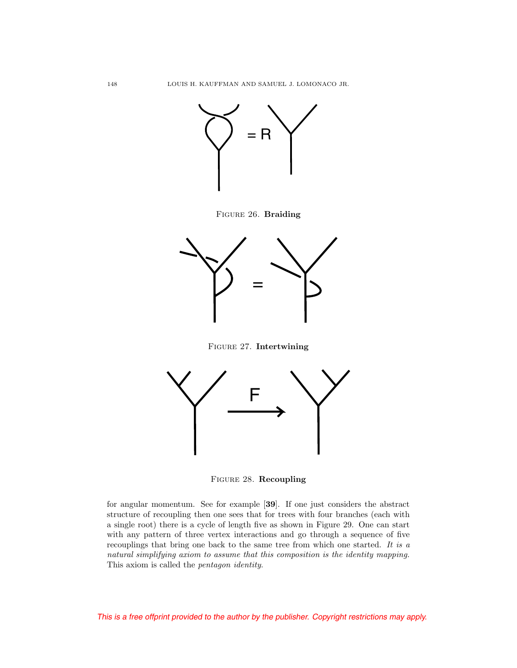

Figure 26. **Braiding**



Figure 27. **Intertwining**



Figure 28. **Recoupling**

for angular momentum. See for example [**39**]. If one just considers the abstract structure of recoupling then one sees that for trees with four branches (each with a single root) there is a cycle of length five as shown in Figure 29. One can start with any pattern of three vertex interactions and go through a sequence of five recouplings that bring one back to the same tree from which one started. It is a natural simplifying axiom to assume that this composition is the identity mapping. This axiom is called the pentagon identity.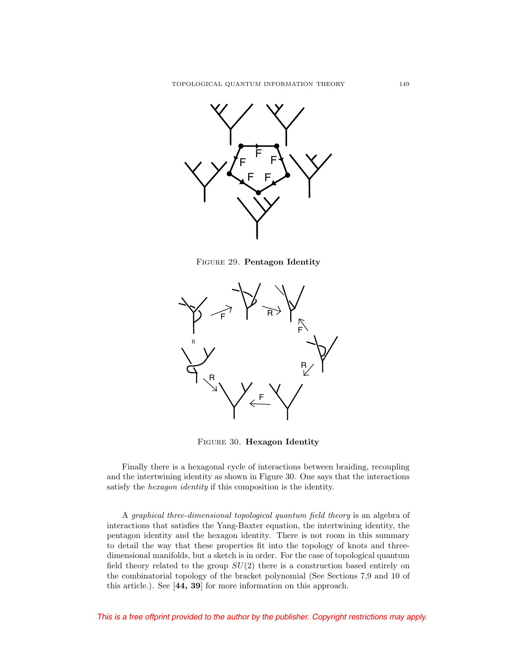

Figure 29. **Pentagon Identity**



Figure 30. **Hexagon Identity**

Finally there is a hexagonal cycle of interactions between braiding, recoupling and the intertwining identity as shown in Figure 30. One says that the interactions satisfy the hexagon identity if this composition is the identity.

A graphical three-dimensional topological quantum field theory is an algebra of interactions that satisfies the Yang-Baxter equation, the intertwining identity, the pentagon identity and the hexagon identity. There is not room in this summary to detail the way that these properties fit into the topology of knots and threedimensional manifolds, but a sketch is in order. For the case of topological quantum field theory related to the group  $SU(2)$  there is a construction based entirely on the combinatorial topology of the bracket polynomial (See Sections 7,9 and 10 of this article.). See [**44, 39**] for more information on this approach.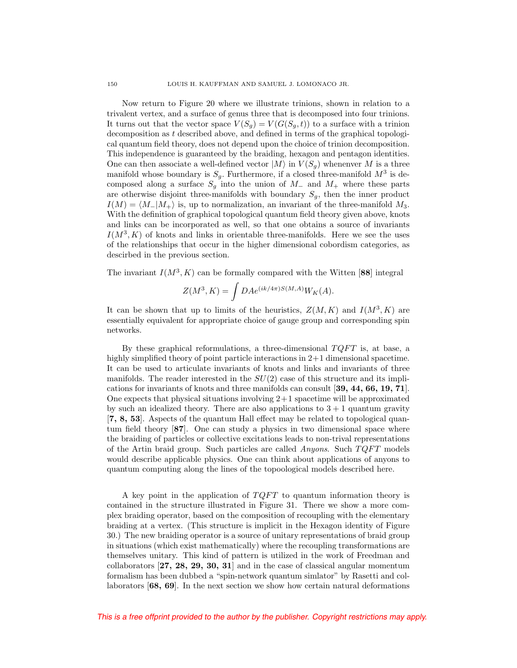Now return to Figure 20 where we illustrate trinions, shown in relation to a trivalent vertex, and a surface of genus three that is decomposed into four trinions. It turns out that the vector space  $V(S_q) = V(G(S_q, t))$  to a surface with a trinion decomposition as t described above, and defined in terms of the graphical topological quantum field theory, does not depend upon the choice of trinion decomposition. This independence is guaranteed by the braiding, hexagon and pentagon identities. One can then associate a well-defined vector  $|M\rangle$  in  $V(S_q)$  whenenver M is a three manifold whose boundary is  $S_g$ . Furthermore, if a closed three-manifold  $M^3$  is decomposed along a surface  $S_g$  into the union of  $M_-\,$  and  $M_+\,$  where these parts are otherwise disjoint three-manifolds with boundary  $S_g$ , then the inner product  $I(M) = \langle M_- | M_+ \rangle$  is, up to normalization, an invariant of the three-manifold  $M_3$ . With the definition of graphical topological quantum field theory given above, knots and links can be incorporated as well, so that one obtains a source of invariants  $I(M^3, K)$  of knots and links in orientable three-manifolds. Here we see the uses of the relationships that occur in the higher dimensional cobordism categories, as descirbed in the previous section.

The invariant  $I(M^3, K)$  can be formally compared with the Witten [88] integral

$$
Z(M^3, K) = \int DA e^{(ik/4\pi)S(M, A)} W_K(A).
$$

It can be shown that up to limits of the heuristics,  $Z(M,K)$  and  $I(M^3,K)$  are essentially equivalent for appropriate choice of gauge group and corresponding spin networks.

By these graphical reformulations, a three-dimensional  $TQFT$  is, at base, a highly simplified theory of point particle interactions in  $2+1$  dimensional spacetime. It can be used to articulate invariants of knots and links and invariants of three manifolds. The reader interested in the  $SU(2)$  case of this structure and its implications for invariants of knots and three manifolds can consult [**39, 44, 66, 19, 71**]. One expects that physical situations involving  $2+1$  spacetime will be approximated by such an idealized theory. There are also applications to  $3 + 1$  quantum gravity [**7, 8, 53**]. Aspects of the quantum Hall effect may be related to topological quantum field theory [**87**]. One can study a physics in two dimensional space where the braiding of particles or collective excitations leads to non-trival representations of the Artin braid group. Such particles are called Anyons. Such  $TQFT$  models would describe applicable physics. One can think about applications of anyons to quantum computing along the lines of the topoological models described here.

A key point in the application of  $TQFT$  to quantum information theory is contained in the structure illustrated in Figure 31. There we show a more complex braiding operator, based on the composition of recoupling with the elementary braiding at a vertex. (This structure is implicit in the Hexagon identity of Figure 30.) The new braiding operator is a source of unitary representations of braid group in situations (which exist mathematically) where the recoupling transformations are themselves unitary. This kind of pattern is utilized in the work of Freedman and collaborators [**27, 28, 29, 30, 31**] and in the case of classical angular momentum formalism has been dubbed a "spin-network quantum simlator" by Rasetti and collaborators [**68, 69**]. In the next section we show how certain natural deformations

150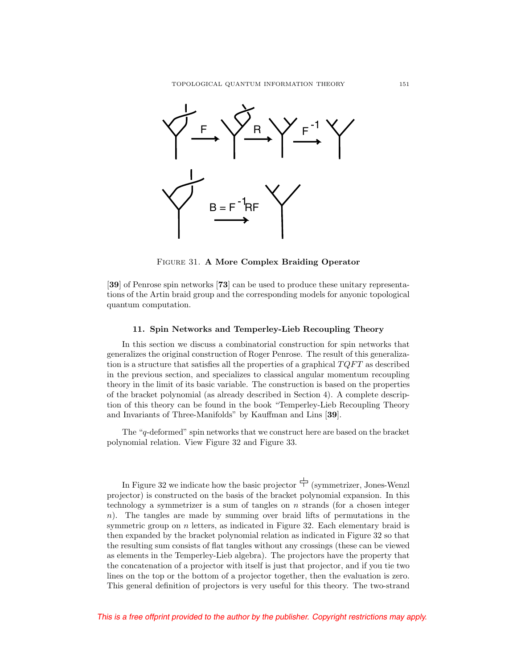

Figure 31. **A More Complex Braiding Operator**

[**39**] of Penrose spin networks [**73**] can be used to produce these unitary representations of the Artin braid group and the corresponding models for anyonic topological quantum computation.

## **11. Spin Networks and Temperley-Lieb Recoupling Theory**

In this section we discuss a combinatorial construction for spin networks that generalizes the original construction of Roger Penrose. The result of this generalization is a structure that satisfies all the properties of a graphical  $TQFT$  as described in the previous section, and specializes to classical angular momentum recoupling theory in the limit of its basic variable. The construction is based on the properties of the bracket polynomial (as already described in Section 4). A complete description of this theory can be found in the book "Temperley-Lieb Recoupling Theory and Invariants of Three-Manifolds" by Kauffman and Lins [**39**].

The "q-deformed" spin networks that we construct here are based on the bracket polynomial relation. View Figure 32 and Figure 33.

In Figure 32 we indicate how the basic projector  $\stackrel{\perp}{\leftarrow}$  (symmetrizer, Jones-Wenzl projector) is constructed on the basis of the bracket polynomial expansion. In this technology a symmetrizer is a sum of tangles on  $n$  strands (for a chosen integer n). The tangles are made by summing over braid lifts of permutations in the symmetric group on  $n$  letters, as indicated in Figure 32. Each elementary braid is then expanded by the bracket polynomial relation as indicated in Figure 32 so that the resulting sum consists of flat tangles without any crossings (these can be viewed as elements in the Temperley-Lieb algebra). The projectors have the property that the concatenation of a projector with itself is just that projector, and if you tie two lines on the top or the bottom of a projector together, then the evaluation is zero. This general definition of projectors is very useful for this theory. The two-strand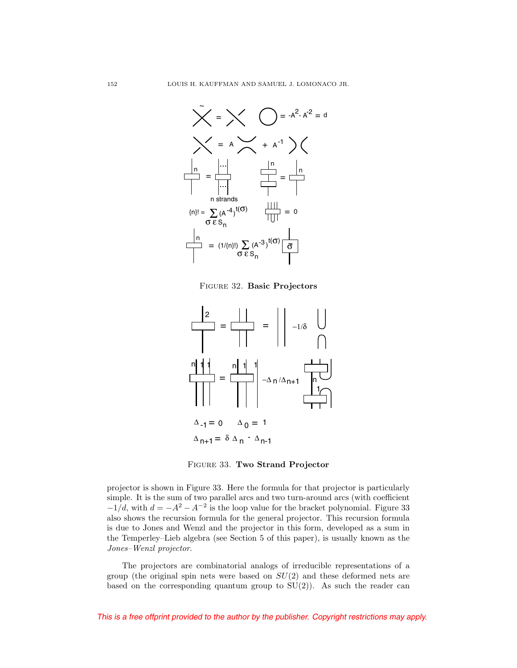

Figure 32. **Basic Projectors**



Figure 33. **Two Strand Projector**

projector is shown in Figure 33. Here the formula for that projector is particularly simple. It is the sum of two parallel arcs and two turn-around arcs (with coefficient  $-1/d$ , with  $d = -A^2 - A^{-2}$  is the loop value for the bracket polynomial. Figure 33 also shows the recursion formula for the general projector. This recursion formula is due to Jones and Wenzl and the projector in this form, developed as a sum in the Temperley–Lieb algebra (see Section 5 of this paper), is usually known as the Jones–Wenzl projector.

The projectors are combinatorial analogs of irreducible representations of a group (the original spin nets were based on  $SU(2)$  and these deformed nets are based on the corresponding quantum group to  $SU(2)$ ). As such the reader can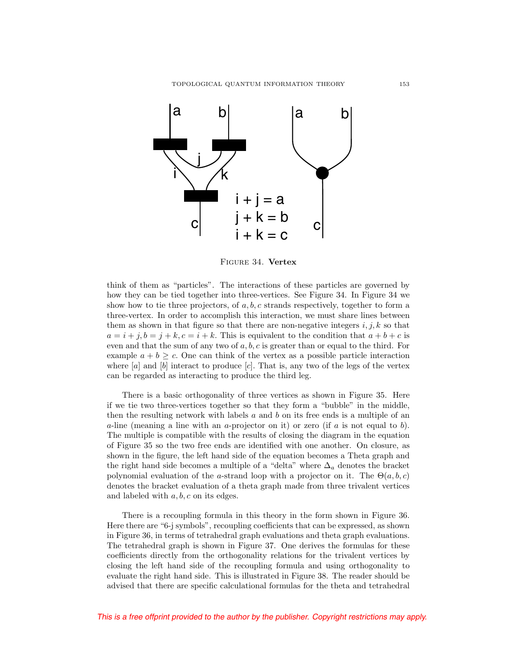

Figure 34. **Vertex**

think of them as "particles". The interactions of these particles are governed by how they can be tied together into three-vertices. See Figure 34. In Figure 34 we show how to tie three projectors, of  $a, b, c$  strands respectively, together to form a three-vertex. In order to accomplish this interaction, we must share lines between them as shown in that figure so that there are non-negative integers  $i, j, k$  so that  $a = i + j$ ,  $b = j + k$ ,  $c = i + k$ . This is equivalent to the condition that  $a + b + c$  is even and that the sum of any two of  $a, b, c$  is greater than or equal to the third. For example  $a + b \geq c$ . One can think of the vertex as a possible particle interaction where  $[a]$  and  $[b]$  interact to produce  $[c]$ . That is, any two of the legs of the vertex can be regarded as interacting to produce the third leg.

There is a basic orthogonality of three vertices as shown in Figure 35. Here if we tie two three-vertices together so that they form a "bubble" in the middle, then the resulting network with labels  $a$  and  $b$  on its free ends is a multiple of an a-line (meaning a line with an a-projector on it) or zero (if  $a$  is not equal to  $b$ ). The multiple is compatible with the results of closing the diagram in the equation of Figure 35 so the two free ends are identified with one another. On closure, as shown in the figure, the left hand side of the equation becomes a Theta graph and the right hand side becomes a multiple of a "delta" where  $\Delta_a$  denotes the bracket polynomial evaluation of the a-strand loop with a projector on it. The  $\Theta(a, b, c)$ denotes the bracket evaluation of a theta graph made from three trivalent vertices and labeled with  $a, b, c$  on its edges.

There is a recoupling formula in this theory in the form shown in Figure 36. Here there are "6-j symbols", recoupling coefficients that can be expressed, as shown in Figure 36, in terms of tetrahedral graph evaluations and theta graph evaluations. The tetrahedral graph is shown in Figure 37. One derives the formulas for these coefficients directly from the orthogonality relations for the trivalent vertices by closing the left hand side of the recoupling formula and using orthogonality to evaluate the right hand side. This is illustrated in Figure 38. The reader should be advised that there are specific calculational formulas for the theta and tetrahedral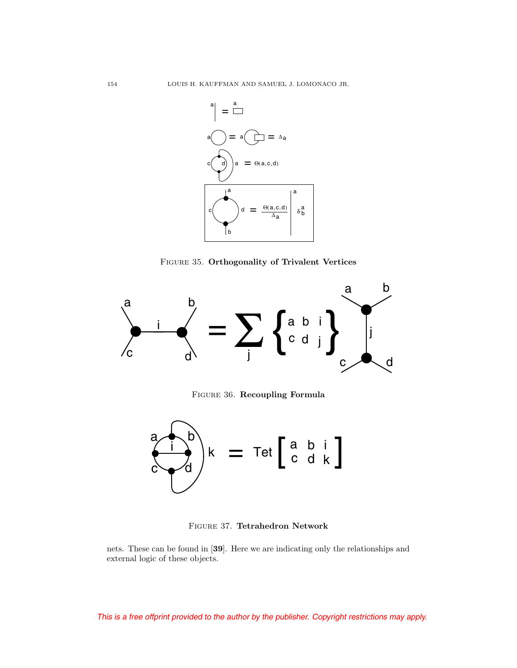

Figure 35. **Orthogonality of Trivalent Vertices**



Figure 36. **Recoupling Formula**



Figure 37. **Tetrahedron Network**

nets. These can be found in [**39**]. Here we are indicating only the relationships and external logic of these objects.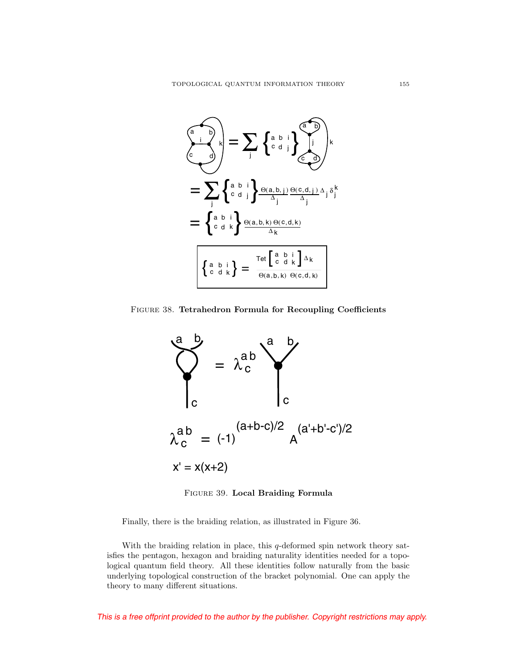

Figure 38. **Tetrahedron Formula for Recoupling Coefficients**



Figure 39. **Local Braiding Formula**

Finally, there is the braiding relation, as illustrated in Figure 36.

With the braiding relation in place, this q-deformed spin network theory satisfies the pentagon, hexagon and braiding naturality identities needed for a topological quantum field theory. All these identities follow naturally from the basic underlying topological construction of the bracket polynomial. One can apply the theory to many different situations.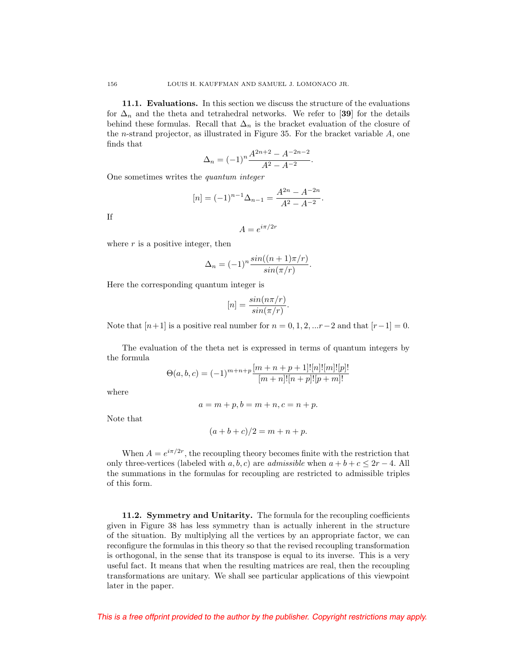**11.1. Evaluations.** In this section we discuss the structure of the evaluations for  $\Delta_n$  and the theta and tetrahedral networks. We refer to [39] for the details behind these formulas. Recall that  $\Delta_n$  is the bracket evaluation of the closure of the n-strand projector, as illustrated in Figure 35. For the bracket variable A, one finds that

$$
\Delta_n = (-1)^n \frac{A^{2n+2} - A^{-2n-2}}{A^2 - A^{-2}}.
$$

One sometimes writes the quantum integer

$$
[n] = (-1)^{n-1} \Delta_{n-1} = \frac{A^{2n} - A^{-2n}}{A^2 - A^{-2}}.
$$

If

$$
A = e^{i\pi/2r}
$$

where  $r$  is a positive integer, then

$$
\Delta_n = (-1)^n \frac{\sin((n+1)\pi/r)}{\sin(\pi/r)}.
$$

Here the corresponding quantum integer is

$$
[n] = \frac{\sin(n\pi/r)}{\sin(\pi/r)}.
$$

Note that  $[n+1]$  is a positive real number for  $n = 0, 1, 2, ...r-2$  and that  $[r-1] = 0$ .

The evaluation of the theta net is expressed in terms of quantum integers by the formula

$$
\Theta(a,b,c) = (-1)^{m+n+p} \frac{[m+n+p+1]! [n]! [m]! [p]!}{[m+n]! [n+p]! [p+m]!}
$$

where

$$
a = m + p, b = m + n, c = n + p.
$$

Note that

$$
(a+b+c)/2 = m+n+p.
$$

When  $A = e^{i\pi/2r}$ , the recoupling theory becomes finite with the restriction that only three-vertices (labeled with  $a, b, c$ ) are *admissible* when  $a + b + c \leq 2r - 4$ . All the summations in the formulas for recoupling are restricted to admissible triples of this form.

**11.2. Symmetry and Unitarity.** The formula for the recoupling coefficients given in Figure 38 has less symmetry than is actually inherent in the structure of the situation. By multiplying all the vertices by an appropriate factor, we can reconfigure the formulas in this theory so that the revised recoupling transformation is orthogonal, in the sense that its transpose is equal to its inverse. This is a very useful fact. It means that when the resulting matrices are real, then the recoupling transformations are unitary. We shall see particular applications of this viewpoint later in the paper.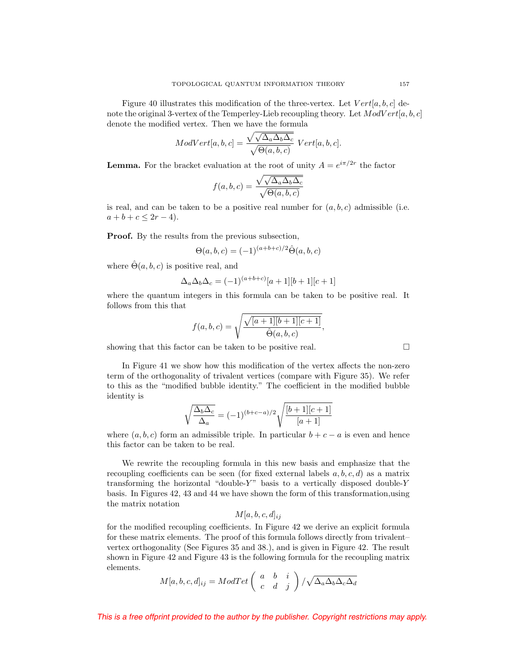Figure 40 illustrates this modification of the three-vertex. Let  $Verta, b, c\Vert$  denote the original 3-vertex of the Temperley-Lieb recoupling theory. Let  $ModVert [a, b, c]$ denote the modified vertex. Then we have the formula

$$
ModVert[a, b, c] = \frac{\sqrt{\sqrt{\Delta_a \Delta_b \Delta_c}}}{\sqrt{\Theta(a, b, c)}} \; Vert[a, b, c].
$$

**Lemma.** For the bracket evaluation at the root of unity  $A = e^{i\pi/2r}$  the factor

$$
f(a, b, c) = \frac{\sqrt{\sqrt{\Delta_a \Delta_b \Delta_c}}}{\sqrt{\Theta(a, b, c)}}
$$

is real, and can be taken to be a positive real number for  $(a, b, c)$  admissible (i.e.  $a + b + c \leq 2r - 4$ .

**Proof.** By the results from the previous subsection,

$$
\Theta(a, b, c) = (-1)^{(a+b+c)/2} \hat{\Theta}(a, b, c)
$$

where  $\hat{\Theta}(a, b, c)$  is positive real, and

$$
\Delta_a \Delta_b \Delta_c = (-1)^{(a+b+c)}[a+1][b+1][c+1]
$$

where the quantum integers in this formula can be taken to be positive real. It follows from this that

$$
f(a, b, c) = \sqrt{\frac{\sqrt{[a+1][b+1][c+1]}}{\hat{\Theta}(a, b, c)}},
$$

showing that this factor can be taken to be positive real.

In Figure 41 we show how this modification of the vertex affects the non-zero term of the orthogonality of trivalent vertices (compare with Figure 35). We refer to this as the "modified bubble identity." The coefficient in the modified bubble identity is

$$
\sqrt{\frac{\Delta_b \Delta_c}{\Delta_a}} = (-1)^{(b+c-a)/2} \sqrt{\frac{[b+1][c+1]}{[a+1]}}
$$

where  $(a, b, c)$  form an admissible triple. In particular  $b + c - a$  is even and hence this factor can be taken to be real.

We rewrite the recoupling formula in this new basis and emphasize that the recoupling coefficients can be seen (for fixed external labels  $a, b, c, d$ ) as a matrix transforming the horizontal "double- $Y$ " basis to a vertically disposed double- $Y$ basis. In Figures 42, 43 and 44 we have shown the form of this transformation,using the matrix notation

$$
M[a, b, c, d]_{ij}
$$

for the modified recoupling coefficients. In Figure 42 we derive an explicit formula for these matrix elements. The proof of this formula follows directly from trivalent– vertex orthogonality (See Figures 35 and 38.), and is given in Figure 42. The result shown in Figure 42 and Figure 43 is the following formula for the recoupling matrix elements.

$$
M[a, b, c, d]_{ij} = ModTet\left(\begin{array}{cc} a & b & i \\ c & d & j \end{array}\right) / \sqrt{\Delta_a \Delta_b \Delta_c \Delta_d}
$$

$$
\Box
$$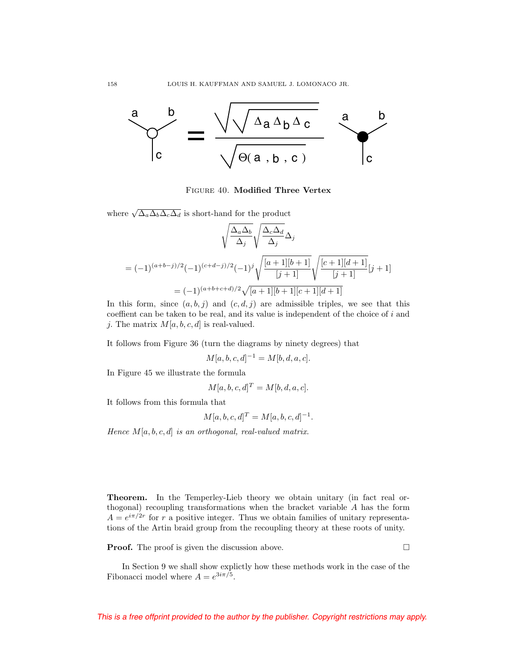

Figure 40. **Modified Three Vertex**

where  $\sqrt{\Delta_a \Delta_b \Delta_c \Delta_d}$  is short-hand for the product

$$
\sqrt{\frac{\Delta_a \Delta_b}{\Delta_j}} \sqrt{\frac{\Delta_c \Delta_d}{\Delta_j}} \Delta_j
$$
  
=  $(-1)^{(a+b-j)/2}(-1)^{(c+d-j)/2}(-1)^j \sqrt{\frac{[a+1][b+1]}{[j+1]}} \sqrt{\frac{[c+1][d+1]}{[j+1]}} [j+1]$   
=  $(-1)^{(a+b+c+d)/2} \sqrt{[a+1][b+1][c+1][d+1]}$ 

In this form, since  $(a, b, j)$  and  $(c, d, j)$  are admissible triples, we see that this coeffient can be taken to be real, and its value is independent of the choice of i and j. The matrix  $M[a, b, c, d]$  is real-valued.

It follows from Figure 36 (turn the diagrams by ninety degrees) that

$$
M[a, b, c, d]^{-1} = M[b, d, a, c].
$$

In Figure 45 we illustrate the formula

$$
M[a, b, c, d]^T = M[b, d, a, c].
$$

It follows from this formula that

$$
M[a, b, c, d]^T = M[a, b, c, d]^{-1}.
$$

Hence  $M[a, b, c, d]$  is an orthogonal, real-valued matrix.

**Theorem.** In the Temperley-Lieb theory we obtain unitary (in fact real orthogonal) recoupling transformations when the bracket variable A has the form  $A = e^{i\pi/2r}$  for r a positive integer. Thus we obtain families of unitary representations of the Artin braid group from the recoupling theory at these roots of unity.

**Proof.** The proof is given the discussion above.  $\Box$ 

In Section 9 we shall show explictly how these methods work in the case of the Fibonacci model where  $A = e^{3i\pi/\overline{5}}$ .

158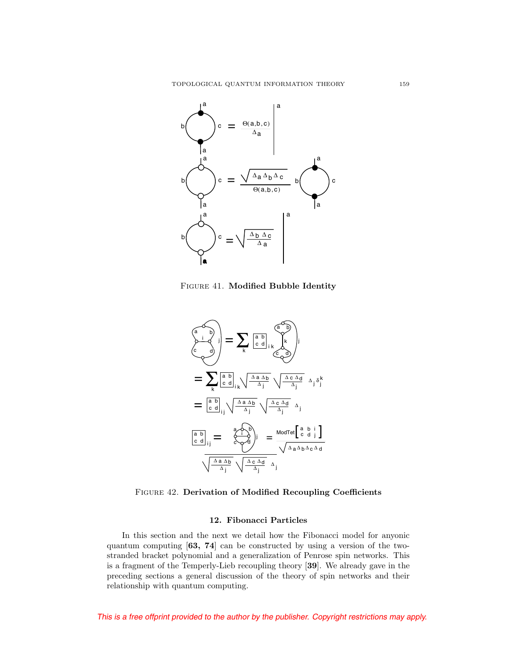

Figure 41. **Modified Bubble Identity**



Figure 42. **Derivation of Modified Recoupling Coefficients**

# **12. Fibonacci Particles**

In this section and the next we detail how the Fibonacci model for anyonic quantum computing [**63, 74**] can be constructed by using a version of the twostranded bracket polynomial and a generalization of Penrose spin networks. This is a fragment of the Temperly-Lieb recoupling theory [**39**]. We already gave in the preceding sections a general discussion of the theory of spin networks and their relationship with quantum computing.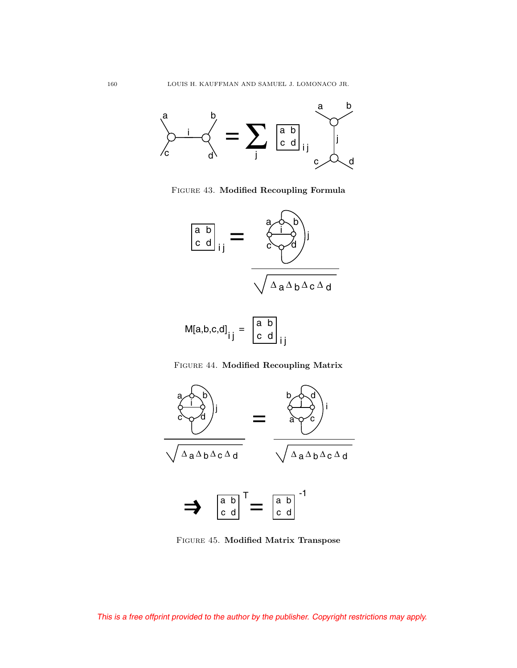

Figure 43. **Modified Recoupling Formula**







Figure 45. **Modified Matrix Transpose**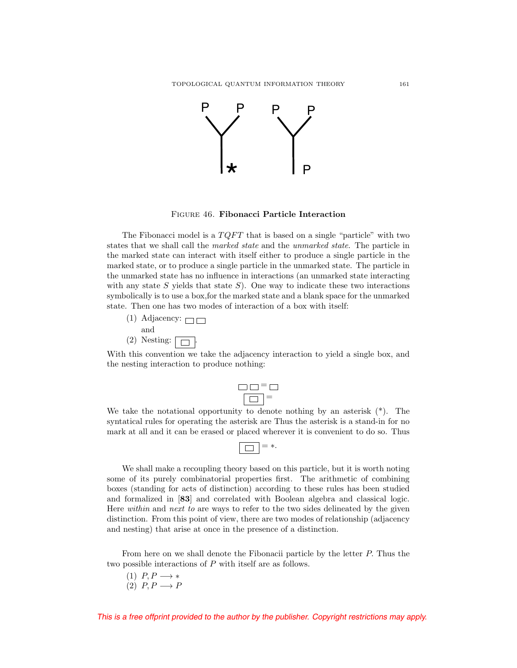

Figure 46. **Fibonacci Particle Interaction**

The Fibonacci model is a  $TQFT$  that is based on a single "particle" with two states that we shall call the marked state and the unmarked state. The particle in the marked state can interact with itself either to produce a single particle in the marked state, or to produce a single particle in the unmarked state. The particle in the unmarked state has no influence in interactions (an unmarked state interacting with any state S yields that state  $S$ ). One way to indicate these two interactions symbolically is to use a box,for the marked state and a blank space for the unmarked state. Then one has two modes of interaction of a box with itself:

- (1) Adjacency:  $\Box$ and
- (2) Nesting:  $\boxed{\Box}$

With this convention we take the adjacency interaction to yield a single box, and the nesting interaction to produce nothing:

$$
\begin{array}{c}\n\Box \Box^= \Box \\
\hline\n\Box\n\end{array}
$$

We take the notational opportunity to denote nothing by an asterisk (\*). The syntatical rules for operating the asterisk are Thus the asterisk is a stand-in for no mark at all and it can be erased or placed wherever it is convenient to do so. Thus

$$
\boxed{\hbox{ }}= *.
$$

We shall make a recoupling theory based on this particle, but it is worth noting some of its purely combinatorial properties first. The arithmetic of combining boxes (standing for acts of distinction) according to these rules has been studied and formalized in [**83**] and correlated with Boolean algebra and classical logic. Here *within* and *next to* are ways to refer to the two sides delineated by the given distinction. From this point of view, there are two modes of relationship (adjacency and nesting) that arise at once in the presence of a distinction.

From here on we shall denote the Fibonacii particle by the letter P. Thus the two possible interactions of P with itself are as follows.

 $(1)$   $P, P \longrightarrow *$  $(2)$   $P, P \longrightarrow P$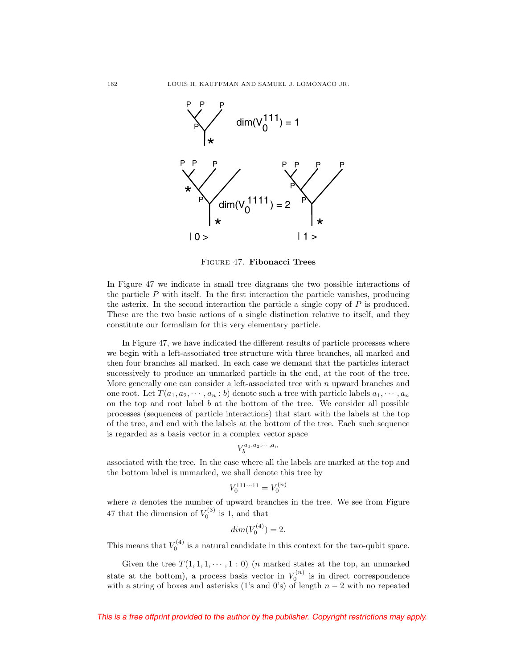

Figure 47. **Fibonacci Trees**

In Figure 47 we indicate in small tree diagrams the two possible interactions of the particle  $P$  with itself. In the first interaction the particle vanishes, producing the asterix. In the second interaction the particle a single copy of  $P$  is produced. These are the two basic actions of a single distinction relative to itself, and they constitute our formalism for this very elementary particle.

In Figure 47, we have indicated the different results of particle processes where we begin with a left-associated tree structure with three branches, all marked and then four branches all marked. In each case we demand that the particles interact successively to produce an unmarked particle in the end, at the root of the tree. More generally one can consider a left-associated tree with  $n$  upward branches and one root. Let  $T(a_1, a_2, \dots, a_n : b)$  denote such a tree with particle labels  $a_1, \dots, a_n$ on the top and root label  $b$  at the bottom of the tree. We consider all possible processes (sequences of particle interactions) that start with the labels at the top of the tree, and end with the labels at the bottom of the tree. Each such sequence is regarded as a basis vector in a complex vector space

$$
V_b^{a_1,a_2,\cdots,a_n}
$$

associated with the tree. In the case where all the labels are marked at the top and the bottom label is unmarked, we shall denote this tree by

$$
V_0^{111\cdots 11} = V_0^{(n)}
$$

where  $n$  denotes the number of upward branches in the tree. We see from Figure 47 that the dimension of  $V_0^{(3)}$  is 1, and that

$$
dim(V_0^{(4)}) = 2.
$$

This means that  $V_0^{(4)}$  is a natural candidate in this context for the two-qubit space.

Given the tree  $T(1, 1, 1, \dots, 1: 0)$  (*n* marked states at the top, an unmarked state at the bottom), a process basis vector in  $V_0^{(n)}$  is in direct correspondence with a string of boxes and asterisks (1's and 0's) of length  $n-2$  with no repeated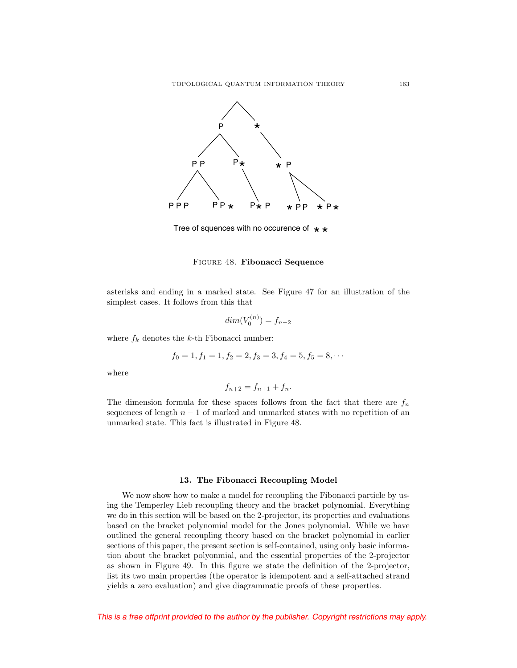

Tree of squences with no occurence of  $\star \star$ 

## Figure 48. **Fibonacci Sequence**

asterisks and ending in a marked state. See Figure 47 for an illustration of the simplest cases. It follows from this that

$$
dim(V_0^{(n)}) = f_{n-2}
$$

where  $f_k$  denotes the k-th Fibonacci number:

$$
f_0 = 1, f_1 = 1, f_2 = 2, f_3 = 3, f_4 = 5, f_5 = 8, \cdots
$$

where

$$
f_{n+2} = f_{n+1} + f_n.
$$

The dimension formula for these spaces follows from the fact that there are  $f_n$ sequences of length  $n - 1$  of marked and unmarked states with no repetition of an unmarked state. This fact is illustrated in Figure 48.

### **13. The Fibonacci Recoupling Model**

We now show how to make a model for recoupling the Fibonacci particle by using the Temperley Lieb recoupling theory and the bracket polynomial. Everything we do in this section will be based on the 2-projector, its properties and evaluations based on the bracket polynomial model for the Jones polynomial. While we have outlined the general recoupling theory based on the bracket polynomial in earlier sections of this paper, the present section is self-contained, using only basic information about the bracket polyonmial, and the essential properties of the 2-projector as shown in Figure 49. In this figure we state the definition of the 2-projector, list its two main properties (the operator is idempotent and a self-attached strand yields a zero evaluation) and give diagrammatic proofs of these properties.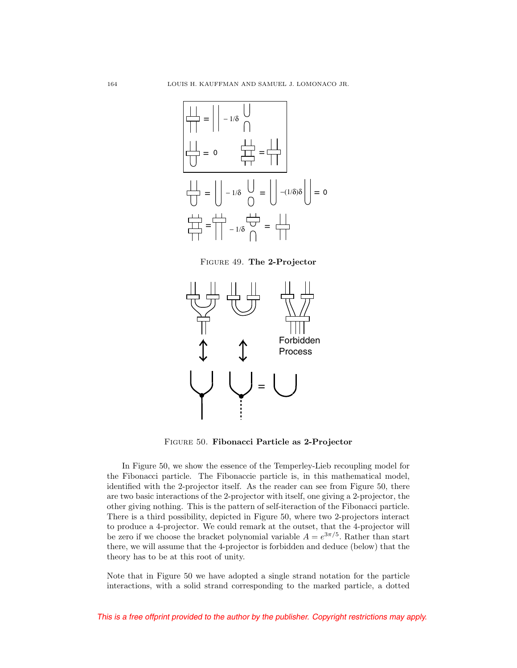

Figure 49. **The 2-Projector**



Figure 50. **Fibonacci Particle as 2-Projector**

In Figure 50, we show the essence of the Temperley-Lieb recoupling model for the Fibonacci particle. The Fibonaccie particle is, in this mathematical model, identified with the 2-projector itself. As the reader can see from Figure 50, there are two basic interactions of the 2-projector with itself, one giving a 2-projector, the other giving nothing. This is the pattern of self-iteraction of the Fibonacci particle. There is a third possibility, depicted in Figure 50, where two 2-projectors interact to produce a 4-projector. We could remark at the outset, that the 4-projector will be zero if we choose the bracket polynomial variable  $A = e^{3\pi/5}$ . Rather than start there, we will assume that the 4-projector is forbidden and deduce (below) that the theory has to be at this root of unity.

Note that in Figure 50 we have adopted a single strand notation for the particle interactions, with a solid strand corresponding to the marked particle, a dotted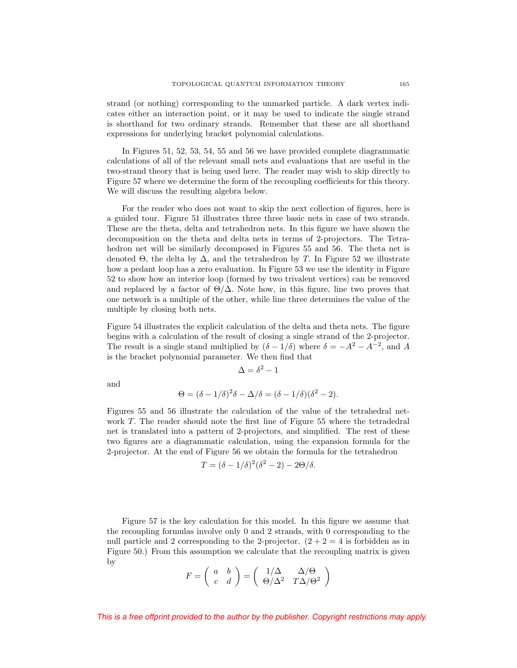strand (or nothing) corresponding to the unmarked particle. A dark vertex indicates either an interaction point, or it may be used to indicate the single strand is shorthand for two ordinary strands. Remember that these are all shorthand expressions for underlying bracket polynomial calculations.

In Figures 51, 52, 53, 54, 55 and 56 we have provided complete diagrammatic calculations of all of the relevant small nets and evaluations that are useful in the two-strand theory that is being used here. The reader may wish to skip directly to Figure 57 where we determine the form of the recoupling coefficients for this theory. We will discuss the resulting algebra below.

For the reader who does not want to skip the next collection of figures, here is a guided tour. Figure 51 illustrates three three basic nets in case of two strands. These are the theta, delta and tetrahedron nets. In this figure we have shown the decomposition on the theta and delta nets in terms of 2-projectors. The Tetrahedron net will be similarly decomposed in Figures 55 and 56. The theta net is denoted  $\Theta$ , the delta by  $\Delta$ , and the tetrahedron by T. In Figure 52 we illustrate how a pedant loop has a zero evaluation. In Figure 53 we use the identity in Figure 52 to show how an interior loop (formed by two trivalent vertices) can be removed and replaced by a factor of  $\Theta/\Delta$ . Note how, in this figure, line two proves that one network is a multiple of the other, while line three determines the value of the multiple by closing both nets.

Figure 54 illustrates the explicit calculation of the delta and theta nets. The figure begins with a calculation of the result of closing a single strand of the 2-projector. The result is a single stand multiplied by  $(\delta - 1/\delta)$  where  $\delta = -A^2 - A^{-2}$ , and A is the bracket polynomial parameter. We then find that

and

$$
\Theta = (\delta - 1/\delta)^2 \delta - \Delta/\delta = (\delta - 1/\delta)(\delta^2 - 2).
$$

 $\Delta = \delta^2 - 1$ 

Figures 55 and 56 illustrate the calculation of the value of the tetrahedral network T. The reader should note the first line of Figure 55 where the tetradedral net is translated into a pattern of 2-projectors, and simplified. The rest of these two figures are a diagrammatic calculation, using the expansion formula for the 2-projector. At the end of Figure 56 we obtain the formula for the tetrahedron

$$
T = (\delta - 1/\delta)^2 (\delta^2 - 2) - 2\Theta/\delta.
$$

Figure 57 is the key calculation for this model. In this figure we assume that the recoupling formulas involve only 0 and 2 strands, with 0 corresponding to the null particle and 2 corresponding to the 2-projector.  $(2 + 2 = 4$  is forbidden as in Figure 50.) From this assumption we calculate that the recoupling matrix is given by

$$
F = \begin{pmatrix} a & b \\ c & d \end{pmatrix} = \begin{pmatrix} 1/\Delta & \Delta/\Theta \\ \Theta/\Delta^2 & T\Delta/\Theta^2 \end{pmatrix}
$$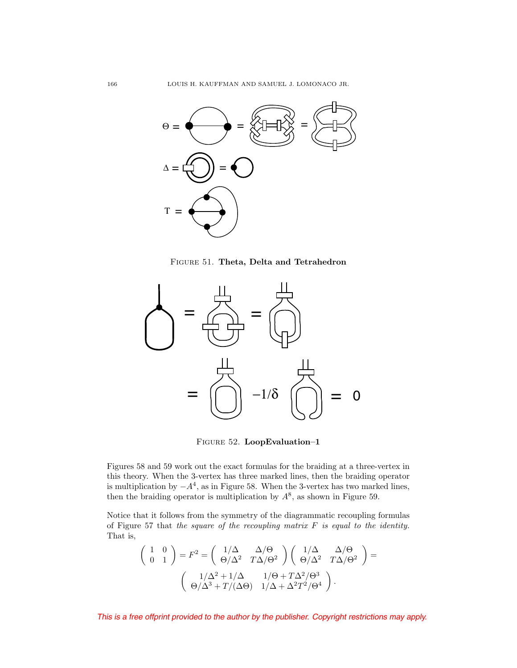

Figure 51. **Theta, Delta and Tetrahedron**



Figure 52. **LoopEvaluation–1**

Figures 58 and 59 work out the exact formulas for the braiding at a three-vertex in this theory. When the 3-vertex has three marked lines, then the braiding operator is multiplication by  $-A^4$ , as in Figure 58. When the 3-vertex has two marked lines, then the braiding operator is multiplication by  $A^8$ , as shown in Figure 59.

Notice that it follows from the symmetry of the diagrammatic recoupling formulas of Figure 57 that the square of the recoupling matrix  $F$  is equal to the identity. That is,

$$
\begin{pmatrix} 1 & 0 \ 0 & 1 \end{pmatrix} = F^2 = \begin{pmatrix} 1/\Delta & \Delta/\Theta \\ \Theta/\Delta^2 & T\Delta/\Theta^2 \end{pmatrix} \begin{pmatrix} 1/\Delta & \Delta/\Theta \\ \Theta/\Delta^2 & T\Delta/\Theta^2 \end{pmatrix} = \begin{pmatrix} 1/\Delta^2 + 1/\Delta & 1/\Theta + T\Delta^2/\Theta^3 \\ \Theta/\Delta^3 + T/(\Delta\Theta) & 1/\Delta + \Delta^2 T^2/\Theta^4 \end{pmatrix}.
$$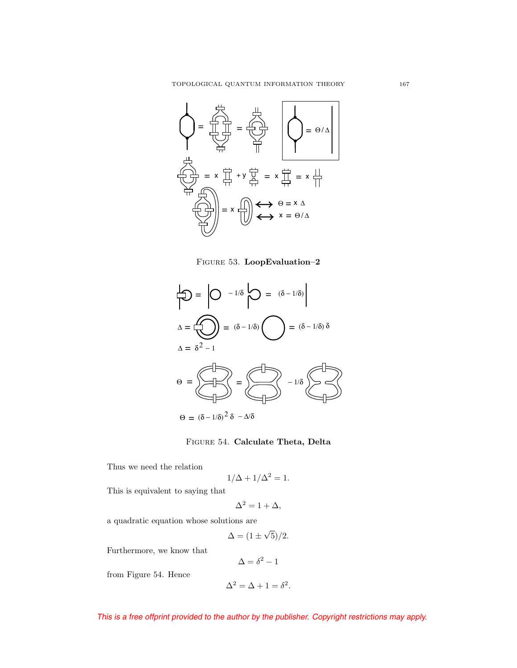

Figure 53. **LoopEvaluation–2**



Figure 54. **Calculate Theta, Delta**

Thus we need the relation

$$
1/\Delta + 1/\Delta^2 = 1.
$$

This is equivalent to saying that

$$
\Delta^2 = 1 + \Delta,
$$

a quadratic equation whose solutions are

$$
\Delta = (1 \pm \sqrt{5})/2.
$$

Furthermore, we know that

 $\Delta = \delta^2 - 1$ 

from Figure 54. Hence

$$
\Delta^2 = \Delta + 1 = \delta^2.
$$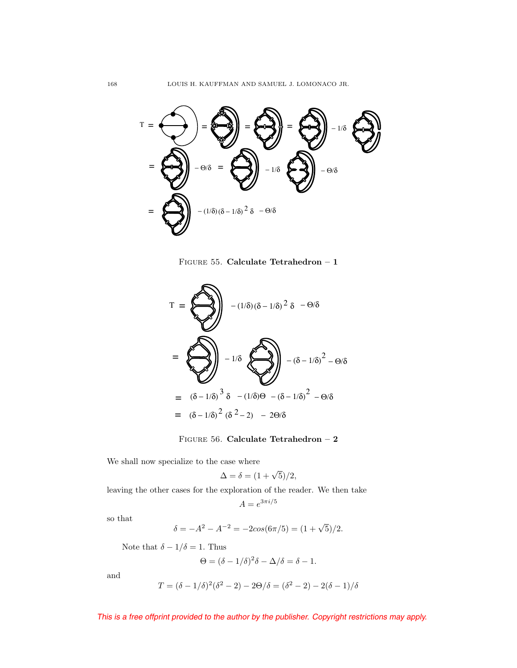

Figure 55. **Calculate Tetrahedron – 1**

$$
T = \begin{pmatrix} 1/\delta & \delta - 1/\delta^2 & \delta & -\Theta/\delta \\ 0 & 1/\delta & \delta - 1/\delta & \delta \\ 0 & 0 & 0 & 0 \\ 0 & 0 & 0 & 0 \\ 0 & 0 & 0 & 0 \\ 0 & 0 & 0 & 0 \\ 0 & 0 & 0 & 0 \\ 0 & 0 & 0 & 0 \end{pmatrix} - \begin{pmatrix} 1/\delta & \delta - 1/\delta & \delta \\ 0 & 0 & 0 \\ 0 & 0 & 0 \\ 0 & 0 & 0 \\ 0 & 0 & 0 \end{pmatrix} - \begin{pmatrix} 1/\delta & \delta - 1/\delta & \delta \\ 0 & 0 & 0 \\ 0 & 0 & 0 \\ 0 & 0 & 0 \end{pmatrix} = \begin{pmatrix} 1/\delta & \delta - 1/\delta & \delta \\ 0 & 0 & 0 \\ 0 & 0 & 0 \\ 0 & 0 & 0 \end{pmatrix}
$$

Figure 56. **Calculate Tetrahedron – 2**

We shall now specialize to the case where

$$
\Delta = \delta = (1 + \sqrt{5})/2,
$$

leaving the other cases for the exploration of the reader. We then take

$$
A = e^{3\pi i/5}
$$

so that

$$
\delta = -A^2 - A^{-2} = -2\cos(6\pi/5) = (1 + \sqrt{5})/2.
$$

Note that  $\delta - 1/\delta = 1$ . Thus

$$
\Theta = (\delta - 1/\delta)^2 \delta - \Delta/\delta = \delta - 1.
$$

and

$$
T = (\delta - 1/\delta)^2 (\delta^2 - 2) - 2\Theta/\delta = (\delta^2 - 2) - 2(\delta - 1)/\delta
$$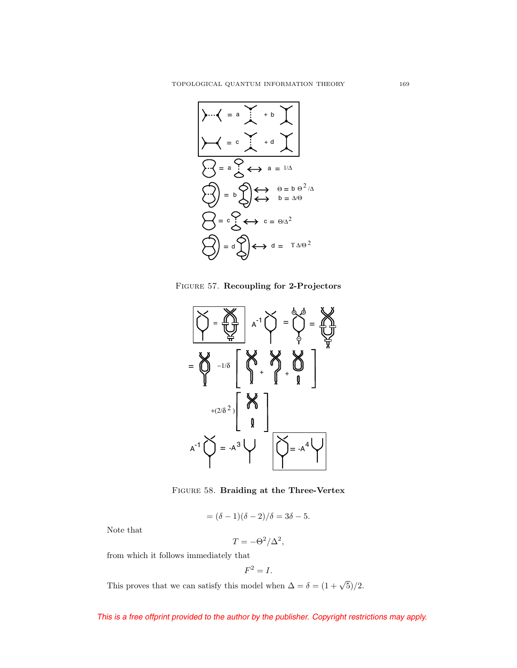

Figure 57. **Recoupling for 2-Projectors**



Figure 58. **Braiding at the Three-Vertex**

$$
= (\delta - 1)(\delta - 2)/\delta = 3\delta - 5.
$$

Note that

$$
T=-\Theta^2/\Delta^2,
$$

from which it follows immediately that

$$
F^2 = I.
$$

This proves that we can satisfy this model when  $\Delta = \delta = (1 + \sqrt{5})/2$ .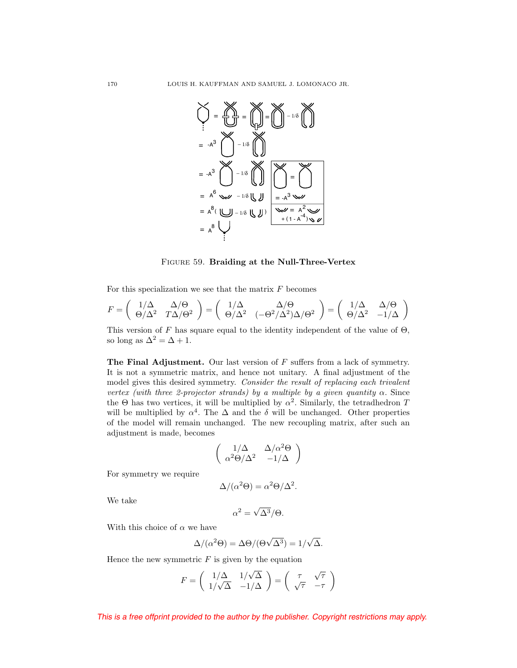

Figure 59. **Braiding at the Null-Three-Vertex**

For this specialization we see that the matrix  $F$  becomes

$$
F = \begin{pmatrix} 1/\Delta & \Delta/\Theta \\ \Theta/\Delta^2 & T\Delta/\Theta^2 \end{pmatrix} = \begin{pmatrix} 1/\Delta & \Delta/\Theta \\ \Theta/\Delta^2 & (-\Theta^2/\Delta^2)\Delta/\Theta^2 \end{pmatrix} = \begin{pmatrix} 1/\Delta & \Delta/\Theta \\ \Theta/\Delta^2 & -1/\Delta \end{pmatrix}
$$

This version of F has square equal to the identity independent of the value of  $\Theta$ , so long as  $\Delta^2 = \Delta + 1$ .

**The Final Adjustment.** Our last version of F suffers from a lack of symmetry. It is not a symmetric matrix, and hence not unitary. A final adjustment of the model gives this desired symmetry. Consider the result of replacing each trivalent vertex (with three 2-projector strands) by a multiple by a given quantity  $\alpha$ . Since the Θ has two vertices, it will be multiplied by  $\alpha^2$ . Similarly, the tetradhedron T will be multiplied by  $\alpha^4$ . The  $\Delta$  and the  $\delta$  will be unchanged. Other properties of the model will remain unchanged. The new recoupling matrix, after such an adjustment is made, becomes

$$
\left(\begin{array}{cc} 1/\Delta & \Delta/\alpha^2 \Theta \\ \alpha^2 \Theta/\Delta^2 & -1/\Delta \end{array}\right)
$$

For symmetry we require

$$
\Delta/(\alpha^2 \Theta) = \alpha^2 \Theta/\Delta^2.
$$

We take

$$
\alpha^2 = \sqrt{\Delta^3}/\Theta.
$$

With this choice of  $\alpha$  we have

$$
\Delta/(\alpha^2 \Theta) = \Delta \Theta / (\Theta \sqrt{\Delta^3}) = 1/\sqrt{\Delta}.
$$

Hence the new symmetric  $F$  is given by the equation

$$
F = \begin{pmatrix} 1/\Delta & 1/\sqrt{\Delta} \\ 1/\sqrt{\Delta} & -1/\Delta \end{pmatrix} = \begin{pmatrix} \tau & \sqrt{\tau} \\ \sqrt{\tau} & -\tau \end{pmatrix}
$$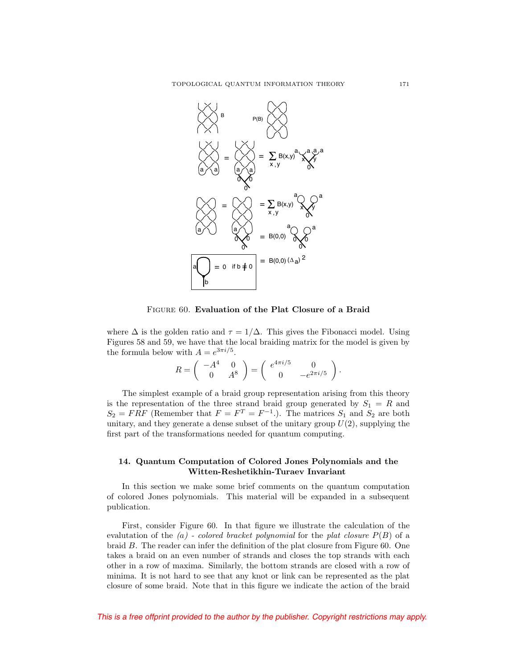

Figure 60. **Evaluation of the Plat Closure of a Braid**

where  $\Delta$  is the golden ratio and  $\tau = 1/\Delta$ . This gives the Fibonacci model. Using Figures 58 and 59, we have that the local braiding matrix for the model is given by the formula below with  $A = e^{3\pi i/5}$ .

$$
R=\left(\begin{array}{cc}-A^4&0\\0&A^8\end{array}\right)=\left(\begin{array}{cc}e^{4\pi i/5}&0\\0&-e^{2\pi i/5}\end{array}\right).
$$

The simplest example of a braid group representation arising from this theory is the representation of the three strand braid group generated by  $S_1 = R$  and  $S_2 = FRF$  (Remember that  $F = F^T = F^{-1}$ .). The matrices  $S_1$  and  $S_2$  are both unitary, and they generate a dense subset of the unitary group  $U(2)$ , supplying the first part of the transformations needed for quantum computing.

## **14. Quantum Computation of Colored Jones Polynomials and the Witten-Reshetikhin-Turaev Invariant**

In this section we make some brief comments on the quantum computation of colored Jones polynomials. This material will be expanded in a subsequent publication.

First, consider Figure 60. In that figure we illustrate the calculation of the evalutation of the  $(a)$  - colored bracket polynomial for the plat closure  $P(B)$  of a braid B. The reader can infer the definition of the plat closure from Figure 60. One takes a braid on an even number of strands and closes the top strands with each other in a row of maxima. Similarly, the bottom strands are closed with a row of minima. It is not hard to see that any knot or link can be represented as the plat closure of some braid. Note that in this figure we indicate the action of the braid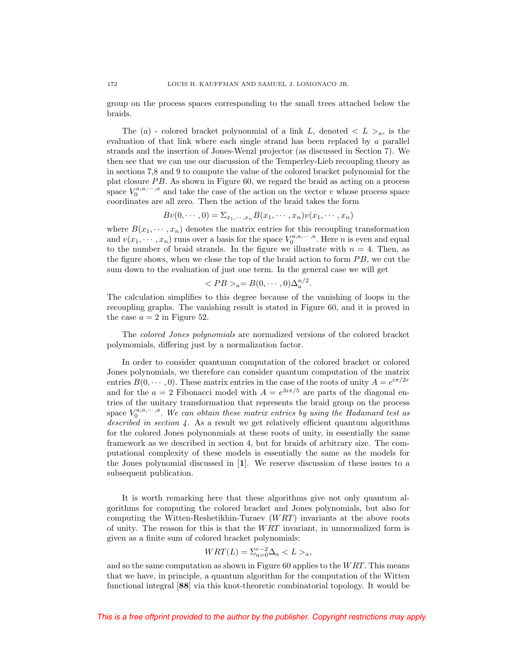group on the process spaces corresponding to the small trees attached below the braids.

The  $(a)$  - colored bracket polynonmial of a link L, denoted  $\langle L \rangle_{a}$ , is the evaluation of that link where each single strand has been replaced by a parallel strands and the insertion of Jones-Wenzl projector (as discussed in Section 7). We then see that we can use our discussion of the Temperley-Lieb recoupling theory as in sections 7,8 and 9 to compute the value of the colored bracket polynomial for the plat closure PB. As shown in Figure 60, we regard the braid as acting on a process space  $V_0^{a,a,\dots,a}$  and take the case of the action on the vector v whose process space coordinates are all zero. Then the action of the braid takes the form

$$
Bv(0, \dots, 0) = \sum_{x_1, \dots, x_n} B(x_1, \dots, x_n)v(x_1, \dots, x_n)
$$

where  $B(x_1, \dots, x_n)$  denotes the matrix entries for this recoupling transformation and  $v(x_1, \dots, x_n)$  runs over a basis for the space  $V_0^{a, a, \dots, a}$ . Here *n* is even and equal to the number of braid strands. In the figure we illustrate with  $n = 4$ . Then, as the figure shows, when we close the top of the braid action to form PB, we cut the sum down to the evaluation of just one term. In the general case we will get

$$
\langle PB \rangle_a = B(0, \cdots, 0)\Delta_a^{n/2}.
$$

The calculation simplifies to this degree because of the vanishing of loops in the recoupling graphs. The vanishing result is stated in Figure 60, and it is proved in the case  $a = 2$  in Figure 52.

The colored Jones polynomials are normalized versions of the colored bracket polymomials, differing just by a normalization factor.

In order to consider quantumn computation of the colored bracket or colored Jones polynomials, we therefore can consider quantum computation of the matrix entries  $B(0, \dots, 0)$ . These matrix entries in the case of the roots of unity  $A = e^{i\pi/2r}$ and for the  $a = 2$  Fibonacci model with  $A = e^{3i\pi/5}$  are parts of the diagonal entries of the unitary transformation that represents the braid group on the process space  $V_0^{a,a,\dots,a}$ . We can obtain these matrix entries by using the Hadamard test as described in section  $\lambda$ . As a result we get relatively efficient quantum algorithms for the colored Jones polynonmials at these roots of unity, in essentially the same framework as we described in section 4, but for braids of arbitrary size. The computational complexity of these models is essentially the same as the models for the Jones polynomial discussed in [**1**]. We reserve discussion of these issues to a subsequent publication.

It is worth remarking here that these algorithms give not only quantum algorithms for computing the colored bracket and Jones polynomials, but also for computing the Witten-Reshetikhin-Turaev  $(WRT)$  invariants at the above roots of unity. The reason for this is that the  $WRT$  invariant, in unnormalized form is given as a finite sum of colored bracket polynomials:

$$
WRT(L) = \sum_{a=0}^{r-2} \Delta_a < L >_a,
$$

and so the same computation as shown in Figure 60 applies to the  $WRT$ . This means that we have, in principle, a quantum algorithm for the computation of the Witten functional integral [**88**] via this knot-theoretic combinatorial topology. It would be

172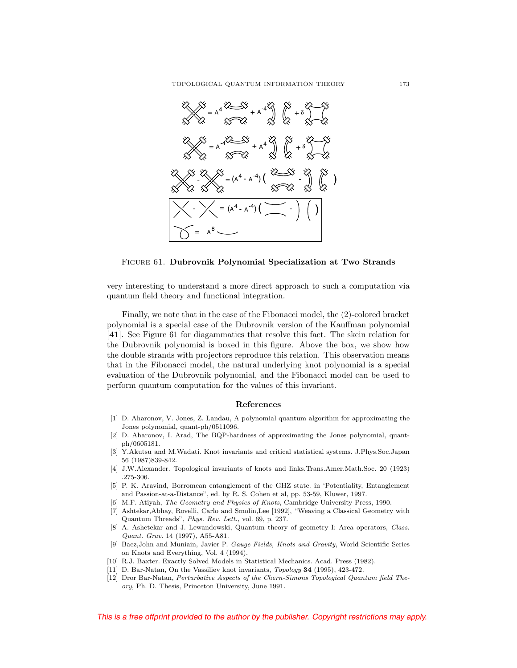

Figure 61. **Dubrovnik Polynomial Specialization at Two Strands**

very interesting to understand a more direct approach to such a computation via quantum field theory and functional integration.

Finally, we note that in the case of the Fibonacci model, the (2)-colored bracket polynomial is a special case of the Dubrovnik version of the Kauffman polynomial [**41**]. See Figure 61 for diagammatics that resolve this fact. The skein relation for the Dubrovnik polynomial is boxed in this figure. Above the box, we show how the double strands with projectors reproduce this relation. This observation means that in the Fibonacci model, the natural underlying knot polynomial is a special evaluation of the Dubrovnik polynomial, and the Fibonacci model can be used to perform quantum computation for the values of this invariant.

### **References**

- [1] D. Aharonov, V. Jones, Z. Landau, A polynomial quantum algorithm for approximating the Jones polynomial, quant-ph/0511096.
- [2] D. Aharonov, I. Arad, The BQP-hardness of approximating the Jones polynomial, quantph/0605181.
- [3] Y.Akutsu and M.Wadati. Knot invariants and critical statistical systems. J.Phys.Soc.Japan 56 (1987)839-842.
- [4] J.W.Alexander. Topological invariants of knots and links.Trans.Amer.Math.Soc. 20 (1923) .275-306.
- [5] P. K. Aravind, Borromean entanglement of the GHZ state. in 'Potentiality, Entanglement and Passion-at-a-Distance", ed. by R. S. Cohen et al, pp. 53-59, Kluwer, 1997.
- [6] M.F. Atiyah, The Geometry and Physics of Knots, Cambridge University Press, 1990.
- [7] Ashtekar,Abhay, Rovelli, Carlo and Smolin,Lee [1992], "Weaving a Classical Geometry with Quantum Threads", Phys. Rev. Lett., vol. 69, p. 237.
- [8] A. Ashetekar and J. Lewandowski, Quantum theory of geometry I: Area operators, Class. Quant. Grav. 14 (1997), A55-A81.
- [9] Baez,John and Muniain, Javier P. Gauge Fields, Knots and Gravity, World Scientific Series on Knots and Everything, Vol. 4 (1994).
- [10] R.J. Baxter. Exactly Solved Models in Statistical Mechanics. Acad. Press (1982).
- [11] D. Bar-Natan, On the Vassiliev knot invariants, Topology **34** (1995), 423-472.
- [12] Dror Bar-Natan, Perturbative Aspects of the Chern-Simons Topological Quantum field Theory, Ph. D. Thesis, Princeton University, June 1991.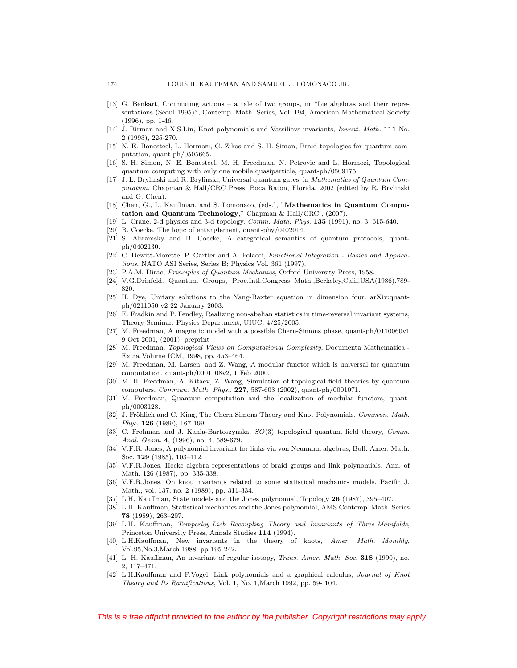- [13] G. Benkart, Commuting actions a tale of two groups, in "Lie algebras and their representations (Seoul 1995)", Contemp. Math. Series, Vol. 194, American Mathematical Society (1996), pp. 1-46.
- [14] J. Birman and X.S.Lin, Knot polynomials and Vassilievs invariants, Invent. Math. **111** No. 2 (1993), 225-270.
- [15] N. E. Bonesteel, L. Hormozi, G. Zikos and S. H. Simon, Braid topologies for quantum computation, quant-ph/0505665.
- [16] S. H. Simon, N. E. Bonesteel, M. H. Freedman, N. Petrovic and L. Hormozi, Topological quantum computing with only one mobile quasiparticle, quant-ph/0509175.
- [17] J. L. Brylinski and R. Brylinski, Universal quantum gates, in Mathematics of Quantum Computation, Chapman & Hall/CRC Press, Boca Raton, Florida, 2002 (edited by R. Brylinski and G. Chen).
- [18] Chen, G., L. Kauffman, and S. Lomonaco, (eds.), "**Mathematics in Quantum Computation and Quantum Technology**," Chapman & Hall/CRC , (2007).
- [19] L. Crane, 2-d physics and 3-d topology, Comm. Math. Phys. **135** (1991), no. 3, 615-640.
- [20] B. Coecke, The logic of entanglement, quant-phy/0402014.
- [21] S. Abramsky and B. Coecke, A categorical semantics of quantum protocols, quantph/0402130.
- [22] C. Dewitt-Morette, P. Cartier and A. Folacci, Functional Integration Basics and Applications, NATO ASI Series, Series B: Physics Vol. 361 (1997).
- [23] P.A.M. Dirac, Principles of Quantum Mechanics, Oxford University Press, 1958.
- [24] V.G.Drinfeld. Quantum Groups, Proc.Intl.Congress Math.,Berkeley,Calif.USA(1986).789- 820.
- [25] H. Dye, Unitary solutions to the Yang-Baxter equation in dimension four. arXiv:quantph/0211050 v2 22 January 2003.
- [26] E. Fradkin and P. Fendley, Realizing non-abelian statistics in time-reversal invariant systems, Theory Seminar, Physics Department, UIUC, 4/25/2005.
- [27] M. Freedman, A magnetic model with a possible Chern-Simons phase, quant-ph/0110060v1 9 Oct 2001, (2001), preprint
- [28] M. Freedman, Topological Views on Computational Complexity, Documenta Mathematica Extra Volume ICM, 1998, pp. 453–464.
- [29] M. Freedman, M. Larsen, and Z. Wang, A modular functor which is universal for quantum computation, quant-ph/0001108v2, 1 Feb 2000.
- [30] M. H. Freedman, A. Kitaev, Z. Wang, Simulation of topological field theories by quantum computers, Commun. Math. Phys., **227**, 587-603 (2002), quant-ph/0001071.
- [31] M. Freedman, Quantum computation and the localization of modular functors, quantph/0003128.
- [32] J. Fröhlich and C. King, The Chern Simons Theory and Knot Polynomials, Commun. Math. Phys. **126** (1989), 167-199.
- [33] C. Frohman and J. Kania-Bartoszynska, SO(3) topological quantum field theory, Comm. Anal. Geom. **4**, (1996), no. 4, 589-679.
- [34] V.F.R. Jones, A polynomial invariant for links via von Neumann algebras, Bull. Amer. Math. Soc. **129** (1985), 103–112.
- [35] V.F.R.Jones. Hecke algebra representations of braid groups and link polynomials. Ann. of Math. 126 (1987), pp. 335-338.
- [36] V.F.R.Jones. On knot invariants related to some statistical mechanics models. Pacific J. Math., vol. 137, no. 2 (1989), pp. 311-334.
- [37] L.H. Kauffman, State models and the Jones polynomial, Topology **26** (1987), 395–407.
- [38] L.H. Kauffman, Statistical mechanics and the Jones polynomial, AMS Contemp. Math. Series **78** (1989), 263–297.
- [39] L.H. Kauffman, Temperley-Lieb Recoupling Theory and Invariants of Three-Manifolds, Princeton University Press, Annals Studies **114** (1994).
- [40] L.H.Kauffman, New invariants in the theory of knots, Amer. Math. Monthly, Vol.95,No.3,March 1988. pp 195-242.
- [41] L. H. Kauffman, An invariant of regular isotopy, Trans. Amer. Math. Soc. **318** (1990), no. 2, 417–471.
- [42] L.H.Kauffman and P.Vogel, Link polynomials and a graphical calculus, Journal of Knot Theory and Its Ramifications, Vol. 1, No. 1,March 1992, pp. 59- 104.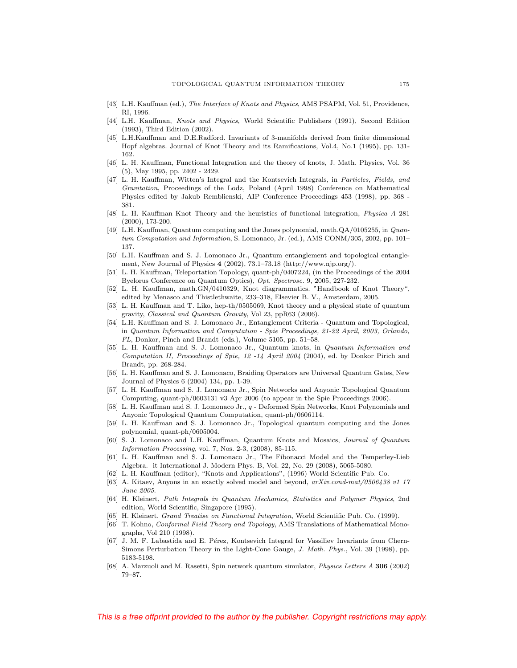- [43] L.H. Kauffman (ed.), The Interface of Knots and Physics, AMS PSAPM, Vol. 51, Providence, RI, 1996.
- [44] L.H. Kauffman, Knots and Physics, World Scientific Publishers (1991), Second Edition (1993), Third Edition (2002).
- [45] L.H.Kauffman and D.E.Radford. Invariants of 3-manifolds derived from finite dimensional Hopf algebras. Journal of Knot Theory and its Ramifications, Vol.4, No.1 (1995), pp. 131- 162.
- [46] L. H. Kauffman, Functional Integration and the theory of knots, J. Math. Physics, Vol. 36 (5), May 1995, pp. 2402 - 2429.
- [47] L. H. Kauffman, Witten's Integral and the Kontsevich Integrals, in Particles, Fields, and Gravitation, Proceedings of the Lodz, Poland (April 1998) Conference on Mathematical Physics edited by Jakub Remblienski, AIP Conference Proceedings 453 (1998), pp. 368 - 381.
- [48] L. H. Kauffman Knot Theory and the heuristics of functional integration, Physica A 281 (2000), 173-200.
- [49] L.H. Kauffman, Quantum computing and the Jones polynomial, math.QA/0105255, in Quantum Computation and Information, S. Lomonaco, Jr. (ed.), AMS CONM/305, 2002, pp. 101– 137.
- [50] L.H. Kauffman and S. J. Lomonaco Jr., Quantum entanglement and topological entanglement, New Journal of Physics **4** (2002), 73.1–73.18 (http://www.njp.org/).
- [51] L. H. Kauffman, Teleportation Topology, quant-ph/0407224, (in the Proceedings of the 2004 Byelorus Conference on Quantum Optics), Opt. Spectrosc. 9, 2005, 227-232.
- [52] L. H. Kauffman, math.GN/0410329, Knot diagrammatics. "Handbook of Knot Theory", edited by Menasco and Thistlethwaite, 233–318, Elsevier B. V., Amsterdam, 2005.
- [53] L. H. Kauffman and T. Liko, hep-th/0505069, Knot theory and a physical state of quantum gravity, Classical and Quantum Gravity, Vol 23, ppR63 (2006).
- [54] L.H. Kauffman and S. J. Lomonaco Jr., Entanglement Criteria Quantum and Topological, in Quantum Information and Computation - Spie Proceedings, 21-22 April, 2003, Orlando, FL, Donkor, Pinch and Brandt (eds.), Volume 5105, pp. 51–58.
- [55] L. H. Kauffman and S. J. Lomonaco Jr., Quantum knots, in Quantum Information and Computation II, Proceedings of Spie,  $12 - 14$  April 2004 (2004), ed. by Donkor Pirich and Brandt, pp. 268-284.
- [56] L. H. Kauffman and S. J. Lomonaco, Braiding Operators are Universal Quantum Gates, New Journal of Physics 6 (2004) 134, pp. 1-39.
- [57] L. H. Kauffman and S. J. Lomonaco Jr., Spin Networks and Anyonic Topological Quantum Computing, quant-ph/0603131 v3 Apr 2006 (to appear in the Spie Proceedings 2006).
- [58] L. H. Kauffman and S. J. Lomonaco Jr., q Deformed Spin Networks, Knot Polynomials and Anyonic Topological Quantum Computation, quant-ph/0606114.
- [59] L. H. Kauffman and S. J. Lomonaco Jr., Topological quantum computing and the Jones polynomial, quant-ph/0605004.
- [60] S. J. Lomonaco and L.H. Kauffman, Quantum Knots and Mosaics, Journal of Quantum Information Processing, vol. 7, Nos. 2-3, (2008), 85-115.
- [61] L. H. Kauffman and S. J. Lomonaco Jr., The Fibonacci Model and the Temperley-Lieb Algebra. it International J. Modern Phys. B, Vol. 22, No. 29 (2008), 5065-5080.
- [62] L. H. Kauffman (editor), "Knots and Applications", (1996) World Scientific Pub. Co.
- [63] A. Kitaev, Anyons in an exactly solved model and beyond, arXiv.cond-mat/0506438 v1 17 June 2005.
- [64] H. Kleinert, Path Integrals in Quantum Mechanics, Statistics and Polymer Physics, 2nd edition, World Scientific, Singapore (1995).
- [65] H. Kleinert, Grand Treatise on Functional Integration, World Scientific Pub. Co. (1999).
- [66] T. Kohno, Conformal Field Theory and Topology, AMS Translations of Mathematical Monographs, Vol 210 (1998).
- [67] J. M. F. Labastida and E. Pérez, Kontsevich Integral for Vassiliev Invariants from Chern-Simons Perturbation Theory in the Light-Cone Gauge, J. Math. Phys., Vol. 39 (1998), pp. 5183-5198.
- [68] A. Marzuoli and M. Rasetti, Spin network quantum simulator, Physics Letters A **306** (2002) 79–87.

This is a free offprint provided to the author by the publisher. Copyright restrictions may apply.